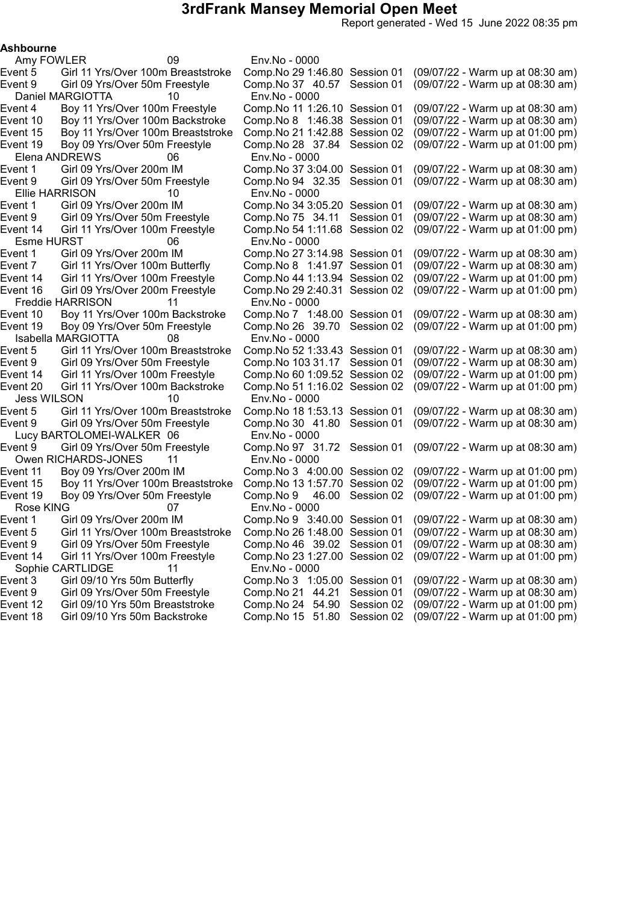Report generated - Wed 15 June 2022 08:35 pm

#### Ashbourne

Amy FOWLER 09 Env.No - 0000 Daniel MARGIOTTA 10 Env.No - 0000<br>Event 4 Boy 11 Yrs/Over 100m Freestyle Comp.No 11 1:2 Elena ANDREWS 06 Env.No - 0000<br>Event 1 Girl 09 Yrs/Over 200m IM Comp.No 37 3:04.00 Session 01 Ellie HARRISON 10 Env.No - 0000 Esme HURST 06 Env.No - 0000 Freddie HARRISON 11 Env.No - 0000 Isabella MARGIOTTA 08 Env.No - 0000 Jess WILSON 10 Env.No - 0000 Lucy BARTOLOMEI-WALKER 06 Env.No - 0000 Owen RICHARDS-JONES 11 Env.No - 0000 Rose KING 07 Env.No - 0000 Sophie CARTLIDGE 11 Env.No - 0000

Event 5 Girl 11 Yrs/Over 100m Breaststroke Comp.No 291:46.80 Session 01 (09/07/22 - Warm up at 08:30 am) Event 9 Girl 09 Yrs/Over 50m Freestyle Comp.No 37 40.57 Session 01 (09/07/22 - Warm up at 08:30 am) Boy 11 Yrs/Over 100m Freestyle Comp.No 11 1:26.10 Session 01 (09/07/22 - Warm up at 08:30 am) Event 10 Boy 11 Yrs/Over 100m Backstroke Comp.No 8 1:46.38 Session 01 (09/07/22 - Warm up at 08:30 am) Event 15 Boy 11 Yrs/Over 100m Breaststroke Comp.No 211:42.88 Session 02 (09/07/22 - Warm up at 01:00 pm) Event 19 Boy 09 Yrs/Over 50m Freestyle Comp.No 28 37.84 Session 02 (09/07/22 - Warm up at 01:00 pm) Girl 09 Yrs/Over 200m IM Comp.No 37 3:04.00 Session 01 (09/07/22 - Warm up at 08:30 am)<br>Girl 09 Yrs/Over 50m Freestyle Comp.No 94 32.35 Session 01 (09/07/22 - Warm up at 08:30 am) Event 9 Girl 09 Yrs/Over 50m Freestyle Comp.No 94 32.35 Session 01 (09/07/22 - Warm up at 08:30 am) Girl 09 Yrs/Over 200m IM Comp.No 34 3:05.20 Session 01 (09/07/22 - Warm up at 08:30 am)<br>Girl 09 Yrs/Over 50m Freestyle Comp.No 75 34.11 Session 01 (09/07/22 - Warm up at 08:30 am) Event 9 Girl 09 Yrs/Over 50m Freestyle Comp.No 75 34.11 Session 01 (09/07/22 - Warm up at 08:30 am) Event 14 Girl 11 Yrs/Over 100m Freestyle Comp.No 541:11.68 Session 02 (09/07/22 - Warm up at 01:00 pm) Girl 09 Yrs/Over 200m IM Comp.No 27 3:14.98 Session 01 (09/07/22 - Warm up at 08:30 am)<br>Girl 11 Yrs/Over 100m Butterfly Comp.No 8 1:41.97 Session 01 (09/07/22 - Warm up at 08:30 am) Event 7 Girl 11 Yrs/Over 100m Butterfly Comp.No 8 1:41.97 Session 01 (09/07/22 - Warm up at 08:30 am) Event 14 Girl 11 Yrs/Over 100m Freestyle Comp.No 441:13.94 Session 02 (09/07/22 - Warm up at 01:00 pm) Event 16 Girl 09 Yrs/Over 200m Freestyle Comp.No 292:40.31 Session 02 (09/07/22 - Warm up at 01:00 pm) Event 10 Boy 11 Yrs/Over 100m Backstroke Comp.No 7 1:48.00 Session 01 (09/07/22 - Warm up at 08:30 am) Event 19 Boy 09 Yrs/Over 50m Freestyle Comp.No 26 39.70 Session 02 (09/07/22 - Warm up at 01:00 pm) Event 5 Girl 11 Yrs/Over 100m Breaststroke Comp.No 521:33.43 Session 01 (09/07/22 - Warm up at 08:30 am) Event 9 Girl 09 Yrs/Over 50m Freestyle Comp.No 103 31.17 Session 01 (09/07/22 - Warm up at 08:30 am) Event 14 Girl 11 Yrs/Over 100m Freestyle Comp.No 601:09.52 Session 02 (09/07/22 - Warm up at 01:00 pm) Event 20 Girl 11 Yrs/Over 100m Backstroke Comp.No 511:16.02 Session 02 (09/07/22 - Warm up at 01:00 pm) Event 5 Girl 11 Yrs/Over 100m Breaststroke Comp.No 181:53.13 Session 01 (09/07/22 - Warm up at 08:30 am) Event 9 Girl 09 Yrs/Over 50m Freestyle Comp.No 30 41.80 Session 01 (09/07/22 - Warm up at 08:30 am) Event 9 Girl 09 Yrs/Over 50m Freestyle Comp.No 97 31.72 Session 01 (09/07/22 - Warm up at 08:30 am) Event 11 Boy 09 Yrs/Over 200m IM Comp.No 3 4:00.00 Session 02 (09/07/22 - Warm up at 01:00 pm) Event 15 Boy 11 Yrs/Over 100m Breaststroke Comp.No 131:57.70 Session 02 (09/07/22 - Warm up at 01:00 pm) Event 19 Boy 09 Yrs/Over 50m Freestyle Comp.No 9 46.00 Session 02 (09/07/22 - Warm up at 01:00 pm) Event 1 Girl 09 Yrs/Over 200m IM Comp.No 9 3:40.00 Session 01 (09/07/22 - Warm up at 08:30 am) Event 5 Girl 11 Yrs/Over 100m Breaststroke Comp.No 261:48.00 Session 01 (09/07/22 - Warm up at 08:30 am) Event 9 Girl 09 Yrs/Over 50m Freestyle Comp.No 46 39.02 Session 01 (09/07/22 - Warm up at 08:30 am) Event 14 Girl 11 Yrs/Over 100m Freestyle Comp.No 231:27.00 Session 02 (09/07/22 - Warm up at 01:00 pm) Event 3 Girl 09/10 Yrs 50m Butterfly Comp.No 3 1:05.00 Session 01 (09/07/22 - Warm up at 08:30 am) Event 9 Girl 09 Yrs/Over 50m Freestyle Comp.No 21 44.21 Session 01 (09/07/22 - Warm up at 08:30 am) Event 12 Girl 09/10 Yrs 50m Breaststroke Comp.No 24 54.90 Session 02 (09/07/22 - Warm up at 01:00 pm) Comp.No 15 51.80 Session 02 (09/07/22 - Warm up at 01:00 pm)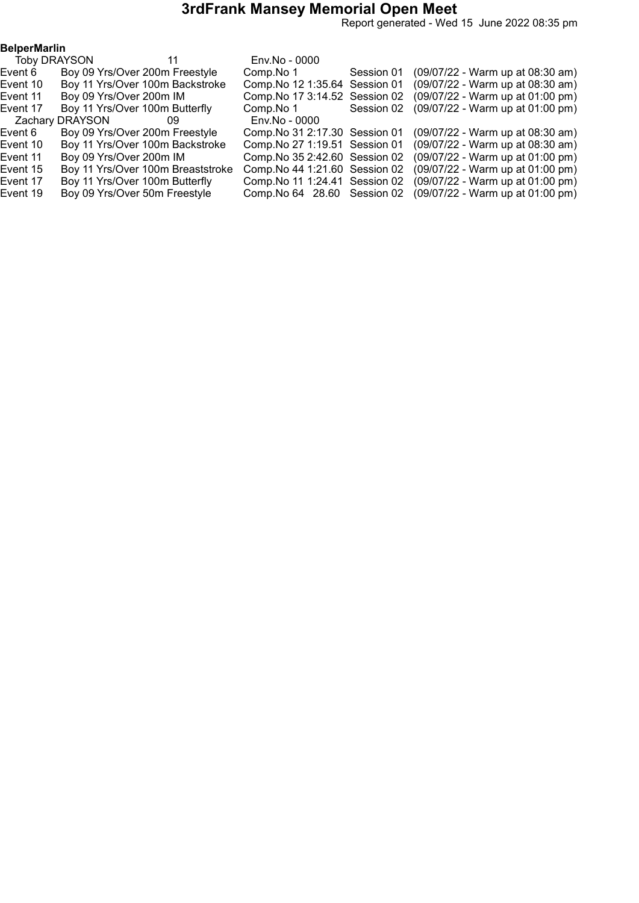Report generated - Wed 15 June 2022 08:35 pm

|                                            |                 |                                                                                                                                                                                                                                                                                                                                              |                            | (09/07/22 - Warm up at 08:30 am)                                                                                                                                                                                                                                                         |
|--------------------------------------------|-----------------|----------------------------------------------------------------------------------------------------------------------------------------------------------------------------------------------------------------------------------------------------------------------------------------------------------------------------------------------|----------------------------|------------------------------------------------------------------------------------------------------------------------------------------------------------------------------------------------------------------------------------------------------------------------------------------|
|                                            |                 |                                                                                                                                                                                                                                                                                                                                              |                            | (09/07/22 - Warm up at 08:30 am)                                                                                                                                                                                                                                                         |
|                                            |                 |                                                                                                                                                                                                                                                                                                                                              |                            | (09/07/22 - Warm up at 01:00 pm)                                                                                                                                                                                                                                                         |
|                                            |                 | Comp.No 1                                                                                                                                                                                                                                                                                                                                    | Session 02                 | (09/07/22 - Warm up at 01:00 pm)                                                                                                                                                                                                                                                         |
|                                            | 09              | Env.No - 0000                                                                                                                                                                                                                                                                                                                                |                            |                                                                                                                                                                                                                                                                                          |
|                                            |                 |                                                                                                                                                                                                                                                                                                                                              |                            | (09/07/22 - Warm up at 08:30 am)                                                                                                                                                                                                                                                         |
|                                            |                 |                                                                                                                                                                                                                                                                                                                                              |                            | (09/07/22 - Warm up at 08:30 am)                                                                                                                                                                                                                                                         |
|                                            |                 |                                                                                                                                                                                                                                                                                                                                              |                            | (09/07/22 - Warm up at 01:00 pm)                                                                                                                                                                                                                                                         |
|                                            |                 |                                                                                                                                                                                                                                                                                                                                              |                            | (09/07/22 - Warm up at 01:00 pm)                                                                                                                                                                                                                                                         |
|                                            |                 |                                                                                                                                                                                                                                                                                                                                              |                            | (09/07/22 - Warm up at 01:00 pm)                                                                                                                                                                                                                                                         |
|                                            |                 |                                                                                                                                                                                                                                                                                                                                              |                            | (09/07/22 - Warm up at 01:00 pm)                                                                                                                                                                                                                                                         |
| <b>BelperMarlin</b><br><b>Toby DRAYSON</b> | Zachary DRAYSON | 11<br>Boy 09 Yrs/Over 200m Freestyle<br>Boy 11 Yrs/Over 100m Backstroke<br>Boy 09 Yrs/Over 200m IM<br>Boy 11 Yrs/Over 100m Butterfly<br>Boy 09 Yrs/Over 200m Freestyle<br>Boy 11 Yrs/Over 100m Backstroke<br>Boy 09 Yrs/Over 200m IM<br>Boy 11 Yrs/Over 100m Breaststroke<br>Boy 11 Yrs/Over 100m Butterfly<br>Boy 09 Yrs/Over 50m Freestyle | Env.No - 0000<br>Comp.No 1 | Session 01<br>Comp. No 12 1:35.64 Session 01<br>Comp. No 17 3:14.52 Session 02<br>Comp. No 31 2:17.30 Session 01<br>Comp. No 27 1:19.51 Session 01<br>Comp. No 35 2:42.60 Session 02<br>Comp. No 44 1:21.60 Session 02<br>Comp. No 11 1:24.41 Session 02<br>Comp. No 64 28.60 Session 02 |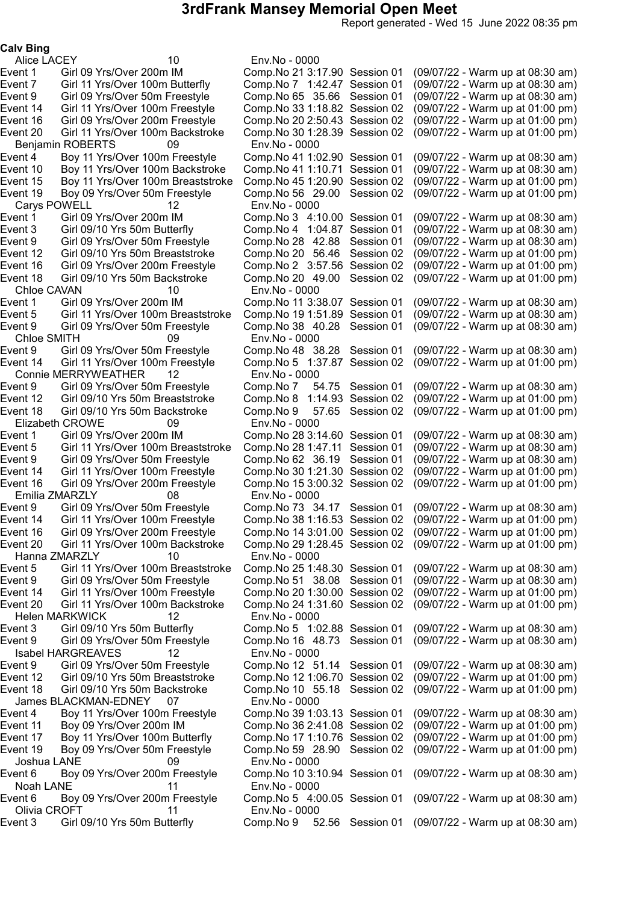Report generated - Wed 15 June 2022 08:35 pm

Calv Bing

Alice LACEY 10 Env.No - 0000 Benjamin ROBERTS 09 Env.No - 0000<br>Event 4 Boy 11 Yrs/Over 100m Freestyle Comp.No 41 1:02.90 Session 01 Boy 11 Yrs/Over 100m Breaststroke<br>Boy 09 Yrs/Over 50m Freestyle Carys POWELL 12 Env.No - 0000<br>Event 1 Girl 09 Yrs/Over 200m IM Comp.No 3 4:10.00 Session 01 Girl 09/10 Yrs 50m Butterfly Comp.No 4 1:04.87 Session 01<br>Girl 09 Yrs/Over 50m Freestyle Comp.No 28 42.88 Session 01 Event 16 Girl 09 Yrs/Over 200m Freestyle Comp.No 2 3:57.56 Session 02<br>Event 18 Girl 09/10 Yrs 50m Backstroke Comp.No 20 \_49.00 Session 02 Chloe CAVAN 10 Env.No - 0000 Chloe SMITH 09 Env.No - 0000 Connie MERRYWEATHER 12 Env.No - 0000 Elizabeth CROWE 09 Env.No - 0000 Emilia ZMARZLY 08 Env.No - 0000 Hanna ZMARZLY 10 Env.No - 0000 Helen MARKWICK 12 Env.No - 0000<br>Event 3 Girl 09/10 Yrs 50m Butterfly Comp.No 5 1:02.88 Session 01 Isabel HARGREAVES 12 Env.No - 0000 James BLACKMAN-EDNEY 07 Env.No - 0000 Joshua LANE 09 Env.No - 0000 Noah LANE 11 Env.No - 0000 Olivia CROFT 11 Env.No - 0000<br>ent 3 Girl 09/10 Yrs 50m Butterfly Comp.No 9 5

Event 1 Girl 09 Yrs/Over 200m IM Comp.No 213:17.90 Session 01 (09/07/22 - Warm up at 08:30 am) Event 7 Girl 11 Yrs/Over 100m Butterfly Comp.No 7 1:42.47 Session 01 (09/07/22 - Warm up at 08:30 am) Event 9 Girl 09 Yrs/Over 50m Freestyle Comp.No 65 35.66 Session 01 (09/07/22 - Warm up at 08:30 am) Event 14 Girl 11 Yrs/Over 100m Freestyle Comp.No 331:18.82 Session 02 (09/07/22 - Warm up at 01:00 pm) Event 16 Girl 09 Yrs/Over 200m Freestyle Comp.No 202:50.43 Session 02 (09/07/22 - Warm up at 01:00 pm) Event 20 Girl 11 Yrs/Over 100m Backstroke Comp.No 301:28.39 Session 02 (09/07/22 - Warm up at 01:00 pm) Comp.No 41 1:02.90 Session 01 (09/07/22 - Warm up at 08:30 am)<br>Comp.No 41 1:10.71 Session 01 (09/07/22 - Warm up at 08:30 am) Event 10 Boy 11 Yrs/Over 100m Backstroke Comp.No 41 1:10.71 Session 01 (09/07/22 - Warm up at 08:30 am)<br>Event 15 Boy 11 Yrs/Over 100m Breaststroke Comp.No 45 1:20.90 Session 02 (09/07/22 - Warm up at 01:00 pm) Event 19 Boy 09 Yrs/Over 50m Freestyle Comp.No 56 29.00 Session 02 (09/07/22 - Warm up at 01:00 pm) Event 1 Girl 09 Yrs/Over 200m IM Comp.No 3 4:10.00 Session 01 (09/07/22 - Warm up at 08:30 am) Event 9 Girl 09 Yrs/Over 50m Freestyle Comp.No 28 42.88 Session 01 (09/07/22 - Warm up at 08:30 am) Event 12 Girl 09/10 Yrs 50m Breaststroke Comp.No 20 56.46 Session 02 (09/07/22 - Warm up at 01:00 pm) Event 18 Girl 09/10 Yrs 50m Backstroke Comp.No 20 49.00 Session 02 (09/07/22 - Warm up at 01:00 pm) Comp.No 11 3:38.07 Session 01 (09/07/22 - Warm up at 08:30 am) Event 5 Girl 11 Yrs/Over 100m Breaststroke Comp.No 191:51.89 Session 01 (09/07/22 - Warm up at 08:30 am) Event 9 Girl 09 Yrs/Over 50m Freestyle Comp.No 38 40.28 Session 01 (09/07/22 - Warm up at 08:30 am) Event 9 Girl 09 Yrs/Over 50m Freestyle Comp.No 48 38.28 Session 01 (09/07/22 - Warm up at 08:30 am) Event 14 Girl 11 Yrs/Over 100m Freestyle Comp.No 5 1:37.87 Session 02 (09/07/22 - Warm up at 01:00 pm) Event 9 Girl 09 Yrs/Over 50m Freestyle Comp.No 7 54.75 Session 01 (09/07/22 - Warm up at 08:30 am) Event 12 Girl 09/10 Yrs 50m Breaststroke Comp.No 8 1:14.93 Session 02 (09/07/22 - Warm up at 01:00 pm) Event 18 Girl 09/10 Yrs 50m Backstroke Comp.No 9 57.65 Session 02 (09/07/22 - Warm up at 01:00 pm) Event 1 Girl 09 Yrs/Over 200m IM Comp.No 283:14.60 Session 01 (09/07/22 - Warm up at 08:30 am) Event 5 Girl 11 Yrs/Over 100m Breaststroke Comp.No 281:47.11 Session 01 (09/07/22 - Warm up at 08:30 am) Event 9 Girl 09 Yrs/Over 50m Freestyle Comp.No 62 36.19 Session 01 (09/07/22 - Warm up at 08:30 am) Event 14 Girl 11 Yrs/Over 100m Freestyle Comp.No 301:21.30 Session 02 (09/07/22 - Warm up at 01:00 pm) Event 16 Girl 09 Yrs/Over 200m Freestyle Comp.No 153:00.32 Session 02 (09/07/22 - Warm up at 01:00 pm) Event 9 Girl 09 Yrs/Over 50m Freestyle Comp.No 73 34.17 Session 01 (09/07/22 - Warm up at 08:30 am) Event 14 Girl 11 Yrs/Over 100m Freestyle Comp.No 381:16.53 Session 02 (09/07/22 - Warm up at 01:00 pm) Event 16 Girl 09 Yrs/Over 200m Freestyle Comp.No 143:01.00 Session 02 (09/07/22 - Warm up at 01:00 pm) Event 20 Girl 11 Yrs/Over 100m Backstroke Comp.No 291:28.45 Session 02 (09/07/22 - Warm up at 01:00 pm) Event 5 Girl 11 Yrs/Over 100m Breaststroke Comp.No 251:48.30 Session 01 (09/07/22 - Warm up at 08:30 am) Event 9 Girl 09 Yrs/Over 50m Freestyle Comp.No 51 38.08 Session 01 (09/07/22 - Warm up at 08:30 am) Event 14 Girl 11 Yrs/Over 100m Freestyle Comp.No 201:30.00 Session 02 (09/07/22 - Warm up at 01:00 pm) Event 20 Girl 11 Yrs/Over 100m Backstroke Comp.No 241:31.60 Session 02 (09/07/22 - Warm up at 01:00 pm) (09/07/22 - Warm up at 08:30 am) Event 9 Girl 09 Yrs/Over 50m Freestyle Comp.No 16 48.73 Session 01 (09/07/22 - Warm up at 08:30 am) Comp.No 12 51.14 Session 01 (09/07/22 - Warm up at 08:30 am) Event 12 Girl 09/10 Yrs 50m Breaststroke Comp.No 121:06.70 Session 02 (09/07/22 - Warm up at 01:00 pm) Event 18 Girl 09/10 Yrs 50m Backstroke Comp.No 10 55.18 Session 02 (09/07/22 - Warm up at 01:00 pm) Event 4 Boy 11 Yrs/Over 100m Freestyle Comp.No 391:03.13 Session 01 (09/07/22 - Warm up at 08:30 am) Event 11 Boy 09 Yrs/Over 200m IM Comp.No 362:41.08 Session 02 (09/07/22 - Warm up at 01:00 pm) Event 17 Boy 11 Yrs/Over 100m Butterfly Comp.No 171:10.76 Session 02 (09/07/22 - Warm up at 01:00 pm) Event 19 Boy 09 Yrs/Over 50m Freestyle Comp.No 59 28.90 Session 02 (09/07/22 - Warm up at 01:00 pm) Event 6 Boy 09 Yrs/Over 200m Freestyle Comp.No 103:10.94 Session 01 (09/07/22 - Warm up at 08:30 am) Event 6 Boy 09 Yrs/Over 200m Freestyle Comp.No 5 4:00.05 Session 01 (09/07/22 - Warm up at 08:30 am) Event 3 Girl 09/10 Yrs 50m Butterfly Comp.No 9 52.56 Session 01 (09/07/22 - Warm up at 08:30 am)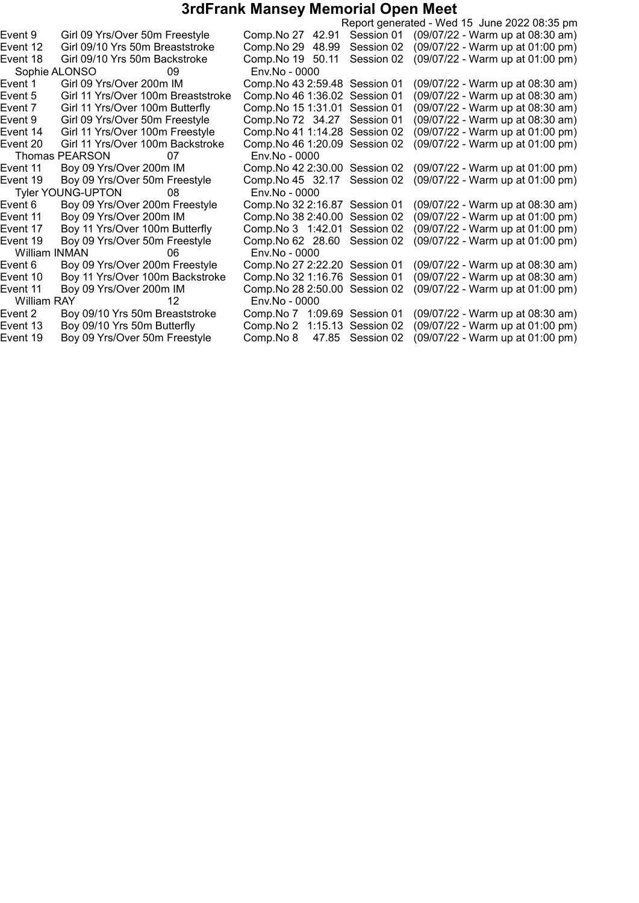|                      |                                    |                                |            | Report generated - Wed 15 June 2022 08:35 pm |
|----------------------|------------------------------------|--------------------------------|------------|----------------------------------------------|
| Event 9              | Girl 09 Yrs/Over 50m Freestyle     | Comp. No 27 42.91              | Session 01 | (09/07/22 - Warm up at 08:30 am)             |
| Event 12             | Girl 09/10 Yrs 50m Breaststroke    | Comp. No 29 48.99              | Session 02 | (09/07/22 - Warm up at 01:00 pm)             |
| Event 18             | Girl 09/10 Yrs 50m Backstroke      | Comp.No 19 50.11               | Session 02 | (09/07/22 - Warm up at 01:00 pm)             |
| Sophie ALONSO        | 09                                 | Env.No - 0000                  |            |                                              |
| Event 1              | Girl 09 Yrs/Over 200m IM           | Comp. No 43 2:59.48 Session 01 |            | (09/07/22 - Warm up at 08:30 am)             |
| Event 5              | Girl 11 Yrs/Over 100m Breaststroke | Comp. No 46 1:36.02 Session 01 |            | (09/07/22 - Warm up at 08:30 am)             |
| Event 7              | Girl 11 Yrs/Over 100m Butterfly    | Comp. No 15 1:31.01            | Session 01 | (09/07/22 - Warm up at 08:30 am)             |
| Event 9              | Girl 09 Yrs/Over 50m Freestyle     | Comp. No 72 34.27              | Session 01 | (09/07/22 - Warm up at 08:30 am)             |
| Event 14             | Girl 11 Yrs/Over 100m Freestyle    | Comp. No 41 1:14.28            | Session 02 | (09/07/22 - Warm up at 01:00 pm)             |
| Event 20             | Girl 11 Yrs/Over 100m Backstroke   | Comp. No 46 1:20.09 Session 02 |            | (09/07/22 - Warm up at 01:00 pm)             |
|                      | Thomas PEARSON<br>07               | Env.No - 0000                  |            |                                              |
| Event 11             | Boy 09 Yrs/Over 200m IM            | Comp. No 42 2:30.00 Session 02 |            | (09/07/22 - Warm up at 01:00 pm)             |
| Event 19             | Boy 09 Yrs/Over 50m Freestyle      | Comp. No 45 32.17              | Session 02 | (09/07/22 - Warm up at 01:00 pm)             |
|                      | <b>Tyler YOUNG-UPTON</b><br>08     | Env.No - 0000                  |            |                                              |
| Event 6              | Boy 09 Yrs/Over 200m Freestyle     | Comp. No 32 2:16.87            | Session 01 | (09/07/22 - Warm up at 08:30 am)             |
| Event 11             | Boy 09 Yrs/Over 200m IM            | Comp.No 38 2:40.00             | Session 02 | (09/07/22 - Warm up at 01:00 pm)             |
| Event 17             | Boy 11 Yrs/Over 100m Butterfly     | Comp. No 3 1:42.01             | Session 02 | (09/07/22 - Warm up at 01:00 pm)             |
| Event 19             | Boy 09 Yrs/Over 50m Freestyle      | Comp. No 62 28.60              | Session 02 | (09/07/22 - Warm up at 01:00 pm)             |
| <b>William INMAN</b> | 06                                 | Env.No - 0000                  |            |                                              |
| Event 6              | Boy 09 Yrs/Over 200m Freestyle     | Comp. No 27 2:22.20 Session 01 |            | (09/07/22 - Warm up at 08:30 am)             |
| Event 10             | Boy 11 Yrs/Over 100m Backstroke    | Comp. No 32 1:16.76 Session 01 |            | (09/07/22 - Warm up at 08:30 am)             |
| Event 11             | Boy 09 Yrs/Over 200m IM            | Comp. No 28 2:50.00 Session 02 |            | (09/07/22 - Warm up at 01:00 pm)             |
| William RAY          | 12                                 | Env.No - 0000                  |            |                                              |
| Event 2              | Boy 09/10 Yrs 50m Breaststroke     | Comp.No 7 1:09.69 Session 01   |            | (09/07/22 - Warm up at 08:30 am)             |
| Event 13             | Boy 09/10 Yrs 50m Butterfly        | Comp. No 2 1:15.13 Session 02  |            | (09/07/22 - Warm up at 01:00 pm)             |
| Event 19             | Boy 09 Yrs/Over 50m Freestyle      | Comp.No 8<br>47.85             | Session 02 | (09/07/22 - Warm up at 01:00 pm)             |
|                      |                                    |                                |            |                                              |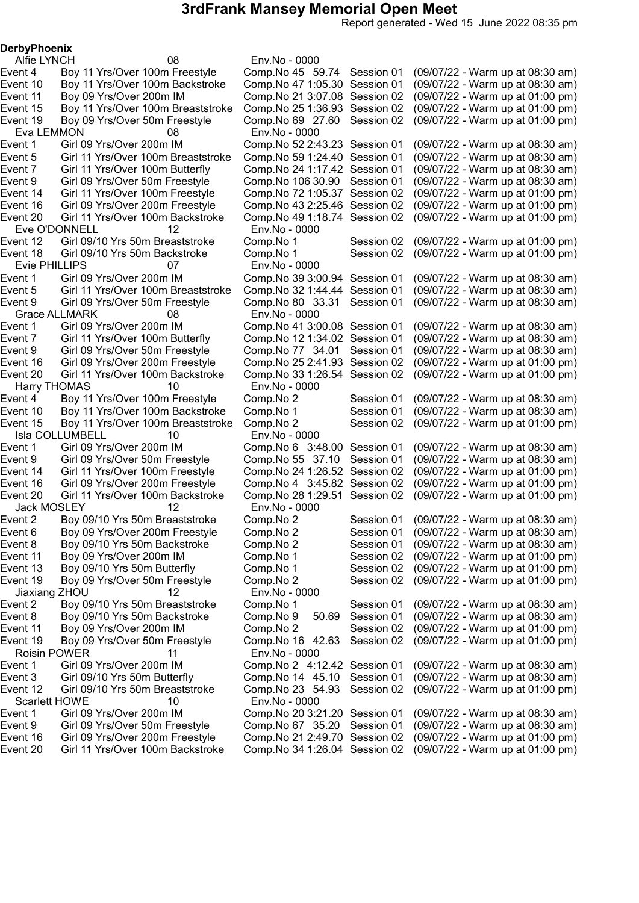Report generated - Wed 15 June 2022 08:35 pm

**DerbyPhoenix** 

Alfie LYNCH 08 Env.No - 0000 Eva LEMMON 08 Env.No - 0000 Event 5 Girl 11 Yrs/Over 100m Breaststroke Comp.No 59 1:24.40 Session 01<br>Event 7 Girl 11 Yrs/Over 100m Butterfly Comp.No 24 1:17.42 Session 01 Eve O'DONNELL 12 Env.No - 0000<br>Event 12 Girl 09/10 Yrs 50m Breaststroke Comp.No 1 Evie PHILLIPS 07 Env.No - 0000 Grace ALLMARK 08 Env.No - 0000 Harry THOMAS 10 Env.No - 0000 Isla COLLUMBELL 10 Env.No - 0000 Jack MOSLEY 12 Env.No - 0000 Jiaxiang ZHOU 12 Env.No - 0000 Roisin POWER 11 Env.No - 0000 Scarlett HOWE 10 Env.No - 0000

Event 4 Boy 11 Yrs/Over 100m Freestyle Comp.No 45 59.74 Session 01 (09/07/22 - Warm up at 08:30 am)<br>Event 10 Boy 11 Yrs/Over 100m Backstroke Comp.No 47 1:05.30 Session 01 (09/07/22 - Warm up at 08:30 am) Boy 11 Yrs/Over 100m Backstroke Comp.No 47 1:05.30 Session 01 (09/07/22 - Warm up at 08:30 am) Event 11 Boy 09 Yrs/Over 200m IM Comp.No 213:07.08 Session 02 (09/07/22 - Warm up at 01:00 pm) Event 15 Boy 11 Yrs/Over 100m Breaststroke Comp.No 251:36.93 Session 02 (09/07/22 - Warm up at 01:00 pm) Event 19 Boy 09 Yrs/Over 50m Freestyle Comp.No 69 27.60 Session 02 (09/07/22 - Warm up at 01:00 pm) Event 1 Girl 09 Yrs/Over 200m IM Comp.No 522:43.23 Session 01 (09/07/22 - Warm up at 08:30 am) Event 7 Girl 11 Yrs/Over 100m Butterfly Comp.No 24 1:17.42 Session 01 (09/07/22 - Warm up at 08:30 am)<br>Event 9 Girl 09 Yrs/Over 50m Freestyle Comp.No 106 30.90 Session 01 (09/07/22 - Warm up at 08:30 am) Event 9 Girl 09 Yrs/Over 50m Freestyle Comp.No 106 30.90 Session 01 (09/07/22 - Warm up at 08:30 am)<br>Event 14 Girl 11 Yrs/Over 100m Freestyle Comp.No 72 1:05.37 Session 02 (09/07/22 - Warm up at 01:00 pm) Event 14 Girl 11 Yrs/Over 100m Freestyle Comp.No 721:05.37 Session 02 (09/07/22 - Warm up at 01:00 pm) Event 16 Girl 09 Yrs/Over 200m Freestyle Comp.No 432:25.46 Session 02 (09/07/22 - Warm up at 01:00 pm) Event 20 Girl 11 Yrs/Over 100m Backstroke Comp.No 491:18.74 Session 02 (09/07/22 - Warm up at 01:00 pm) Girl 09/10 Yrs 50m Breaststroke Comp.No 1 Session 02 (09/07/22 - Warm up at 01:00 pm)<br>Girl 09/10 Yrs 50m Backstroke Comp.No 1 Session 02 (09/07/22 - Warm up at 01:00 pm) Event 18 Girl 09/10 Yrs 50m Backstroke Comp.No 1 Session 02 (09/07/22 - Warm up at 01:00 pm) Event 1 Girl 09 Yrs/Over 200m IM Comp.No 393:00.94 Session 01 (09/07/22 - Warm up at 08:30 am) Girl 11 Yrs/Over 100m Breaststroke Comp.No 32 1:44.44 Session 01 (09/07/22 - Warm up at 08:30 am)<br>Girl 09 Yrs/Over 50m Freestyle Comp.No 80 33.31 Session 01 (09/07/22 - Warm up at 08:30 am) Event 9 Girl 09 Yrs/Over 50m Freestyle Comp.No 80 33.31 Session 01 (09/07/22 - Warm up at 08:30 am) Event 1 Girl 09 Yrs/Over 200m IM Comp.No 413:00.08 Session 01 (09/07/22 - Warm up at 08:30 am) Event 7 Girl 11 Yrs/Over 100m Butterfly Comp.No 121:34.02 Session 01 (09/07/22 - Warm up at 08:30 am) Event 9 Girl 09 Yrs/Over 50m Freestyle Comp.No 77 34.01 Session 01 (09/07/22 - Warm up at 08:30 am) Event 16 Girl 09 Yrs/Over 200m Freestyle Comp.No 25 2:41.93 Session 02 (09/07/22 - Warm up at 01:00 pm)<br>Event 20 Girl 11 Yrs/Over 100m Backstroke Comp.No 33 1:26.54 Session 02 (09/07/22 - Warm up at 01:00 pm) Event 20 Girl 11 Yrs/Over 100m Backstroke Comp.No 331:26.54 Session 02 (09/07/22 - Warm up at 01:00 pm) Event 4 Boy 11 Yrs/Over 100m Freestyle Comp.No 2 Session 01 (09/07/22 - Warm up at 08:30 am) Event 10 Boy 11 Yrs/Over 100m Backstroke Comp.No 1 Session 01 (09/07/22 - Warm up at 08:30 am) Event 15 Boy 11 Yrs/Over 100m Breaststroke Comp.No 2 Session 02 (09/07/22 - Warm up at 01:00 pm) Event 1 Girl 09 Yrs/Over 200m IM Comp.No 6 3:48.00 Session 01 (09/07/22 - Warm up at 08:30 am) Event 9 Girl 09 Yrs/Over 50m Freestyle Comp.No 55 37.10 Session 01 (09/07/22 - Warm up at 08:30 am) Event 14 Girl 11 Yrs/Over 100m Freestyle Comp.No 241:26.52 Session 02 (09/07/22 - Warm up at 01:00 pm) Event 16 Girl 09 Yrs/Over 200m Freestyle Comp.No 4 3:45.82 Session 02 (09/07/22 - Warm up at 01:00 pm) Event 20 Girl 11 Yrs/Over 100m Backstroke Comp.No 281:29.51 Session 02 (09/07/22 - Warm up at 01:00 pm) Event 2 Boy 09/10 Yrs 50m Breaststroke Comp.No 2 Session 01 (09/07/22 - Warm up at 08:30 am) Event 6 Boy 09 Yrs/Over 200m Freestyle Comp.No 2 Session 01 (09/07/22 - Warm up at 08:30 am) Event 8 Boy 09/10 Yrs 50m Backstroke Comp.No 2 Session 01 (09/07/22 - Warm up at 08:30 am) Event 11 Boy 09 Yrs/Over 200m IM Comp.No 1 Session 02 (09/07/22 - Warm up at 01:00 pm) Event 13 Boy 09/10 Yrs 50m Butterfly Comp.No 1 Session 02 (09/07/22 - Warm up at 01:00 pm) Event 19 Boy 09 Yrs/Over 50m Freestyle Comp.No 2 Session 02 (09/07/22 - Warm up at 01:00 pm) Event 2 Boy 09/10 Yrs 50m Breaststroke Comp.No 1 Session 01 (09/07/22 - Warm up at 08:30 am) Event 8 Boy 09/10 Yrs 50m Backstroke Comp.No 9 50.69 Session 01 (09/07/22 - Warm up at 08:30 am) Event 11 Boy 09 Yrs/Over 200m IM Comp.No 2 Session 02 (09/07/22 - Warm up at 01:00 pm) Event 19 Boy 09 Yrs/Over 50m Freestyle Comp.No 16 42.63 Session 02 (09/07/22 - Warm up at 01:00 pm) Girl 09 Yrs/Over 200m IM Comp.No 2 4:12.42 Session 01 (09/07/22 - Warm up at 08:30 am) Event 3 Girl 09/10 Yrs 50m Butterfly Comp.No 14 45.10 Session 01 (09/07/22 - Warm up at 08:30 am) Event 12 Girl 09/10 Yrs 50m Breaststroke Comp.No 23 54.93 Session 02 (09/07/22 - Warm up at 01:00 pm) Comp.No 20 3:21.20 Session 01 (09/07/22 - Warm up at 08:30 am) Event 9 Girl 09 Yrs/Over 50m Freestyle Comp.No 67 35.20 Session 01 (09/07/22 - Warm up at 08:30 am) Event 16 Girl 09 Yrs/Over 200m Freestyle Comp.No 212:49.70 Session 02 (09/07/22 - Warm up at 01:00 pm) Girl 11 Yrs/Over 100m Backstroke Comp.No 34 1:26.04 Session 02 (09/07/22 - Warm up at 01:00 pm)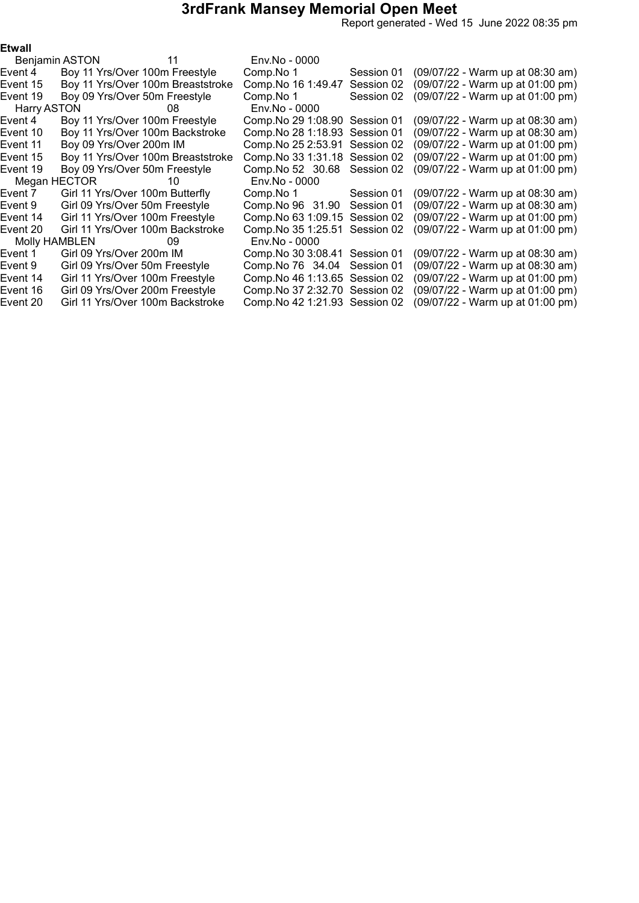Report generated - Wed 15 June 2022 08:35 pm

| ۰,<br>×<br>٧ |  |
|--------------|--|
|--------------|--|

|          | Benjamin ASTON 11               |                                   | Env.No - 0000                  |            |                                    |
|----------|---------------------------------|-----------------------------------|--------------------------------|------------|------------------------------------|
| Event 4  | Boy 11 Yrs/Over 100m Freestyle  |                                   | Comp.No 1                      | Session 01 | (09/07/22 - Warm up at 08:30 am)   |
| Event 15 |                                 | Boy 11 Yrs/Over 100m Breaststroke | Comp. No 16 1:49.47            | Session 02 | $(09/07/22 - Warm up at 01:00 pm)$ |
| Event 19 | Boy 09 Yrs/Over 50m Freestyle   |                                   | Comp.No 1                      | Session 02 | (09/07/22 - Warm up at 01:00 pm)   |
|          | Harry ASTON 68                  |                                   | Env.No - 0000                  |            |                                    |
| Event 4  | Boy 11 Yrs/Over 100m Freestyle  |                                   | Comp. No 29 1:08.90 Session 01 |            | (09/07/22 - Warm up at 08:30 am)   |
| Event 10 |                                 | Boy 11 Yrs/Over 100m Backstroke   | Comp. No 28 1:18.93 Session 01 |            | (09/07/22 - Warm up at 08:30 am)   |
| Event 11 | Boy 09 Yrs/Over 200m IM         |                                   | Comp. No 25 2:53.91 Session 02 |            | (09/07/22 - Warm up at 01:00 pm)   |
| Event 15 |                                 | Boy 11 Yrs/Over 100m Breaststroke | Comp. No 33 1:31.18            | Session 02 | (09/07/22 - Warm up at 01:00 pm)   |
| Event 19 | Boy 09 Yrs/Over 50m Freestyle   |                                   | Comp. No 52 30.68              | Session 02 | (09/07/22 - Warm up at 01:00 pm)   |
|          | Megan HECTOR 10                 |                                   | Env.No - 0000                  |            |                                    |
| Event 7  | Girl 11 Yrs/Over 100m Butterfly |                                   | Comp.No 1                      | Session 01 | (09/07/22 - Warm up at 08:30 am)   |
| Event 9  | Girl 09 Yrs/Over 50m Freestyle  |                                   | Comp.No 96 31.90               | Session 01 | (09/07/22 - Warm up at 08:30 am)   |
| Event 14 | Girl 11 Yrs/Over 100m Freestyle |                                   | Comp. No 63 1:09.15            | Session 02 | (09/07/22 - Warm up at 01:00 pm)   |
| Event 20 |                                 | Girl 11 Yrs/Over 100m Backstroke  | Comp. No 35 1:25.51            | Session 02 | (09/07/22 - Warm up at 01:00 pm)   |
|          | Molly HAMBLEN 09                |                                   | Env.No - 0000                  |            |                                    |
| Event 1  | Girl 09 Yrs/Over 200m IM        |                                   | Comp. No 30 3:08.41 Session 01 |            | (09/07/22 - Warm up at 08:30 am)   |
| Event 9  | Girl 09 Yrs/Over 50m Freestyle  |                                   | Comp.No 76 34.04               | Session 01 | (09/07/22 - Warm up at 08:30 am)   |
| Event 14 | Girl 11 Yrs/Over 100m Freestyle |                                   | Comp. No 46 1:13.65 Session 02 |            | (09/07/22 - Warm up at 01:00 pm)   |
| Event 16 | Girl 09 Yrs/Over 200m Freestyle |                                   | Comp. No 37 2:32.70 Session 02 |            | (09/07/22 - Warm up at 01:00 pm)   |
| Event 20 |                                 | Girl 11 Yrs/Over 100m Backstroke  | Comp. No 42 1:21.93 Session 02 |            | (09/07/22 - Warm up at 01:00 pm)   |
|          |                                 |                                   |                                |            |                                    |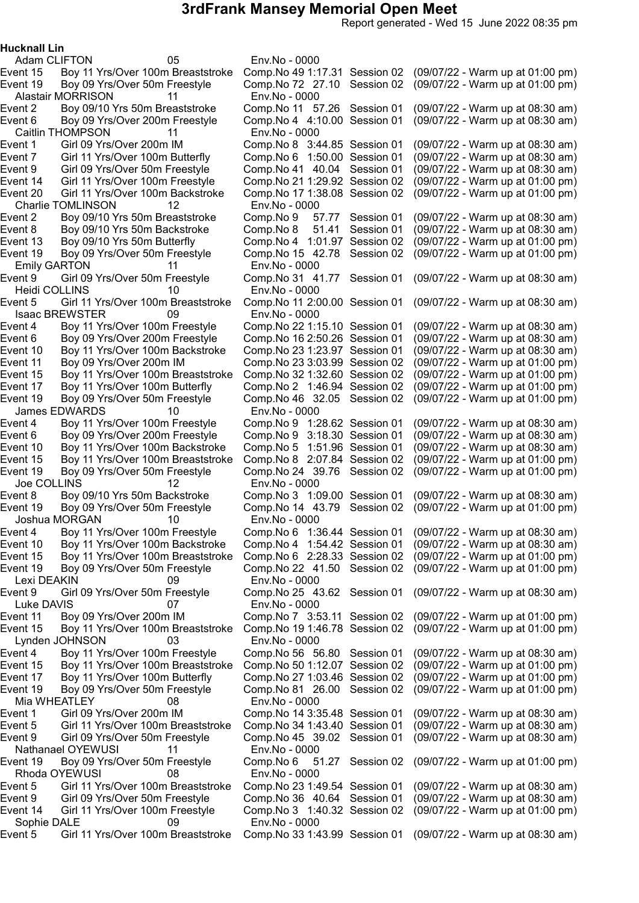Report generated - Wed 15 June 2022 08:35 pm

Hucknall Lin

Adam CLIFTON 05 Env.No - 0000 Alastair MORRISON 11 Env.No - 0000 Caitlin THOMPSON 11 Env.No - 0000<br>Event 1 Girl 09 Yrs/Over 200m IM Comp.No 8 3:44.85 Session 01 Event 7 Girl 11 Yrs/Over 100m Butterfly Comp.No 6 1:50.00 Session 01<br>Event 9 Girl 09 Yrs/Over 50m Freestyle Comp.No 41 40.04 Session 01 Event 20 Girl 11 Yrs/Over 100m Backstroke Charlie TOMLINSON 12 Env.No - 0000<br>5 Event 2 Boy 09/10 Yrs 50m Breaststroke Comp.No 9 Event 19 Boy 09 Yrs/Over 50m Freestyle Comp.No 15 42.78 Session 02 Emily GARTON 11 Env.No - 0000<br>
ent 9 Girl 09 Yrs/Over 50m Freestyle Comp.No 31 4 Heidi COLLINS 10 Env.No - 0000 Isaac BREWSTER 09 Env.No - 0000 James EDWARDS 10 Env.No - 0000 Joe COLLINS 12 Env.No - 0000 Joshua MORGAN 10 Env.No - 0000 Lexi DEAKIN 09 Env.No - 0000 Luke DAVIS 07 Env.No - 0000 Lynden JOHNSON 03 Env.No - 0000 Mia WHEATLEY 08 Env.No - 0000 Nathanael OYEWUSI 11 Env.No - 0000 Rhoda OYEWUSI 08 Env.No - 0000 Sophie DALE 09 Env.No - 0000

Event 15 Boy 11 Yrs/Over 100m Breaststroke Comp.No 491:17.31 Session 02 (09/07/22 - Warm up at 01:00 pm) Event 19 Boy 09 Yrs/Over 50m Freestyle Comp.No 72 27.10 Session 02 (09/07/22 - Warm up at 01:00 pm) Event 2 Boy 09/10 Yrs 50m Breaststroke Comp.No 11 57.26 Session 01 (09/07/22 - Warm up at 08:30 am)<br>Event 6 Boy 09 Yrs/Over 200m Freestyle Comp.No 4 4:10.00 Session 01 (09/07/22 - Warm up at 08:30 am) Boy 09 Yrs/Over 200m Freestyle Comp.No 4 4:10.00 Session 01 (09/07/22 - Warm up at 08:30 am) Girl 09 Yrs/Over 200m IM Comp.No 8 3:44.85 Session 01 (09/07/22 - Warm up at 08:30 am)<br>Girl 11 Yrs/Over 100m Butterfly Comp.No 6 1:50.00 Session 01 (09/07/22 - Warm up at 08:30 am) Event 9 Girl 09 Yrs/Over 50m Freestyle Comp.No 41 40.04 Session 01 (09/07/22 - Warm up at 08:30 am) Event 14 Girl 11 Yrs/Over 100m Freestyle Comp.No 21 1:29.92 Session 02 (09/07/22 - Warm up at 01:00 pm)<br>Event 20 Girl 11 Yrs/Over 100m Backstroke Comp.No 17 1:38.08 Session 02 (09/07/22 - Warm up at 01:00 pm) Event 2 Boy 09/10 Yrs 50m Breaststroke Comp.No 9 57.77 Session 01 (09/07/22 - Warm up at 08:30 am)<br>Event 8 Boy 09/10 Yrs 50m Backstroke Comp.No 8 51.41 Session 01 (09/07/22 - Warm up at 08:30 am) Boy 09/10 Yrs 50m Backstroke Comp.No 8 51.41 Session 01 (09/07/22 - Warm up at 08:30 am)<br>Boy 09/10 Yrs 50m Butterfly Comp.No 4 1:01.97 Session 02 (09/07/22 - Warm up at 01:00 pm) Event 13 Boy 09/10 Yrs 50m Butterfly Comp.No 4 1:01.97 Session 02 (09/07/22 - Warm up at 01:00 pm)<br>Event 19 Bov 09 Yrs/Over 50m Freestvle Comp.No 15 42.78 Session 02 (09/07/22 - Warm up at 01:00 pm) Event 9 Girl 09 Yrs/Over 50m Freestyle Comp.No 31 41.77 Session 01 (09/07/22 - Warm up at 08:30 am) Event 5 Girl 11 Yrs/Over 100m Breaststroke Comp.No 11 2:00.00 Session 01 (09/07/22 - Warm up at 08:30 am) Event 4 Boy 11 Yrs/Over 100m Freestyle Comp.No 221:15.10 Session 01 (09/07/22 - Warm up at 08:30 am) Event 6 Boy 09 Yrs/Over 200m Freestyle Comp.No 162:50.26 Session 01 (09/07/22 - Warm up at 08:30 am) Event 10 Boy 11 Yrs/Over 100m Backstroke Comp.No 231:23.97 Session 01 (09/07/22 - Warm up at 08:30 am) Event 11 Boy 09 Yrs/Over 200m IM Comp.No 233:03.99 Session 02 (09/07/22 - Warm up at 01:00 pm) Event 15 Boy 11 Yrs/Over 100m Breaststroke Comp.No 321:32.60 Session 02 (09/07/22 - Warm up at 01:00 pm) Event 17 Boy 11 Yrs/Over 100m Butterfly Comp.No 2 1:46.94 Session 02 (09/07/22 - Warm up at 01:00 pm) Event 19 Boy 09 Yrs/Over 50m Freestyle Comp.No 46 32.05 Session 02 (09/07/22 - Warm up at 01:00 pm) Event 4 Boy 11 Yrs/Over 100m Freestyle Comp.No 9 1:28.62 Session 01 (09/07/22 - Warm up at 08:30 am) Event 6 Boy 09 Yrs/Over 200m Freestyle Comp.No 9 3:18.30 Session 01 (09/07/22 - Warm up at 08:30 am) Event 10 Boy 11 Yrs/Over 100m Backstroke Comp.No 5 1:51.96 Session 01 (09/07/22 - Warm up at 08:30 am) Event 15 Boy 11 Yrs/Over 100m Breaststroke Comp.No 8 2:07.84 Session 02 (09/07/22 - Warm up at 01:00 pm) Event 19 Boy 09 Yrs/Over 50m Freestyle Comp.No 24 39.76 Session 02 (09/07/22 - Warm up at 01:00 pm) Event 8 Boy 09/10 Yrs 50m Backstroke Comp.No 3 1:09.00 Session 01 (09/07/22 - Warm up at 08:30 am) Event 19 Boy 09 Yrs/Over 50m Freestyle Comp.No 14 43.79 Session 02 (09/07/22 - Warm up at 01:00 pm) Event 4 Boy 11 Yrs/Over 100m Freestyle Comp.No 6 1:36.44 Session 01 (09/07/22 - Warm up at 08:30 am) Event 10 Boy 11 Yrs/Over 100m Backstroke Comp.No 4 1:54.42 Session 01 (09/07/22 - Warm up at 08:30 am) Event 15 Boy 11 Yrs/Over 100m Breaststroke Comp.No 6 2:28.33 Session 02 (09/07/22 - Warm up at 01:00 pm) Event 19 Boy 09 Yrs/Over 50m Freestyle Comp.No 22 41.50 Session 02 (09/07/22 - Warm up at 01:00 pm) Event 9 Girl 09 Yrs/Over 50m Freestyle Comp.No 25 43.62 Session 01 (09/07/22 - Warm up at 08:30 am) Event 11 Boy 09 Yrs/Over 200m IM Comp.No 7 3:53.11 Session 02 (09/07/22 - Warm up at 01:00 pm) Event 15 Boy 11 Yrs/Over 100m Breaststroke Comp.No 191:46.78 Session 02 (09/07/22 - Warm up at 01:00 pm) Event 4 Boy 11 Yrs/Over 100m Freestyle Comp.No 56 56.80 Session 01 (09/07/22 - Warm up at 08:30 am) Event 15 Boy 11 Yrs/Over 100m Breaststroke Comp.No 50 1:12.07 Session 02 (09/07/22 - Warm up at 01:00 pm) Event 17 Boy 11 Yrs/Over 100m Butterfly Comp.No 271:03.46 Session 02 (09/07/22 - Warm up at 01:00 pm) Event 19 Boy 09 Yrs/Over 50m Freestyle Comp.No 81 26.00 Session 02 (09/07/22 - Warm up at 01:00 pm) Event 1 Girl 09 Yrs/Over 200m IM Comp.No 143:35.48 Session 01 (09/07/22 - Warm up at 08:30 am) Event 5 Girl 11 Yrs/Over 100m Breaststroke Comp.No 341:43.40 Session 01 (09/07/22 - Warm up at 08:30 am) Event 9 Girl 09 Yrs/Over 50m Freestyle Comp.No 45 39.02 Session 01 (09/07/22 - Warm up at 08:30 am) Event 19 Boy 09 Yrs/Over 50m Freestyle Comp.No 6 51.27 Session 02 (09/07/22 - Warm up at 01:00 pm) Event 5 Girl 11 Yrs/Over 100m Breaststroke Comp.No 231:49.54 Session 01 (09/07/22 - Warm up at 08:30 am) Event 9 Girl 09 Yrs/Over 50m Freestyle Comp.No 36 40.64 Session 01 (09/07/22 - Warm up at 08:30 am) Event 14 Girl 11 Yrs/Over 100m Freestyle Comp.No 3 1:40.32 Session 02 (09/07/22 - Warm up at 01:00 pm) Event 5 Girl 11 Yrs/Over 100m Breaststroke Comp.No 331:43.99 Session 01 (09/07/22 - Warm up at 08:30 am)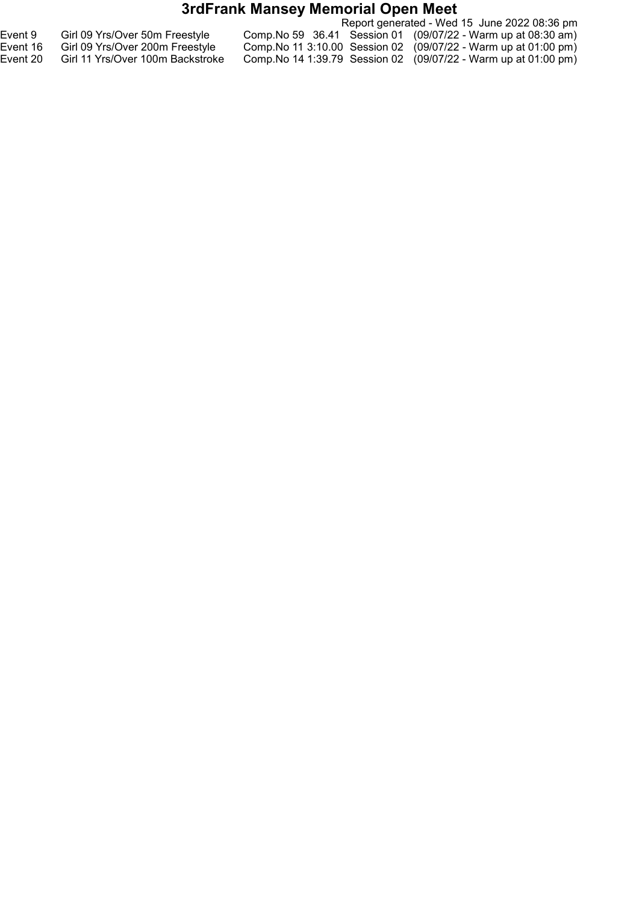|          |                                  | Report generated - Wed 15 June 2022 08:36 pm                          |
|----------|----------------------------------|-----------------------------------------------------------------------|
| Event 9  | Girl 09 Yrs/Over 50m Freestyle   | Comp. No 59 36.41 Session 01 (09/07/22 - Warm up at 08:30 am)         |
| Event 16 | Girl 09 Yrs/Over 200m Freestyle  | Comp. No 11 3:10.00 Session 02 $(09/07/22 - Warm$ up at 01:00 pm)     |
| Event 20 | Girl 11 Yrs/Over 100m Backstroke | Comp. No 14 1:39.79 Session 02 $(09/07/22 - Warm \uplus$ at 01:00 pm) |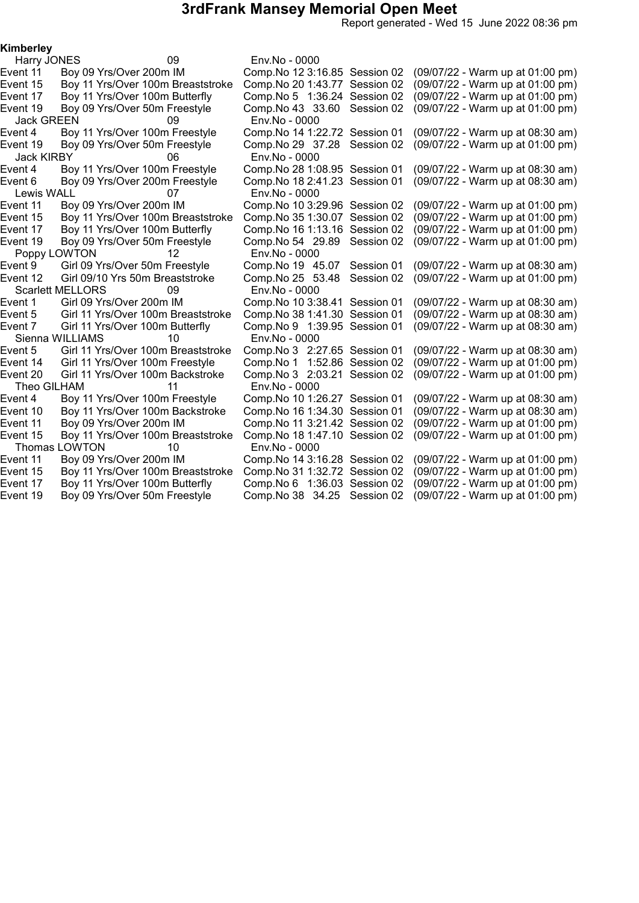Report generated - Wed 15 June 2022 08:36 pm

#### Kimberley

Harry JONES 09 Env.No - 0000 Event 11 Boy 09 Yrs/Over 200m IM Comp.No 123:16.85 Session 02 (09/07/22 - Warm up at 01:00 pm) Event 15 Boy 11 Yrs/Over 100m Breaststroke Comp.No 201:43.77 Session 02 (09/07/22 - Warm up at 01:00 pm) Event 17 Boy 11 Yrs/Over 100m Butterfly Comp.No 5 1:36.24 Session 02 (09/07/22 - Warm up at 01:00 pm) Event 19 Boy 09 Yrs/Over 50m Freestyle Comp.No 43 33.60 Session 02 (09/07/22 - Warm up at 01:00 pm) Jack GREEN 09 Env.No - 0000 Boy 11 Yrs/Over 100m Freestyle Comp.No 14 1:22.72 Session 01 (09/07/22 - Warm up at 08:30 am) Event 19 Boy 09 Yrs/Over 50m Freestyle Comp.No 29 37.28 Session 02 (09/07/22 - Warm up at 01:00 pm) Jack KIRBY 06 Env.No - 0000<br>Event 4 Boy 11 Yrs/Over 100m Freestyle Comp.No 28 1:08.95 Session 01 Boy 11 Yrs/Over 100m Freestyle Comp.No 28 1:08.95 Session 01 (09/07/22 - Warm up at 08:30 am)<br>Boy 09 Yrs/Over 200m Freestyle Comp.No 18 2:41.23 Session 01 (09/07/22 - Warm up at 08:30 am) Event 6 Boy 09 Yrs/Over 200m Freestyle Comp.No 182:41.23 Session 01 (09/07/22 - Warm up at 08:30 am) Lewis WALL 07 Env.No - 0000 (09/07/22 - Warm up at 01:00 pm)<br>(09/07/22 - Warm up at 01:00 pm) Event 15 Boy 11 Yrs/Over 100m Breaststroke Comp.No 35 1:30.07 Session 02<br>Event 17 Boy 11 Yrs/Over 100m Butterfly Comp.No 16 1:13.16 Session 02 Boy 11 Yrs/Over 100m Butterfly Comp.No 16 1:13.16 Session 02 (09/07/22 - Warm up at 01:00 pm)<br>Boy 09 Yrs/Over 50m Freestyle Comp.No 54 29.89 Session 02 (09/07/22 - Warm up at 01:00 pm) Event 19 Boy 09 Yrs/Over 50m Freestyle Comp.No 54 29.89 Session 02 (09/07/22 - Warm up at 01:00 pm) Poppy LOWTON 12 Env.No - 0000<br>4 Event 9 Girl 09 Yrs/Over 50m Freestyle Comp.No 19 Comp.No 19 45.07 Session 01 (09/07/22 - Warm up at 08:30 am) Event 12 Girl 09/10 Yrs 50m Breaststroke Comp.No 25 53.48 Session 02 (09/07/22 - Warm up at 01:00 pm) Scarlett MELLORS 09 Env.No - 0000 Comp.No 10 3:38.41 Session 01 (09/07/22 - Warm up at 08:30 am) Event 5 Girl 11 Yrs/Over 100m Breaststroke Comp.No 381:41.30 Session 01 (09/07/22 - Warm up at 08:30 am) Event 7 Girl 11 Yrs/Over 100m Butterfly Comp.No 9 1:39.95 Session 01 (09/07/22 - Warm up at 08:30 am) Sienna WILLIAMS 10 Env.No - 0000 Event 5 Girl 11 Yrs/Over 100m Breaststroke Comp.No 3 2:27.65 Session 01 (09/07/22 - Warm up at 08:30 am) Event 14 Girl 11 Yrs/Over 100m Freestyle Comp.No 1 1:52.86 Session 02 (09/07/22 - Warm up at 01:00 pm) Event 20 Girl 11 Yrs/Over 100m Backstroke Comp.No 3 2:03.21 Session 02 (09/07/22 - Warm up at 01:00 pm) Theo GILHAM 11 Env.No - 0000 Event 4 Boy 11 Yrs/Over 100m Freestyle Comp.No 101:26.27 Session 01 (09/07/22 - Warm up at 08:30 am) Event 10 Boy 11 Yrs/Over 100m Backstroke Comp.No 161:34.30 Session 01 (09/07/22 - Warm up at 08:30 am) Event 11 Boy 09 Yrs/Over 200m IM Comp.No 11 3:21.42 Session 02 (09/07/22 - Warm up at 01:00 pm) Event 15 Boy 11 Yrs/Over 100m Breaststroke Comp.No 181:47.10 Session 02 (09/07/22 - Warm up at 01:00 pm) Thomas LOWTON 10 Env.No - 0000 Event 11 Boy 09 Yrs/Over 200m IM Comp.No 143:16.28 Session 02 (09/07/22 - Warm up at 01:00 pm) Event 15 Boy 11 Yrs/Over 100m Breaststroke Comp.No 311:32.72 Session 02 (09/07/22 - Warm up at 01:00 pm) Event 17 Boy 11 Yrs/Over 100m Butterfly Comp.No 6 1:36.03 Session 02 (09/07/22 - Warm up at 01:00 pm) Event 19 Boy 09 Yrs/Over 50m Freestyle Comp.No 38 34.25 Session 02 (09/07/22 - Warm up at 01:00 pm)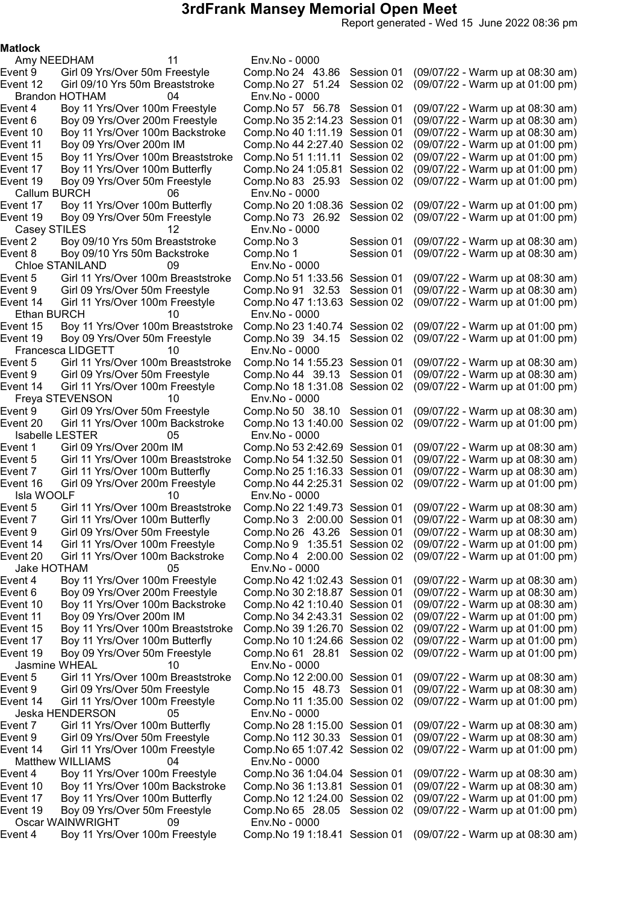Report generated - Wed 15 June 2022 08:36 pm

#### Matlock

Amy NEEDHAM 11 Env.No - 0000 Brandon HOTHAM 04 Env.No - 0000 Event 15 Boy 11 Yrs/Over 100m Breaststroke Comp.No 51 1:11.11 Session 02<br>Event 17 Boy 11 Yrs/Over 100m Butterfly Comp.No 24 1:05.81 Session 02 Event 19 Boy 09 Yrs/Over 50m Freestyle Comp.No 83 25.93 Session 02 Callum BURCH 06 Env.No - 0000 Casey STILES 12 Env.No - 0000<br>Event 2 Boy 09/10 Yrs 50m Breaststroke Comp.No 3 Chloe STANILAND 09 Env.No - 0000<br>Event 5 Girl 11 Yrs/Over 100m Breaststroke Comp.No 51 1:3 Ethan BURCH 10 Env.No - 0000 Francesca LIDGETT 10 Env.No - 0000 Freya STEVENSON 10 Env.No - 0000 Isabelle LESTER 05 Env.No - 0000 Isla WOOLF 10 Env.No - 0000 Jake HOTHAM 05 Env.No - 0000 Jasmine WHEAL 10 Env.No - 0000 Jeska HENDERSON 05 Env.No - 0000 Matthew WILLIAMS 04 Oscar WAINWRIGHT 09 Env.No - 0000

Event 9 Girl 09 Yrs/Over 50m Freestyle Comp.No 24 43.86 Session 01 (09/07/22 - Warm up at 08:30 am)<br>Event 12 Girl 09/10 Yrs 50m Breaststroke Comp.No 27 51.24 Session 02 (09/07/22 - Warm up at 01:00 pm) Event 12 Girl 09/10 Yrs 50m Breaststroke Comp.No 27 51.24 Session 02 (09/07/22 - Warm up at 01:00 pm) Boy 11 Yrs/Over 100m Freestyle Comp.No 57 56.78 Session 01 (09/07/22 - Warm up at 08:30 am) Event 6 Boy 09 Yrs/Over 200m Freestyle Comp.No 35 2:14.23 Session 01 (09/07/22 - Warm up at 08:30 am)<br>Event 10 Boy 11 Yrs/Over 100m Backstroke Comp.No 40 1:11.19 Session 01 (09/07/22 - Warm up at 08:30 am) Boy 11 Yrs/Over 100m Backstroke Comp.No 40 1:11.19 Session 01 (09/07/22 - Warm up at 08:30 am) Event 11 Boy 09 Yrs/Over 200m IM Comp.No 44 2:27.40 Session 02 (09/07/22 - Warm up at 01:00 pm)<br>Event 15 Boy 11 Yrs/Over 100m Breaststroke Comp.No 51 1:11.11 Session 02 (09/07/22 - Warm up at 01:00 pm) (09/07/22 - Warm up at 01:00 pm)<br>(09/07/22 - Warm up at 01:00 pm) Boy 11 Yrs/Over 100m Butterfly Comp.No 20 1:08.36 Session 02 (09/07/22 - Warm up at 01:00 pm)<br>Boy 09 Yrs/Over 50m Freestyle Comp.No 73 26.92 Session 02 (09/07/22 - Warm up at 01:00 pm) Event 19 Boy 09 Yrs/Over 50m Freestyle Comp.No 73 26.92 Session 02 (09/07/22 - Warm up at 01:00 pm) Event 2 Boy 09/10 Yrs 50m Breaststroke Comp.No 3 Session 01 (09/07/22 - Warm up at 08:30 am)<br>Boy 09/10 Yrs 50m Backstroke Comp.No 1 Session 01 (09/07/22 - Warm up at 08:30 am) Event 8 Boy 09/10 Yrs 50m Backstroke Comp.No 1 Session 01 (09/07/22 - Warm up at 08:30 am) Event 5 Girl 11 Yrs/Over 100m Breaststroke Comp.No 51 1:33.56 Session 01 (09/07/22 - Warm up at 08:30 am)<br>Event 9 Girl 09 Yrs/Over 50m Freestyle Comp.No 91 32.53 Session 01 (09/07/22 -Girl 09 Yrs/Over 50m Freestyle Comp.No 91 32.53 Session 01 (09/07/22 - Warm up at 08:30 am) Event 14 Girl 11 Yrs/Over 100m Freestyle Comp.No 471:13.63 Session 02 (09/07/22 - Warm up at 01:00 pm) Event 15 Boy 11 Yrs/Over 100m Breaststroke Comp.No 231:40.74 Session 02 (09/07/22 - Warm up at 01:00 pm) Event 19 Boy 09 Yrs/Over 50m Freestyle Comp.No 39 34.15 Session 02 (09/07/22 - Warm up at 01:00 pm) Event 5 Girl 11 Yrs/Over 100m Breaststroke Comp.No 141:55.23 Session 01 (09/07/22 - Warm up at 08:30 am) Event 9 Girl 09 Yrs/Over 50m Freestyle Comp.No 44 39.13 Session 01 (09/07/22 - Warm up at 08:30 am) Event 14 Girl 11 Yrs/Over 100m Freestyle Comp.No 181:31.08 Session 02 (09/07/22 - Warm up at 01:00 pm) Event 9 Girl 09 Yrs/Over 50m Freestyle Comp.No 50 38.10 Session 01 (09/07/22 - Warm up at 08:30 am) Event 20 Girl 11 Yrs/Over 100m Backstroke Comp.No 131:40.00 Session 02 (09/07/22 - Warm up at 01:00 pm) Event 1 Girl 09 Yrs/Over 200m IM Comp.No 532:42.69 Session 01 (09/07/22 - Warm up at 08:30 am) Event 5 Girl 11 Yrs/Over 100m Breaststroke Comp.No 541:32.50 Session 01 (09/07/22 - Warm up at 08:30 am) Event 7 Girl 11 Yrs/Over 100m Butterfly Comp.No 251:16.33 Session 01 (09/07/22 - Warm up at 08:30 am) Event 16 Girl 09 Yrs/Over 200m Freestyle Comp.No 442:25.31 Session 02 (09/07/22 - Warm up at 01:00 pm) Event 5 Girl 11 Yrs/Over 100m Breaststroke Comp.No 221:49.73 Session 01 (09/07/22 - Warm up at 08:30 am) Event 7 Girl 11 Yrs/Over 100m Butterfly Comp.No 3 2:00.00 Session 01 (09/07/22 - Warm up at 08:30 am) Event 9 Girl 09 Yrs/Over 50m Freestyle Comp.No 26 43.26 Session 01 (09/07/22 - Warm up at 08:30 am) Event 14 Girl 11 Yrs/Over 100m Freestyle Comp.No 9 1:35.51 Session 02 (09/07/22 - Warm up at 01:00 pm) Event 20 Girl 11 Yrs/Over 100m Backstroke Comp.No 4 2:00.00 Session 02 (09/07/22 - Warm up at 01:00 pm) Event 4 Boy 11 Yrs/Over 100m Freestyle Comp.No 421:02.43 Session 01 (09/07/22 - Warm up at 08:30 am) Event 6 Boy 09 Yrs/Over 200m Freestyle Comp.No 302:18.87 Session 01 (09/07/22 - Warm up at 08:30 am) Event 10 Boy 11 Yrs/Over 100m Backstroke Comp.No 421:10.40 Session 01 (09/07/22 - Warm up at 08:30 am) Event 11 Boy 09 Yrs/Over 200m IM Comp.No 342:43.31 Session 02 (09/07/22 - Warm up at 01:00 pm) Event 15 Boy 11 Yrs/Over 100m Breaststroke Comp.No 391:26.70 Session 02 (09/07/22 - Warm up at 01:00 pm) Event 17 Boy 11 Yrs/Over 100m Butterfly Comp.No 101:24.66 Session 02 (09/07/22 - Warm up at 01:00 pm) Event 19 Boy 09 Yrs/Over 50m Freestyle Comp.No 61 28.81 Session 02 (09/07/22 - Warm up at 01:00 pm) Girl 11 Yrs/Over 100m Breaststroke Comp.No 12 2:00.00 Session 01 (09/07/22 - Warm up at 08:30 am) Event 9 Girl 09 Yrs/Over 50m Freestyle Comp.No 15 48.73 Session 01 (09/07/22 - Warm up at 08:30 am) Event 14 Girl 11 Yrs/Over 100m Freestyle Comp.No 11 1:35.00 Session 02 (09/07/22 - Warm up at 01:00 pm) Event 7 Girl 11 Yrs/Over 100m Butterfly Comp.No 281:15.00 Session 01 (09/07/22 - Warm up at 08:30 am) Event 9 Girl 09 Yrs/Over 50m Freestyle Comp.No 112 30.33 Session 01 (09/07/22 - Warm up at 08:30 am) Event 14 Girl 11 Yrs/Over 100m Freestyle Comp.No 651:07.42 Session 02 (09/07/22 - Warm up at 01:00 pm) Event 4 Boy 11 Yrs/Over 100m Freestyle Comp.No 361:04.04 Session 01 (09/07/22 - Warm up at 08:30 am) Event 10 Boy 11 Yrs/Over 100m Backstroke Comp.No 361:13.81 Session 01 (09/07/22 - Warm up at 08:30 am) Event 17 Boy 11 Yrs/Over 100m Butterfly Comp.No 121:24.00 Session 02 (09/07/22 - Warm up at 01:00 pm) Event 19 Boy 09 Yrs/Over 50m Freestyle Comp.No 65 28.05 Session 02 (09/07/22 - Warm up at 01:00 pm) Event 4 Boy 11 Yrs/Over 100m Freestyle Comp.No 191:18.41 Session 01 (09/07/22 - Warm up at 08:30 am)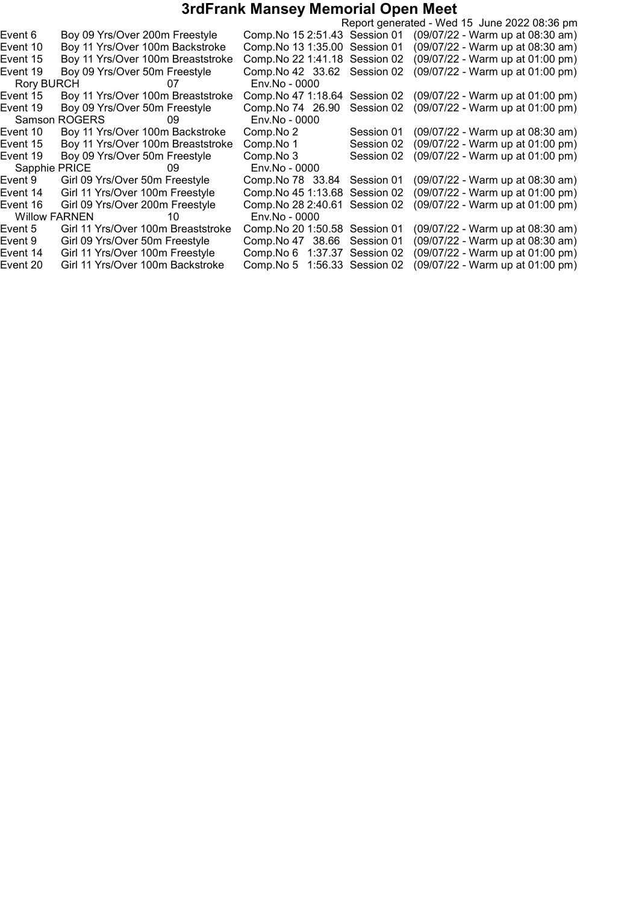|          |                                    |    |                                |            | Report generated - Wed 15 June 2022 08:36 pm |  |
|----------|------------------------------------|----|--------------------------------|------------|----------------------------------------------|--|
| Event 6  | Boy 09 Yrs/Over 200m Freestyle     |    | Comp. No 15 2:51.43 Session 01 |            | (09/07/22 - Warm up at 08:30 am)             |  |
| Event 10 | Boy 11 Yrs/Over 100m Backstroke    |    | Comp. No 13 1:35.00 Session 01 |            | (09/07/22 - Warm up at 08:30 am)             |  |
| Event 15 | Boy 11 Yrs/Over 100m Breaststroke  |    | Comp. No 22 1:41.18 Session 02 |            | (09/07/22 - Warm up at 01:00 pm)             |  |
| Event 19 | Boy 09 Yrs/Over 50m Freestyle      |    | Comp. No 42 33.62 Session 02   |            | (09/07/22 - Warm up at 01:00 pm)             |  |
|          | Rory BURCH 07                      |    | Env.No - 0000                  |            |                                              |  |
| Event 15 | Boy 11 Yrs/Over 100m Breaststroke  |    | Comp. No 47 1:18.64            | Session 02 | (09/07/22 - Warm up at 01:00 pm)             |  |
| Event 19 | Boy 09 Yrs/Over 50m Freestyle      |    | Comp. No 74 26.90              | Session 02 | (09/07/22 - Warm up at 01:00 pm)             |  |
|          | Samson ROGERS 69                   |    | Env.No - 0000                  |            |                                              |  |
| Event 10 | Boy 11 Yrs/Over 100m Backstroke    |    | Comp.No 2                      | Session 01 | (09/07/22 - Warm up at 08:30 am)             |  |
| Event 15 | Boy 11 Yrs/Over 100m Breaststroke  |    | Comp.No 1                      | Session 02 | (09/07/22 - Warm up at 01:00 pm)             |  |
| Event 19 | Boy 09 Yrs/Over 50m Freestyle      |    | Comp.No 3                      | Session 02 | (09/07/22 - Warm up at 01:00 pm)             |  |
|          | Sapphie PRICE 69                   |    | Env.No - 0000                  |            |                                              |  |
| Event 9  | Girl 09 Yrs/Over 50m Freestyle     |    | Comp. No 78 33.84              | Session 01 | (09/07/22 - Warm up at 08:30 am)             |  |
| Event 14 | Girl 11 Yrs/Over 100m Freestyle    |    | Comp. No 45 1:13.68            | Session 02 | (09/07/22 - Warm up at 01:00 pm)             |  |
| Event 16 | Girl 09 Yrs/Over 200m Freestyle    |    | Comp. No 28 2:40.61            | Session 02 | (09/07/22 - Warm up at 01:00 pm)             |  |
|          | Willow FARNEN                      | 10 | Env.No - 0000                  |            |                                              |  |
| Event 5  | Girl 11 Yrs/Over 100m Breaststroke |    | Comp. No 20 1:50.58 Session 01 |            | (09/07/22 - Warm up at 08:30 am)             |  |
| Event 9  | Girl 09 Yrs/Over 50m Freestyle     |    | Comp. No 47 38.66              | Session 01 | (09/07/22 - Warm up at 08:30 am)             |  |
| Event 14 | Girl 11 Yrs/Over 100m Freestyle    |    | Comp. No 6 1:37.37 Session 02  |            | (09/07/22 - Warm up at 01:00 pm)             |  |
| Event 20 | Girl 11 Yrs/Over 100m Backstroke   |    | Comp. No 5 1:56.33 Session 02  |            | (09/07/22 - Warm up at 01:00 pm)             |  |
|          |                                    |    |                                |            |                                              |  |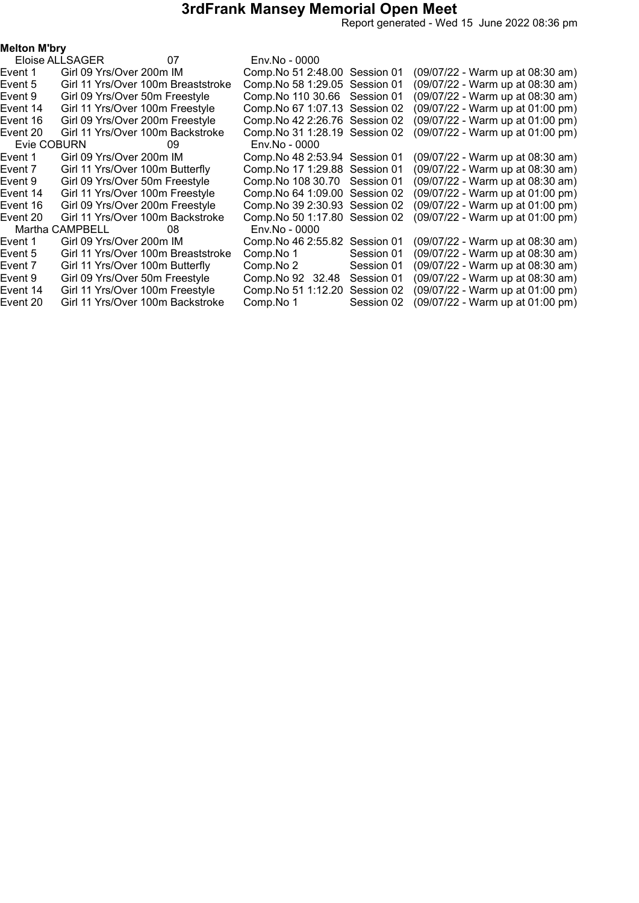Report generated - Wed 15 June 2022 08:36 pm

| Melton M'bry |  |
|--------------|--|
|--------------|--|

|             | Eloise ALLSAGER                 | 07                                 | Env.No - 0000                  |            |                                  |
|-------------|---------------------------------|------------------------------------|--------------------------------|------------|----------------------------------|
| Event 1     | Girl 09 Yrs/Over 200m IM        |                                    | Comp. No 51 2:48.00 Session 01 |            | (09/07/22 - Warm up at 08:30 am) |
| Event 5     |                                 | Girl 11 Yrs/Over 100m Breaststroke | Comp. No 58 1:29.05 Session 01 |            | (09/07/22 - Warm up at 08:30 am) |
| Event 9     | Girl 09 Yrs/Over 50m Freestyle  |                                    | Comp. No 110 30.66 Session 01  |            | (09/07/22 - Warm up at 08:30 am) |
| Event 14    | Girl 11 Yrs/Over 100m Freestyle |                                    | Comp. No 67 1:07.13 Session 02 |            | (09/07/22 - Warm up at 01:00 pm) |
| Event 16    |                                 | Girl 09 Yrs/Over 200m Freestyle    | Comp. No 42 2:26.76 Session 02 |            | (09/07/22 - Warm up at 01:00 pm) |
| Event 20    |                                 | Girl 11 Yrs/Over 100m Backstroke   | Comp. No 31 1:28.19 Session 02 |            | (09/07/22 - Warm up at 01:00 pm) |
| Evie COBURN |                                 | 09                                 | Env.No - 0000                  |            |                                  |
| Event 1     | Girl 09 Yrs/Over 200m IM        |                                    | Comp. No 48 2:53.94 Session 01 |            | (09/07/22 - Warm up at 08:30 am) |
| Event 7     | Girl 11 Yrs/Over 100m Butterfly |                                    | Comp. No 17 1:29.88 Session 01 |            | (09/07/22 - Warm up at 08:30 am) |
| Event 9     | Girl 09 Yrs/Over 50m Freestyle  |                                    | Comp. No 108 30.70             | Session 01 | (09/07/22 - Warm up at 08:30 am) |
| Event 14    | Girl 11 Yrs/Over 100m Freestyle |                                    | Comp. No 64 1:09.00 Session 02 |            | (09/07/22 - Warm up at 01:00 pm) |
| Event 16    |                                 | Girl 09 Yrs/Over 200m Freestyle    | Comp. No 39 2:30.93 Session 02 |            | (09/07/22 - Warm up at 01:00 pm) |
| Event 20    |                                 | Girl 11 Yrs/Over 100m Backstroke   | Comp. No 50 1:17.80 Session 02 |            | (09/07/22 - Warm up at 01:00 pm) |
|             | Martha CAMPBELL                 | 08.                                | Env.No - 0000                  |            |                                  |
| Event 1     | Girl 09 Yrs/Over 200m IM        |                                    | Comp. No 46 2:55.82            | Session 01 | (09/07/22 - Warm up at 08:30 am) |
| Event 5     |                                 | Girl 11 Yrs/Over 100m Breaststroke | Comp.No 1                      | Session 01 | (09/07/22 - Warm up at 08:30 am) |
| Event 7     | Girl 11 Yrs/Over 100m Butterfly |                                    | Comp.No 2                      | Session 01 | (09/07/22 - Warm up at 08:30 am) |
| Event 9     | Girl 09 Yrs/Over 50m Freestyle  |                                    | Comp. No 92 32.48              | Session 01 | (09/07/22 - Warm up at 08:30 am) |
| Event 14    | Girl 11 Yrs/Over 100m Freestyle |                                    | Comp. No 51 1:12.20            | Session 02 | (09/07/22 - Warm up at 01:00 pm) |
| Event 20    |                                 | Girl 11 Yrs/Over 100m Backstroke   | Comp.No 1                      | Session 02 | (09/07/22 - Warm up at 01:00 pm) |
|             |                                 |                                    |                                |            |                                  |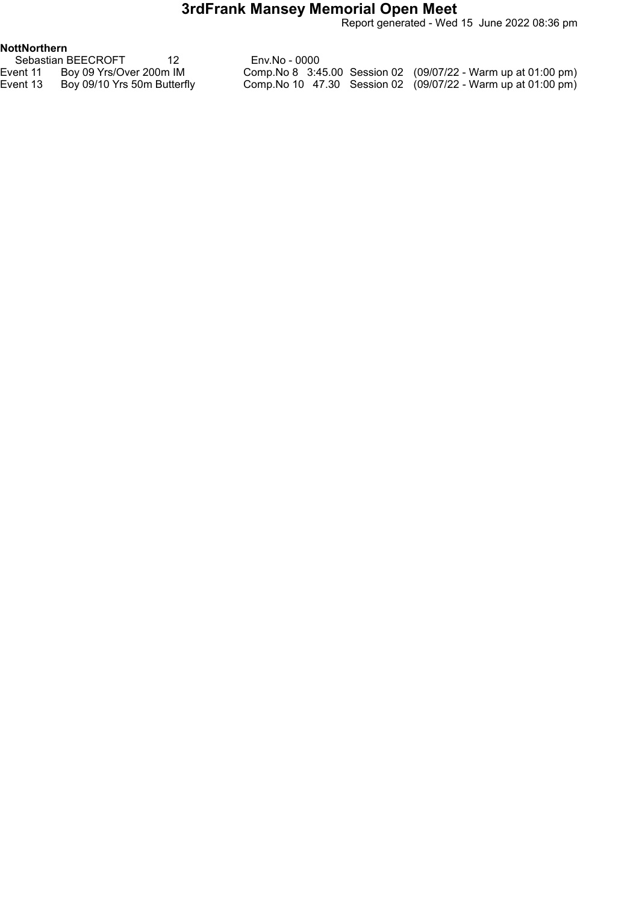Report generated - Wed 15 June 2022 08:36 pm

#### NottNorthern

|          | Sebastian BEECROFT          | Env.No - 0000 |  |                                                                |
|----------|-----------------------------|---------------|--|----------------------------------------------------------------|
|          |                             |               |  |                                                                |
| Event 11 | Boy 09 Yrs/Over 200m IM     |               |  | Comp. No 8 3:45.00 Session 02 (09/07/22 - Warm up at 01:00 pm) |
| Event 13 | Boy 09/10 Yrs 50m Butterfly |               |  | Comp. No 10 47.30 Session 02 (09/07/22 - Warm up at 01:00 pm)  |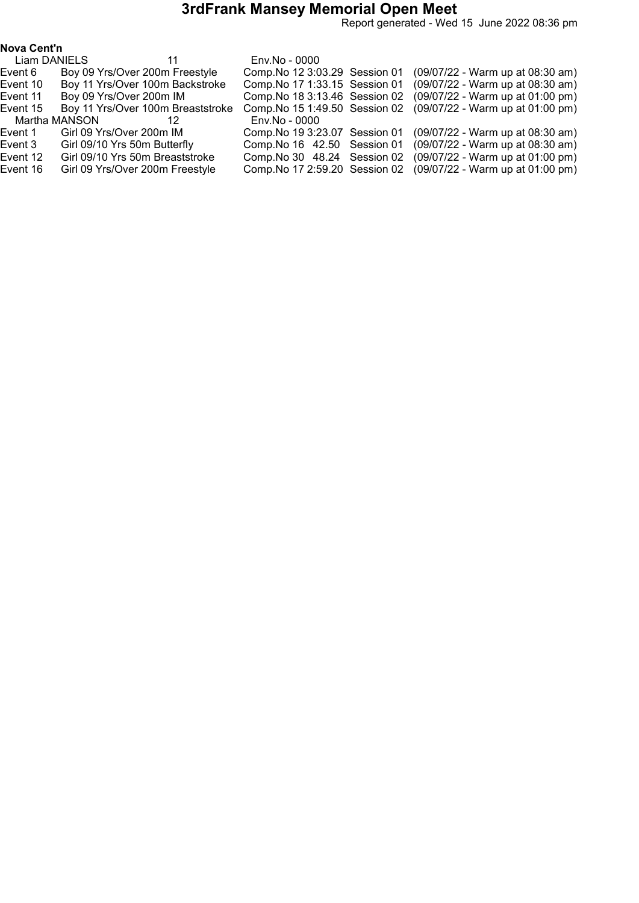Report generated - Wed 15 June 2022 08:36 pm

|  | Nova Cent'n |
|--|-------------|
|--|-------------|

| Liam DANIELS |               |                                   | Env.No - 0000                  |                                  |  |  |
|--------------|---------------|-----------------------------------|--------------------------------|----------------------------------|--|--|
| Event 6      |               | Boy 09 Yrs/Over 200m Freestyle    | Comp. No 12 3:03.29 Session 01 | (09/07/22 - Warm up at 08:30 am) |  |  |
| Event 10     |               | Boy 11 Yrs/Over 100m Backstroke   | Comp. No 17 1:33.15 Session 01 | (09/07/22 - Warm up at 08:30 am) |  |  |
| Event 11     |               | Boy 09 Yrs/Over 200m IM           | Comp. No 18 3:13.46 Session 02 | (09/07/22 - Warm up at 01:00 pm) |  |  |
| Event 15     |               | Boy 11 Yrs/Over 100m Breaststroke | Comp. No 15 1:49.50 Session 02 | (09/07/22 - Warm up at 01:00 pm) |  |  |
|              | Martha MANSON | 12                                | Env.No - 0000                  |                                  |  |  |
| Event 1      |               | Girl 09 Yrs/Over 200m IM          | Comp. No 19 3:23.07 Session 01 | (09/07/22 - Warm up at 08:30 am) |  |  |
| Event 3      |               | Girl 09/10 Yrs 50m Butterfly      | Comp. No 16 42.50 Session 01   | (09/07/22 - Warm up at 08:30 am) |  |  |
| Event 12     |               | Girl 09/10 Yrs 50m Breaststroke   | Comp. No 30 48.24 Session 02   | (09/07/22 - Warm up at 01:00 pm) |  |  |
| Event 16     |               | Girl 09 Yrs/Over 200m Freestyle   | Comp. No 17 2:59.20 Session 02 | (09/07/22 - Warm up at 01:00 pm) |  |  |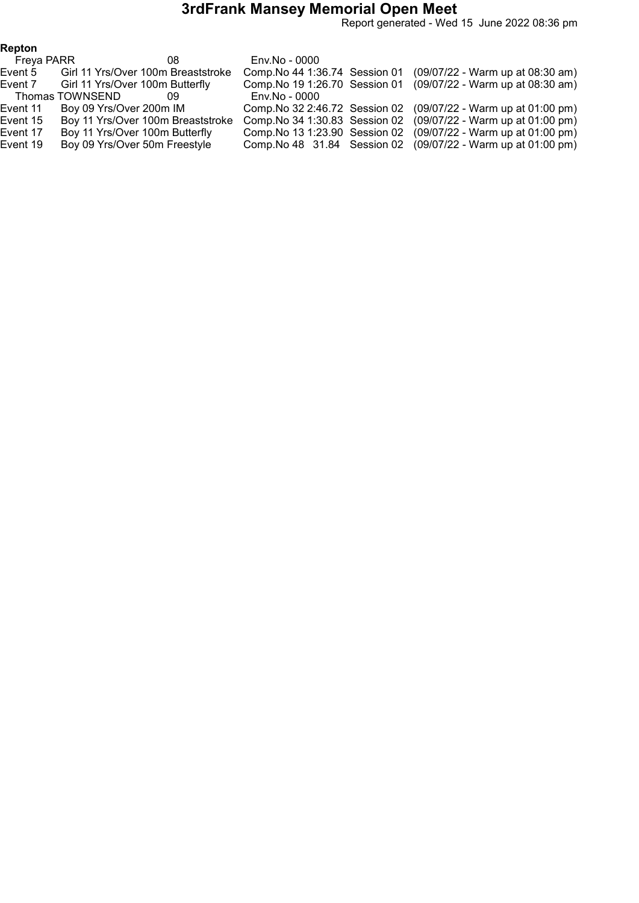Report generated - Wed 15 June 2022 08:36 pm

| Repton     |                                    |                                |                                                                 |
|------------|------------------------------------|--------------------------------|-----------------------------------------------------------------|
| Freya PARR | 08                                 | Env.No - 0000                  |                                                                 |
| Event 5    | Girl 11 Yrs/Over 100m Breaststroke | Comp. No 44 1:36.74 Session 01 | (09/07/22 - Warm up at 08:30 am)                                |
| Event 7    | Girl 11 Yrs/Over 100m Butterfly    | Comp. No 19 1:26.70 Session 01 | (09/07/22 - Warm up at 08:30 am)                                |
|            | Thomas TOWNSEND<br>09              | Env.No - 0000                  |                                                                 |
| Event 11   | Boy 09 Yrs/Over 200m IM            |                                | Comp. No 32 2:46.72 Session 02 (09/07/22 - Warm up at 01:00 pm) |
| Event 15   | Boy 11 Yrs/Over 100m Breaststroke  | Comp. No 34 1:30.83 Session 02 | (09/07/22 - Warm up at 01:00 pm)                                |
| Event 17   | Boy 11 Yrs/Over 100m Butterfly     | Comp. No 13 1:23.90 Session 02 | (09/07/22 - Warm up at 01:00 pm)                                |
| Event 19   | Boy 09 Yrs/Over 50m Freestyle      | Comp. No 48 31.84 Session 02   | $(09/07/22 - Warm up at 01:00 pm)$                              |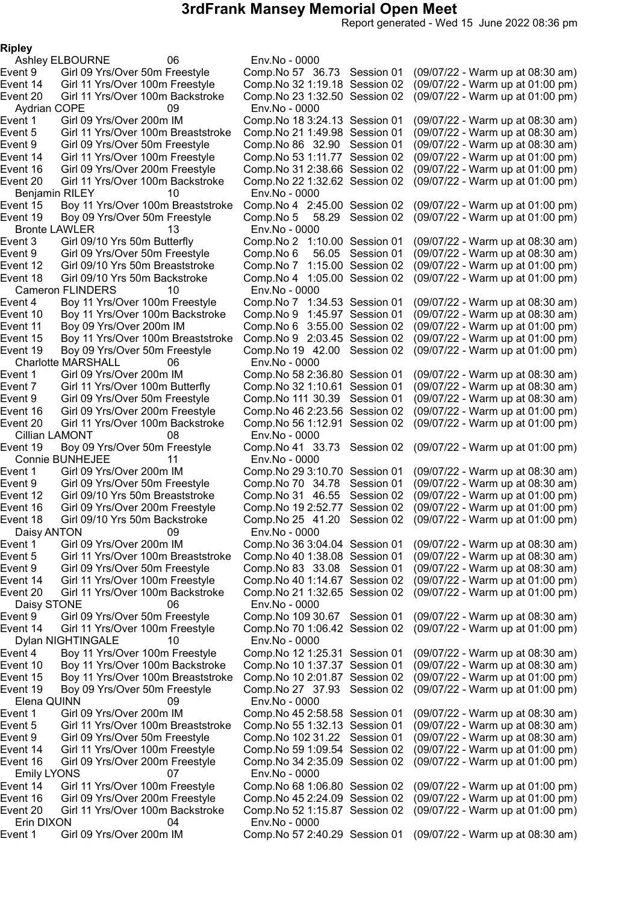Report generated - Wed 15 June 2022 08:36 pm

Ripley

Ashley ELBOURNE 06 Env.No - 0000 Aydrian COPE 09 Env.No - 0000 Benjamin RILEY 10 Env.No - 0000 Bronte LAWLER 13 Env.No - 0000<br>Event 3 Girl 09/10 Yrs 50m Butterfly Comp.No 2 1:1 Cameron FLINDERS 10 Env.No - 0000 Charlotte MARSHALL 06 Env.No - 0000 Cillian LAMONT 08 Env.No - 0000 Connie BUNHEJEE 11 Env.No - 0000<br>ent 1 Girl 09 Yrs/Over 200m IM Comp.No 29 3:1 Daisy ANTON 09 Env.No - 0000 Daisy STONE 06 Env.No - 0000 Dylan NIGHTINGALE 10 Env.No - 0000 Elena QUINN 09 Env.No - 0000 Emily LYONS 07 Env.No - 0000 Erin DIXON 04 Env.No - 0000

Event 9 Girl 09 Yrs/Over 50m Freestyle Comp.No 57 36.73 Session 01 (09/07/22 - Warm up at 08:30 am)<br>Event 14 Girl 11 Yrs/Over 100m Freestyle Comp.No 32 1:19.18 Session 02 (09/07/22 - Warm up at 01:00 pm) Girl 11 Yrs/Over 100m Freestyle Comp.No 32 1:19.18 Session 02 (09/07/22 - Warm up at 01:00 pm) Event 20 Girl 11 Yrs/Over 100m Backstroke Comp.No 231:32.50 Session 02 (09/07/22 - Warm up at 01:00 pm) Girl 09 Yrs/Over 200m IM Comp.No 18 3:24.13 Session 01 (09/07/22 - Warm up at 08:30 am) Event 5 Girl 11 Yrs/Over 100m Breaststroke Comp.No 211:49.98 Session 01 (09/07/22 - Warm up at 08:30 am) Event 9 Girl 09 Yrs/Over 50m Freestyle Comp.No 86 32.90 Session 01 (09/07/22 - Warm up at 08:30 am)<br>Event 14 Girl 11 Yrs/Over 100m Freestyle Comp.No 53 1:11.77 Session 02 (09/07/22 - Warm up at 01:00 pm) Event 14 Girl 11 Yrs/Over 100m Freestyle Comp.No 531:11.77 Session 02 (09/07/22 - Warm up at 01:00 pm) Event 16 Girl 09 Yrs/Over 200m Freestyle Comp.No 312:38.66 Session 02 (09/07/22 - Warm up at 01:00 pm) (09/07/22 - Warm up at 01:00 pm) Boy 11 Yrs/Over 100m Breaststroke Comp.No 4 2:45.00 Session 02 (09/07/22 - Warm up at 01:00 pm)<br>Boy 09 Yrs/Over 50m Freestyle Comp.No 5 58.29 Session 02 (09/07/22 - Warm up at 01:00 pm) Event 19 Boy 09 Yrs/Over 50m Freestyle Comp.No 5 58.29 Session 02 (09/07/22 - Warm up at 01:00 pm) Event 3 Girl 09/10 Yrs 50m Butterfly Comp.No 2 1:10.00 Session 01 (09/07/22 - Warm up at 08:30 am)<br>Event 9 Girl 09 Yrs/Over 50m Freestyle Comp.No 6 56.05 Session 01 (09/07/22 - Warm up at 08:30 am) Girl 09 Yrs/Over 50m Freestyle Comp.No 6 56.05 Session 01 (09/07/22 - Warm up at 08:30 am)<br>Girl 09/10 Yrs 50m Breaststroke Comp.No 7 1:15.00 Session 02 (09/07/22 - Warm up at 01:00 pm) Event 12 Girl 09/10 Yrs 50m Breaststroke Comp.No 7 1:15.00 Session 02 (09/07/22 - Warm up at 01:00 pm) Event 18 Girl 09/10 Yrs 50m Backstroke Comp.No 4 1:05.00 Session 02 (09/07/22 - Warm up at 01:00 pm) Boy 11 Yrs/Over 100m Freestyle Comp.No 7 1:34.53 Session 01 (09/07/22 - Warm up at 08:30 am) Event 10 Boy 11 Yrs/Over 100m Backstroke Comp.No 9 1:45.97 Session 01 (09/07/22 - Warm up at 08:30 am) Event 11 Boy 09 Yrs/Over 200m IM Comp.No 6 3:55.00 Session 02 (09/07/22 - Warm up at 01:00 pm) Event 15 Boy 11 Yrs/Over 100m Breaststroke Comp.No 9 2:03.45 Session 02 (09/07/22 - Warm up at 01:00 pm) Event 19 Boy 09 Yrs/Over 50m Freestyle Comp.No 19 42.00 Session 02 (09/07/22 - Warm up at 01:00 pm) Event 1 Girl 09 Yrs/Over 200m IM Comp.No 582:36.80 Session 01 (09/07/22 - Warm up at 08:30 am) Event 7 Girl 11 Yrs/Over 100m Butterfly Comp.No 321:10.61 Session 01 (09/07/22 - Warm up at 08:30 am) Event 9 Girl 09 Yrs/Over 50m Freestyle Comp.No 111 30.39 Session 01 (09/07/22 - Warm up at 08:30 am) Event 16 Girl 09 Yrs/Over 200m Freestyle Comp.No 462:23.56 Session 02 (09/07/22 - Warm up at 01:00 pm) Event 20 Girl 11 Yrs/Over 100m Backstroke Comp.No 561:12.91 Session 02 (09/07/22 - Warm up at 01:00 pm) Event 19 Boy 09 Yrs/Over 50m Freestyle Comp.No 41 33.73 Session 02 (09/07/22 - Warm up at 01:00 pm) Event 1 Girl 09 Yrs/Over 200m IM Comp.No 293:10.70 Session 01 (09/07/22 - Warm up at 08:30 am) Event 9 Girl 09 Yrs/Over 50m Freestyle Comp.No 70 34.78 Session 01 (09/07/22 - Warm up at 08:30 am) Event 12 Girl 09/10 Yrs 50m Breaststroke Comp.No 31 46.55 Session 02 (09/07/22 - Warm up at 01:00 pm) Event 16 Girl 09 Yrs/Over 200m Freestyle Comp.No 192:52.77 Session 02 (09/07/22 - Warm up at 01:00 pm) Event 18 Girl 09/10 Yrs 50m Backstroke Comp.No 25 41.20 Session 02 (09/07/22 - Warm up at 01:00 pm) Event 1 Girl 09 Yrs/Over 200m IM Comp.No 363:04.04 Session 01 (09/07/22 - Warm up at 08:30 am) Event 5 Girl 11 Yrs/Over 100m Breaststroke Comp.No 401:38.08 Session 01 (09/07/22 - Warm up at 08:30 am) Event 9 Girl 09 Yrs/Over 50m Freestyle Comp.No 83 33.08 Session 01 (09/07/22 - Warm up at 08:30 am) Event 14 Girl 11 Yrs/Over 100m Freestyle Comp.No 401:14.67 Session 02 (09/07/22 - Warm up at 01:00 pm) Event 20 Girl 11 Yrs/Over 100m Backstroke Comp.No 211:32.65 Session 02 (09/07/22 - Warm up at 01:00 pm) Event 9 Girl 09 Yrs/Over 50m Freestyle Comp.No 109 30.67 Session 01 (09/07/22 - Warm up at 08:30 am) Event 14 Girl 11 Yrs/Over 100m Freestyle Comp.No 701:06.42 Session 02 (09/07/22 - Warm up at 01:00 pm) Event 4 Boy 11 Yrs/Over 100m Freestyle Comp.No 121:25.31 Session 01 (09/07/22 - Warm up at 08:30 am) Event 10 Boy 11 Yrs/Over 100m Backstroke Comp.No 101:37.37 Session 01 (09/07/22 - Warm up at 08:30 am) Event 15 Boy 11 Yrs/Over 100m Breaststroke Comp.No 102:01.87 Session 02 (09/07/22 - Warm up at 01:00 pm) Event 19 Boy 09 Yrs/Over 50m Freestyle Comp.No 27 37.93 Session 02 (09/07/22 - Warm up at 01:00 pm) Event 1 Girl 09 Yrs/Over 200m IM Comp.No 452:58.58 Session 01 (09/07/22 - Warm up at 08:30 am) Event 5 Girl 11 Yrs/Over 100m Breaststroke Comp.No 551:32.13 Session 01 (09/07/22 - Warm up at 08:30 am) Event 9 Girl 09 Yrs/Over 50m Freestyle Comp.No 102 31.22 Session 01 (09/07/22 - Warm up at 08:30 am) Event 14 Girl 11 Yrs/Over 100m Freestyle Comp.No 591:09.54 Session 02 (09/07/22 - Warm up at 01:00 pm) Event 16 Girl 09 Yrs/Over 200m Freestyle Comp.No 342:35.09 Session 02 (09/07/22 - Warm up at 01:00 pm) Event 14 Girl 11 Yrs/Over 100m Freestyle Comp.No 681:06.80 Session 02 (09/07/22 - Warm up at 01:00 pm) Event 16 Girl 09 Yrs/Over 200m Freestyle Comp.No 452:24.09 Session 02 (09/07/22 - Warm up at 01:00 pm) Event 20 Girl 11 Yrs/Over 100m Backstroke Comp.No 521:15.87 Session 02 (09/07/22 - Warm up at 01:00 pm) Girl 09 Yrs/Over 200m IM Comp.No 57 2:40.29 Session 01 (09/07/22 - Warm up at 08:30 am)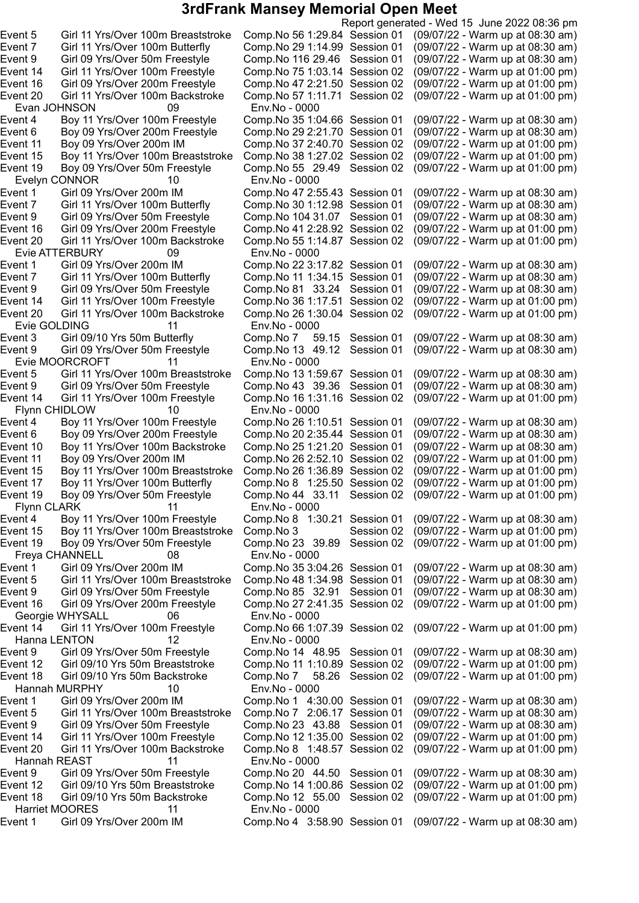Report generated - Wed 15 June 2022 08:36 pm Event 5 Girl 11 Yrs/Over 100m Breaststroke Comp.No 561:29.84 Session 01 (09/07/22 - Warm up at 08:30 am) Event 7 Girl 11 Yrs/Over 100m Butterfly Comp.No 291:14.99 Session 01 (09/07/22 - Warm up at 08:30 am) Event 9 Girl 09 Yrs/Over 50m Freestyle Comp.No 116 29.46 Session 01 (09/07/22 - Warm up at 08:30 am) Event 14 Girl 11 Yrs/Over 100m Freestyle Comp.No 751:03.14 Session 02 (09/07/22 - Warm up at 01:00 pm) Event 16 Girl 09 Yrs/Over 200m Freestyle Comp.No 472:21.50 Session 02 (09/07/22 - Warm up at 01:00 pm) Event 20 Girl 11 Yrs/Over 100m Backstroke Comp.No 571:11.71 Session 02 (09/07/22 - Warm up at 01:00 pm) Evan JOHNSON 09 Env.No - 0000 Event 4 Boy 11 Yrs/Over 100m Freestyle Comp.No 351:04.66 Session 01 (09/07/22 - Warm up at 08:30 am) Event 6 Boy 09 Yrs/Over 200m Freestyle Comp.No 292:21.70 Session 01 (09/07/22 - Warm up at 08:30 am) Event 11 Boy 09 Yrs/Over 200m IM Comp.No 372:40.70 Session 02 (09/07/22 - Warm up at 01:00 pm) Event 15 Boy 11 Yrs/Over 100m Breaststroke Comp.No 381:27.02 Session 02 (09/07/22 - Warm up at 01:00 pm) Event 19 Boy 09 Yrs/Over 50m Freestyle Comp.No 55 29.49 Session 02 (09/07/22 - Warm up at 01:00 pm) Evelyn CONNOR 10 Env.No - 0000 Girl 09 Yrs/Over 200m IM Comp.No 47 2:55.43 Session 01 (09/07/22 - Warm up at 08:30 am)<br>Girl 11 Yrs/Over 100m Butterfly Comp.No 30 1:12.98 Session 01 (09/07/22 - Warm up at 08:30 am) Event 7 Girl 11 Yrs/Over 100m Butterfly Comp.No 30 1:12.98 Session 01 (09/07/22 - Warm up at 08:30 am)<br>Event 9 Girl 09 Yrs/Over 50m Freestyle Comp.No 104 31.07 Session 01 (09/07/22 - Warm up at 08:30 am) Event 9 Girl 09 Yrs/Over 50m Freestyle Comp.No 104 31.07 Session 01 (09/07/22 - Warm up at 08:30 am)<br>Event 16 Girl 09 Yrs/Over 200m Freestyle Comp.No 41 2:28.92 Session 02 (09/07/22 - Warm up at 01:00 pm) Event 16 Girl 09 Yrs/Over 200m Freestyle Comp.No 412:28.92 Session 02 (09/07/22 - Warm up at 01:00 pm) Event 20 Girl 11 Yrs/Over 100m Backstroke Comp.No 551:14.87 Session 02 (09/07/22 - Warm up at 01:00 pm) evie ATTERBURY وEvie ATTERBURY<br>Event 1 Girl 09 Yrs/Over 200m IM Girl 09 Yrs/Over 200m IM Comp.No 22 3:17.82 Session 01 (09/07/22 - Warm up at 08:30 am)<br>Girl 11 Yrs/Over 100m Butterfly Comp.No 11 1:34.15 Session 01 (09/07/22 - Warm up at 08:30 am) Event 7 Girl 11 Yrs/Over 100m Butterfly Comp.No 11 1:34.15 Session 01 (09/07/22 - Warm up at 08:30 am) Event 9 Girl 09 Yrs/Over 50m Freestyle Comp.No 81 33.24 Session 01 Event 14 Girl 11 Yrs/Over 100m Freestyle Comp.No 361:17.51 Session 02 (09/07/22 - Warm up at 01:00 pm) Event 20 Girl 11 Yrs/Over 100m Backstroke Comp.No 261:30.04 Session 02 (09/07/22 - Warm up at 01:00 pm) Evie GOLDING 11 Env.No - 0000<br>Event 3 Girl 09/10 Yrs 50m Butterfly Comp.No 7 5 Girl 09/10 Yrs 50m Butterfly Comp.No 7 59.15 Session 01 (09/07/22 - Warm up at 08:30 am)<br>Girl 09 Yrs/Over 50m Freestyle Comp.No 13 49.12 Session 01 (09/07/22 - Warm up at 08:30 am) Event 9 Girl 09 Yrs/Over 50m Freestyle Comp.No 13 49.12 Session 01 (09/07/22 - Warm up at 08:30 am) Evie MOORCROFT 11 Env.No - 0000 Event 5 Girl 11 Yrs/Over 100m Breaststroke Comp.No 131:59.67 Session 01 (09/07/22 - Warm up at 08:30 am) Comp.No 43 39.36 Session 01 (09/07/22 - Warm up at 08:30 am)<br>Comp.No 16 1:31.16 Session 02 (09/07/22 - Warm up at 01:00 pm) Event 14 Girl 11 Yrs/Over 100m Freestyle Comp.No 16 1:31.16 Session 02 Flynn CHIDLOW 10 Env.No - 0000 Event 4 Boy 11 Yrs/Over 100m Freestyle Comp.No 26 1:10.51 Session 01 (09/07/22 - Warm up at 08:30 am)<br>Event 6 Boy 09 Yrs/Over 200m Freestyle Comp.No 20 2:35.44 Session 01 (09/07/22 - Warm up at 08:30 am) Boy 09 Yrs/Over 200m Freestyle Comp.No 20 2:35.44 Session 01 (09/07/22 - Warm up at 08:30 am) Event 10 Boy 11 Yrs/Over 100m Backstroke Comp.No 251:21.20 Session 01 (09/07/22 - Warm up at 08:30 am) Event 11 Boy 09 Yrs/Over 200m IM Comp.No 262:52.10 Session 02 (09/07/22 - Warm up at 01:00 pm) Event 15 Boy 11 Yrs/Over 100m Breaststroke Comp.No 26 1:36.89 Session 02 (09/07/22 - Warm up at 01:00 pm)<br>Event 17 Boy 11 Yrs/Over 100m Butterfly Comp.No 8 1:25.50 Session 02 (09/07/22 - Warm up at 01:00 pm) Boy 11 Yrs/Over 100m Butterfly Comp.No 8 1:25.50 Session 02 (09/07/22 - Warm up at 01:00 pm)<br>Boy 09 Yrs/Over 50m Freestyle Comp.No 44 33.11 Session 02 (09/07/22 - Warm up at 01:00 pm) Event 19 Boy 09 Yrs/Over 50m Freestyle Comp.No 44 33.11 Session 02 (09/07/22 - Warm up at 01:00 pm) Flynn CLARK 11 Env.No - 0000<br>1:3 ent 4 Boy 11 Yrs/Over 100m Freestyle Comp.No 8 Event 4 Boy 11 Yrs/Over 100m Freestyle Comp.No 8 1:30.21 Session 01 (09/07/22 - Warm up at 08:30 am) Boy 11 Yrs/Over 100m Breaststroke Comp.No 3 Session 02 (09/07/22 - Warm up at 01:00 pm)<br>Boy 09 Yrs/Over 50m Freestyle Comp.No 23 39.89 Session 02 (09/07/22 - Warm up at 01:00 pm) Event 19 Boy 09 Yrs/Over 50m Freestyle Comp.No 23 39.89 Session 02 (09/07/22 - Warm up at 01:00 pm) Freya CHANNELL 08 Env.No - 0000 Event 1 Girl 09 Yrs/Over 200m IM Comp.No 353:04.26 Session 01 (09/07/22 - Warm up at 08:30 am) Event 5 Girl 11 Yrs/Over 100m Breaststroke Comp.No 481:34.98 Session 01 (09/07/22 - Warm up at 08:30 am) Event 9 Girl 09 Yrs/Over 50m Freestyle Comp.No 85 32.91 Session 01 (09/07/22 - Warm up at 08:30 am) Event 16 Girl 09 Yrs/Over 200m Freestyle Comp.No 272:41.35 Session 02 (09/07/22 - Warm up at 01:00 pm) Georgie WHYSALL 06 Env.No - 0000 Event 14 Girl 11 Yrs/Over 100m Freestyle Comp.No 661:07.39 Session 02 (09/07/22 - Warm up at 01:00 pm) Hanna LENTON 12 Env.No - 0000 Event 9 Girl 09 Yrs/Over 50m Freestyle Comp.No 14 48.95 Session 01 (09/07/22 - Warm up at 08:30 am) Event 12 Girl 09/10 Yrs 50m Breaststroke Comp.No 11 1:10.89 Session 02 (09/07/22 - Warm up at 01:00 pm) Event 18 Girl 09/10 Yrs 50m Backstroke Comp.No 7 58.26 Session 02 (09/07/22 - Warm up at 01:00 pm) Hannah MURPHY 10 Env.No - 0000 Event 1 Girl 09 Yrs/Over 200m IM Comp.No 1 4:30.00 Session 01 (09/07/22 - Warm up at 08:30 am) Event 5 Girl 11 Yrs/Over 100m Breaststroke Comp.No 7 2:06.17 Session 01 (09/07/22 - Warm up at 08:30 am) Event 9 Girl 09 Yrs/Over 50m Freestyle Comp.No 23 43.88 Session 01 (09/07/22 - Warm up at 08:30 am) Event 14 Girl 11 Yrs/Over 100m Freestyle Comp.No 121:35.00 Session 02 (09/07/22 - Warm up at 01:00 pm) Event 20 Girl 11 Yrs/Over 100m Backstroke Comp.No 8 1:48.57 Session 02 (09/07/22 - Warm up at 01:00 pm) Hannah REAST 11 Env.No - 0000 Event 9 Girl 09 Yrs/Over 50m Freestyle Comp.No 20 44.50 Session 01 (09/07/22 - Warm up at 08:30 am) Event 12 Girl 09/10 Yrs 50m Breaststroke Comp.No 141:00.86 Session 02 (09/07/22 - Warm up at 01:00 pm) Event 18 Girl 09/10 Yrs 50m Backstroke Comp.No 12 55.00 Session 02 (09/07/22 - Warm up at 01:00 pm) Harriet MOORES 11 Env.No - 0000 Event 1 Girl 09 Yrs/Over 200m IM Comp.No 4 3:58.90 Session 01 (09/07/22 - Warm up at 08:30 am)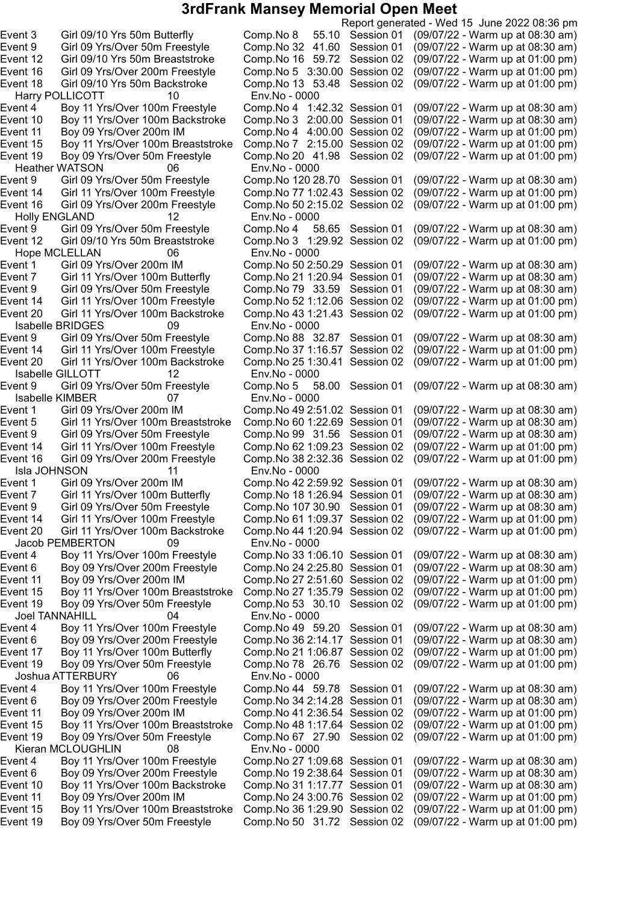Harry POLLICOTT 10 Env.No - 0000 Heather WATSON 06 Env.No - 0000<br>
ent 9 Girl 09 Yrs/Over 50m Freestyle Comp.No 120 28.70 Session 01 Event 14 Girl 11 Yrs/Over 100m Freestyle Comp.No 77 1:02.43 Session 02<br>Event 16 Girl 09 Yrs/Over 200m Freestyle Comp.No 50 2:15.02 Session 02 Holly ENGLAND 12 Env.No - 0000 Hope MCLELLAN 06 Env.No - 0000 Isabelle BRIDGES 09 Env.No - 0000 Isabelle GILLOTT 12 Env.No - 0000 Isabelle KIMBER 07 Env.No - 0000<br>1:5 ent 1 Girl 09 Yrs/Over 200m IM Comp.No 49 2 Isla JOHNSON 11 Env.No - 0000<br>1:2 ent 1 Girl 09 Yrs/Over 200m IM Comp.No 42 Jacob PEMBERTON 09 Env.No - 0000 Joel TANNAHILL 04 Env.No - 0000 Joshua ATTERBURY 06 Env.No - 0000 Kieran MCLOUGHLIN 08 Env.No - 0000

Report generated - Wed 15 June 2022 08:36 pm Event 3 Girl 09/10 Yrs 50m Butterfly Comp.No 8 55.10 Session 01 (09/07/22 - Warm up at 08:30 am) Event 9 Girl 09 Yrs/Over 50m Freestyle Comp.No 32 41.60 Session 01 (09/07/22 - Warm up at 08:30 am) Event 12 Girl 09/10 Yrs 50m Breaststroke Comp.No 16 59.72 Session 02 (09/07/22 - Warm up at 01:00 pm) Event 16 Girl 09 Yrs/Over 200m Freestyle Comp.No 5 3:30.00 Session 02 (09/07/22 - Warm up at 01:00 pm) Event 18 Girl 09/10 Yrs 50m Backstroke Comp.No 13 53.48 Session 02 (09/07/22 - Warm up at 01:00 pm) Event 4 Boy 11 Yrs/Over 100m Freestyle Comp.No 4 1:42.32 Session 01 (09/07/22 - Warm up at 08:30 am) Event 10 Boy 11 Yrs/Over 100m Backstroke Comp.No 3 2:00.00 Session 01 (09/07/22 - Warm up at 08:30 am) Event 11 Boy 09 Yrs/Over 200m IM Comp.No 4 4:00.00 Session 02 (09/07/22 - Warm up at 01:00 pm) Event 15 Boy 11 Yrs/Over 100m Breaststroke Comp.No 7 2:15.00 Session 02 (09/07/22 - Warm up at 01:00 pm) Event 19 Boy 09 Yrs/Over 50m Freestyle Comp.No 20 41.98 Session 02 (09/07/22 - Warm up at 01:00 pm) Event 9 Girl 09 Yrs/Over 50m Freestyle Comp.No 120 28.70 Session 01 (09/07/22 - Warm up at 08:30 am)<br>Event 14 Girl 11 Yrs/Over 100m Freestyle Comp.No 77 1:02.43 Session 02 (09/07/22 - Warm up at 01:00 pm) Event 16 Girl 09 Yrs/Over 200m Freestyle Comp.No 502:15.02 Session 02 (09/07/22 - Warm up at 01:00 pm) Girl 09 Yrs/Over 50m Freestyle Comp.No 4 58.65 Session 01 (09/07/22 - Warm up at 08:30 am)<br>Girl 09/10 Yrs 50m Breaststroke Comp.No 3 1:29.92 Session 02 (09/07/22 - Warm up at 01:00 pm) Event 12 Girl 09/10 Yrs 50m Breaststroke Comp.No 3 1:29.92 Session 02 (09/07/22 - Warm up at 01:00 pm) Event 1 Girl 09 Yrs/Over 200m IM Comp.No 50 2:50.29 Session 01 (09/07/22 - Warm up at 08:30 am)<br>Girl 11 Yrs/Over 100m Butterfly Comp.No 21 1:20.94 Session 01 (09/07/22 - Warm up at 08:30 am) Event 7 Girl 11 Yrs/Over 100m Butterfly Comp.No 211:20.94 Session 01 (09/07/22 - Warm up at 08:30 am) Event 9 Girl 09 Yrs/Over 50m Freestyle Comp.No 79 33.59 Session 01 (09/07/22 - Warm up at 08:30 am) Event 14 Girl 11 Yrs/Over 100m Freestyle Comp.No 521:12.06 Session 02 (09/07/22 - Warm up at 01:00 pm) Event 20 Girl 11 Yrs/Over 100m Backstroke Comp.No 431:21.43 Session 02 (09/07/22 - Warm up at 01:00 pm) Event 9 Girl 09 Yrs/Over 50m Freestyle Comp.No 88 32.87 Session 01 (09/07/22 - Warm up at 08:30 am)<br>Event 14 Girl 11 Yrs/Over 100m Freestyle Comp.No 37 1:16.57 Session 02 (09/07/22 - Warm up at 01:00 pm) Event 14 Girl 11 Yrs/Over 100m Freestyle Comp.No 37 1:16.57 Session 02 (09/07/22 - Warm up at 01:00 pm)<br>Event 20 Girl 11 Yrs/Over 100m Backstroke Comp.No 25 1:30.41 Session 02 (09/07/22 - Warm up at 01:00 pm) Comp.No 25 1:30.41 Session 02 (09/07/22 - Warm up at 01:00 pm) Event 9 Girl 09 Yrs/Over 50m Freestyle Comp.No 5 58.00 Session 01 (09/07/22 - Warm up at 08:30 am) Event 1 Girl 09 Yrs/Over 200m IM Comp.No 492:51.02 Session 01 (09/07/22 - Warm up at 08:30 am) Event 5 Girl 11 Yrs/Over 100m Breaststroke Comp.No 601:22.69 Session 01 (09/07/22 - Warm up at 08:30 am) Event 9 Girl 09 Yrs/Over 50m Freestyle Comp.No 99 31.56 Session 01 (09/07/22 - Warm up at 08:30 am) Event 14 Girl 11 Yrs/Over 100m Freestyle Comp.No 621:09.23 Session 02 (09/07/22 - Warm up at 01:00 pm) Event 16 Girl 09 Yrs/Over 200m Freestyle Comp.No 382:32.36 Session 02 (09/07/22 - Warm up at 01:00 pm) Event 1 Girl 09 Yrs/Over 200m IM Comp.No 422:59.92 Session 01 (09/07/22 - Warm up at 08:30 am) Event 7 Girl 11 Yrs/Over 100m Butterfly Comp.No 181:26.94 Session 01 (09/07/22 - Warm up at 08:30 am) Event 9 Girl 09 Yrs/Over 50m Freestyle Comp.No 107 30.90 Session 01 (09/07/22 - Warm up at 08:30 am) Event 14 Girl 11 Yrs/Over 100m Freestyle Comp.No 611:09.37 Session 02 (09/07/22 - Warm up at 01:00 pm) Event 20 Girl 11 Yrs/Over 100m Backstroke Comp.No 441:20.94 Session 02 (09/07/22 - Warm up at 01:00 pm) Event 4 Boy 11 Yrs/Over 100m Freestyle Comp.No 331:06.10 Session 01 (09/07/22 - Warm up at 08:30 am) Event 6 Boy 09 Yrs/Over 200m Freestyle Comp.No 242:25.80 Session 01 (09/07/22 - Warm up at 08:30 am) Event 11 Boy 09 Yrs/Over 200m IM Comp.No 272:51.60 Session 02 (09/07/22 - Warm up at 01:00 pm) Event 15 Boy 11 Yrs/Over 100m Breaststroke Comp.No 271:35.79 Session 02 (09/07/22 - Warm up at 01:00 pm) Event 19 Boy 09 Yrs/Over 50m Freestyle Comp.No 53 30.10 Session 02 (09/07/22 - Warm up at 01:00 pm) Event 4 Boy 11 Yrs/Over 100m Freestyle Comp.No 49 59.20 Session 01 (09/07/22 - Warm up at 08:30 am) Event 6 Boy 09 Yrs/Over 200m Freestyle Comp.No 362:14.17 Session 01 (09/07/22 - Warm up at 08:30 am) Event 17 Boy 11 Yrs/Over 100m Butterfly Comp.No 211:06.87 Session 02 (09/07/22 - Warm up at 01:00 pm) Event 19 Boy 09 Yrs/Over 50m Freestyle Comp.No 78 26.76 Session 02 (09/07/22 - Warm up at 01:00 pm) Event 4 Boy 11 Yrs/Over 100m Freestyle Comp.No 44 59.78 Session 01 (09/07/22 - Warm up at 08:30 am) Event 6 Boy 09 Yrs/Over 200m Freestyle Comp.No 342:14.28 Session 01 (09/07/22 - Warm up at 08:30 am) Event 11 Boy 09 Yrs/Over 200m IM Comp.No 412:36.54 Session 02 (09/07/22 - Warm up at 01:00 pm) Event 15 Boy 11 Yrs/Over 100m Breaststroke Comp.No 481:17.64 Session 02 (09/07/22 - Warm up at 01:00 pm) Event 19 Boy 09 Yrs/Over 50m Freestyle Comp.No 67 27.90 Session 02 (09/07/22 - Warm up at 01:00 pm) Event 4 Boy 11 Yrs/Over 100m Freestyle Comp.No 271:09.68 Session 01 (09/07/22 - Warm up at 08:30 am) Event 6 Boy 09 Yrs/Over 200m Freestyle Comp.No 192:38.64 Session 01 (09/07/22 - Warm up at 08:30 am) Event 10 Boy 11 Yrs/Over 100m Backstroke Comp.No 311:17.77 Session 01 (09/07/22 - Warm up at 08:30 am) Event 11 Boy 09 Yrs/Over 200m IM Comp.No 243:00.76 Session 02 (09/07/22 - Warm up at 01:00 pm) Event 15 Boy 11 Yrs/Over 100m Breaststroke Comp.No 361:29.90 Session 02 (09/07/22 - Warm up at 01:00 pm) Event 19 Boy 09 Yrs/Over 50m Freestyle Comp.No 50 31.72 Session 02 (09/07/22 - Warm up at 01:00 pm)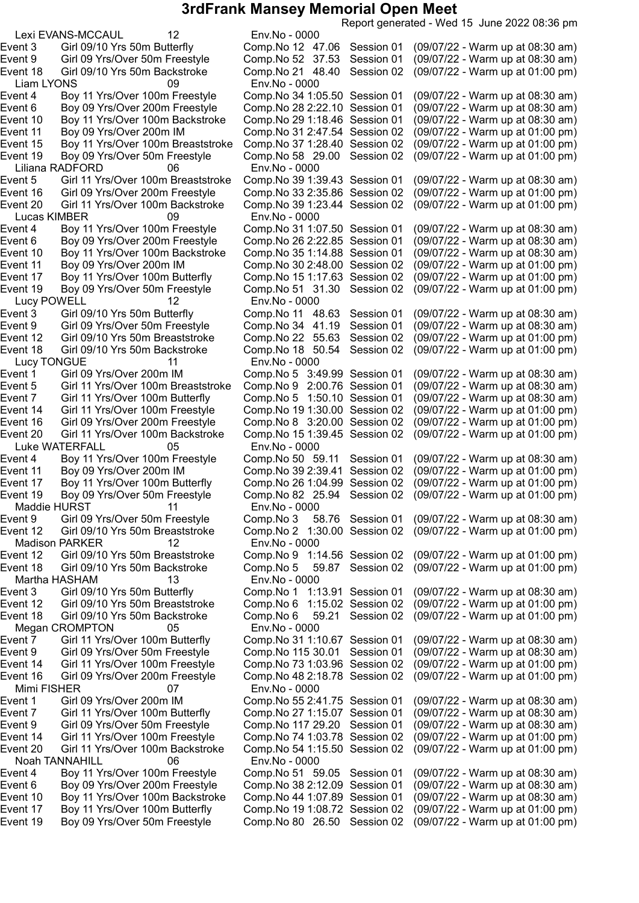Lexi EVANS-MCCAUL 12 Env.No - 0000 Liam LYONS 09 Env.No - 0000 Liliana RADFORD 06 Env.No - 0000 Lucas KIMBER 09 Env.No - 0000 Event 10 Boy 11 Yrs/Over 100m Backstroke Comp.No 35 1:14.88 Session 01 Lucy POWELL 12 Env.No - 0000 Lucy TONGUE 11<br>
ent 1 Enr. Girl 09 Yrs/Over 200m IM Luke WATERFALL 05 Env.No - 0000 Event 19 Boy 09 Yrs/Over 50m Freestyle Comp.No 82 25.94 Session 02 Maddie HURST 11 Env.No - 0000<br>
ent 9 Girl 09 Yrs/Over 50m Freestyle Comp.No 3 58.76 Session 01 Madison PARKER 12 Env.No - 0000 Martha HASHAM 13 Env.No - 0000 Megan CROMPTON 05 Env.No - 0000 Mimi FISHER 07 Env.No - 0000 Noah TANNAHILL 06 Env.No - 0000

Report generated - Wed 15 June 2022 08:36 pm Event 3 Girl 09/10 Yrs 50m Butterfly Comp.No 12 47.06 Session 01 (09/07/22 - Warm up at 08:30 am) Event 9 Girl 09 Yrs/Over 50m Freestyle Comp.No 52 37.53 Session 01 (09/07/22 - Warm up at 08:30 am)<br>Event 18 Girl 09/10 Yrs 50m Backstroke Comp.No 21 48.40 Session 02 (09/07/22 - Warm up at 01:00 pm) Event 18 Girl 09/10 Yrs 50m Backstroke Comp.No 21 48.40 Session 02 (09/07/22 - Warm up at 01:00 pm) Event 4 Boy 11 Yrs/Over 100m Freestyle Comp.No 341:05.50 Session 01 (09/07/22 - Warm up at 08:30 am) Event 6 Boy 09 Yrs/Over 200m Freestyle Comp.No 28 2:22.10 Session 01 (09/07/22 - Warm up at 08:30 am) Event 10 Boy 11 Yrs/Over 100m Backstroke Comp.No 291:18.46 Session 01 (09/07/22 - Warm up at 08:30 am) Event 11 Boy 09 Yrs/Over 200m IM Comp.No 312:47.54 Session 02 (09/07/22 - Warm up at 01:00 pm) Event 15 Boy 11 Yrs/Over 100m Breaststroke Comp.No 371:28.40 Session 02 (09/07/22 - Warm up at 01:00 pm) Event 19 Boy 09 Yrs/Over 50m Freestyle Comp.No 58 29.00 Session 02 (09/07/22 - Warm up at 01:00 pm) Girl 11 Yrs/Over 100m Breaststroke Comp.No 39 1:39.43 Session 01 (09/07/22 - Warm up at 08:30 am)<br>Girl 09 Yrs/Over 200m Freestyle Comp.No 33 2:35.86 Session 02 (09/07/22 - Warm up at 01:00 pm) Event 16 Girl 09 Yrs/Over 200m Freestyle Comp.No 33 2:35.86 Session 02 (09/07/22 - Warm up at 01:00 pm)<br>Event 20 Girl 11 Yrs/Over 100m Backstroke Comp.No 39 1:23.44 Session 02 (09/07/22 - Warm up at 01:00 pm) Event 20 Girl 11 Yrs/Over 100m Backstroke Comp.No 391:23.44 Session 02 (09/07/22 - Warm up at 01:00 pm) Event 4 Boy 11 Yrs/Over 100m Freestyle Comp.No 31 1:07.50 Session 01 (09/07/22 - Warm up at 08:30 am)<br>Event 6 Boy 09 Yrs/Over 200m Freestyle Comp.No 26 2:22.85 Session 01 (09/07/22 - W Event 6 Boy 09 Yrs/Over 200m Freestyle Comp.No 26 2:22.85 Session 01 (09/07/22 - Warm up at 08:30 am)<br>Event 10 Bov 11 Yrs/Over 100m Backstroke Comp.No 35 1:14.88 Session 01 (09/07/22 - Warm Event 11 Boy 09 Yrs/Over 200m IM Comp.No 302:48.00 Session 02 (09/07/22 - Warm up at 01:00 pm) Event 17 Boy 11 Yrs/Over 100m Butterfly Comp.No 151:17.63 Session 02 (09/07/22 - Warm up at 01:00 pm) Event 19 Boy 09 Yrs/Over 50m Freestyle Comp.No 51 31.30 Session 02 (09/07/22 - Warm up at 01:00 pm) Event 3 Girl 09/10 Yrs 50m Butterfly Comp.No 11 48.63 Session 01 (09/07/22 - Warm up at 08:30 am)<br>Event 9 Girl 09 Yrs/Over 50m Freestyle Comp.No 34 41.19 Session 01 (09/07/22 - Warm up at 08:30 am) Event 9 Girl 09 Yrs/Over 50m Freestyle Comp.No 34 41.19 Session 01 (09/07/22 - Warm up at 08:30 am)<br>Event 12 Girl 09/10 Yrs 50m Breaststroke Comp.No 22 55.63 Session 02 (09/07/22 - Warm up at 01:00 pm) Girl 09/10 Yrs 50m Breaststroke Comp.No 22 55.63 Session 02 (09/07/22 - Warm up at 01:00 pm)<br>Girl 09/10 Yrs 50m Backstroke Comp.No 18 50.54 Session 02 (09/07/22 - Warm up at 01:00 pm) Event 18 Girl 09/10 Yrs 50m Backstroke Comp.No 18 50.54 Session 02 (09/07/22 - Warm up at 01:00 pm) Event 1 Girl 09 Yrs/Over 200m IM Comp.No 5 3:49.99 Session 01 (09/07/22 - Warm up at 08:30 am) Event 5 Girl 11 Yrs/Over 100m Breaststroke Comp.No 9 2:00.76 Session 01 (09/07/22 - Warm up at 08:30 am) Event 7 Girl 11 Yrs/Over 100m Butterfly Comp.No 5 1:50.10 Session 01 (09/07/22 - Warm up at 08:30 am) Event 14 Girl 11 Yrs/Over 100m Freestyle Comp.No 191:30.00 Session 02 (09/07/22 - Warm up at 01:00 pm) Event 16 Girl 09 Yrs/Over 200m Freestyle Comp.No 8 3:20.00 Session 02 (09/07/22 - Warm up at 01:00 pm) Event 20 Girl 11 Yrs/Over 100m Backstroke Comp.No 151:39.45 Session 02 (09/07/22 - Warm up at 01:00 pm) Event 4 Boy 11 Yrs/Over 100m Freestyle Comp.No 50 59.11 Session 01 (09/07/22 - Warm up at 08:30 am) Event 11 Boy 09 Yrs/Over 200m IM Comp.No 392:39.41 Session 02 (09/07/22 - Warm up at 01:00 pm) Event 17 Boy 11 Yrs/Over 100m Butterfly Comp.No 26 1:04.99 Session 02 (09/07/22 - Warm up at 01:00 pm)<br>Event 19 Boy 09 Yrs/Over 50m Freestyle Comp.No 82 25.94 Session 02 (09/07/22 - Warm up at 01:00 pm) Event 9 Girl 09 Yrs/Over 50m Freestyle Comp.No 3 58.76 Session 01 (09/07/22 - Warm up at 08:30 am) Event 12 Girl 09/10 Yrs 50m Breaststroke Comp.No 2 1:30.00 Session 02 (09/07/22 - Warm up at 01:00 pm) Event 12 Girl 09/10 Yrs 50m Breaststroke Comp.No 9 1:14.56 Session 02 (09/07/22 - Warm up at 01:00 pm) Event 18 Girl 09/10 Yrs 50m Backstroke Comp.No 5 59.87 Session 02 (09/07/22 - Warm up at 01:00 pm) Event 3 Girl 09/10 Yrs 50m Butterfly Comp.No 1 1:13.91 Session 01 (09/07/22 - Warm up at 08:30 am) Event 12 Girl 09/10 Yrs 50m Breaststroke Comp.No 6 1:15.02 Session 02 (09/07/22 - Warm up at 01:00 pm) Event 18 Girl 09/10 Yrs 50m Backstroke Comp.No 6 59.21 Session 02 (09/07/22 - Warm up at 01:00 pm) Event 7 Girl 11 Yrs/Over 100m Butterfly Comp.No 311:10.67 Session 01 (09/07/22 - Warm up at 08:30 am) Event 9 Girl 09 Yrs/Over 50m Freestyle Comp.No 115 30.01 Session 01 (09/07/22 - Warm up at 08:30 am) Event 14 Girl 11 Yrs/Over 100m Freestyle Comp.No 731:03.96 Session 02 (09/07/22 - Warm up at 01:00 pm) Event 16 Girl 09 Yrs/Over 200m Freestyle Comp.No 482:18.78 Session 02 (09/07/22 - Warm up at 01:00 pm) Event 1 Girl 09 Yrs/Over 200m IM Comp.No 552:41.75 Session 01 (09/07/22 - Warm up at 08:30 am) Event 7 Girl 11 Yrs/Over 100m Butterfly Comp.No 271:15.07 Session 01 (09/07/22 - Warm up at 08:30 am) Event 9 Girl 09 Yrs/Over 50m Freestyle Comp.No 117 29.20 Session 01 (09/07/22 - Warm up at 08:30 am) Event 14 Girl 11 Yrs/Over 100m Freestyle Comp.No 741:03.78 Session 02 (09/07/22 - Warm up at 01:00 pm) Event 20 Girl 11 Yrs/Over 100m Backstroke Comp.No 541:15.50 Session 02 (09/07/22 - Warm up at 01:00 pm) Event 4 Boy 11 Yrs/Over 100m Freestyle Comp.No 51 59.05 Session 01 (09/07/22 - Warm up at 08:30 am) Event 6 Boy 09 Yrs/Over 200m Freestyle Comp.No 382:12.09 Session 01 (09/07/22 - Warm up at 08:30 am) Event 10 Boy 11 Yrs/Over 100m Backstroke Comp.No 441:07.89 Session 01 (09/07/22 - Warm up at 08:30 am) Event 17 Boy 11 Yrs/Over 100m Butterfly Comp.No 191:08.72 Session 02 (09/07/22 - Warm up at 01:00 pm) Event 19 Boy 09 Yrs/Over 50m Freestyle Comp.No 80 26.50 Session 02 (09/07/22 - Warm up at 01:00 pm)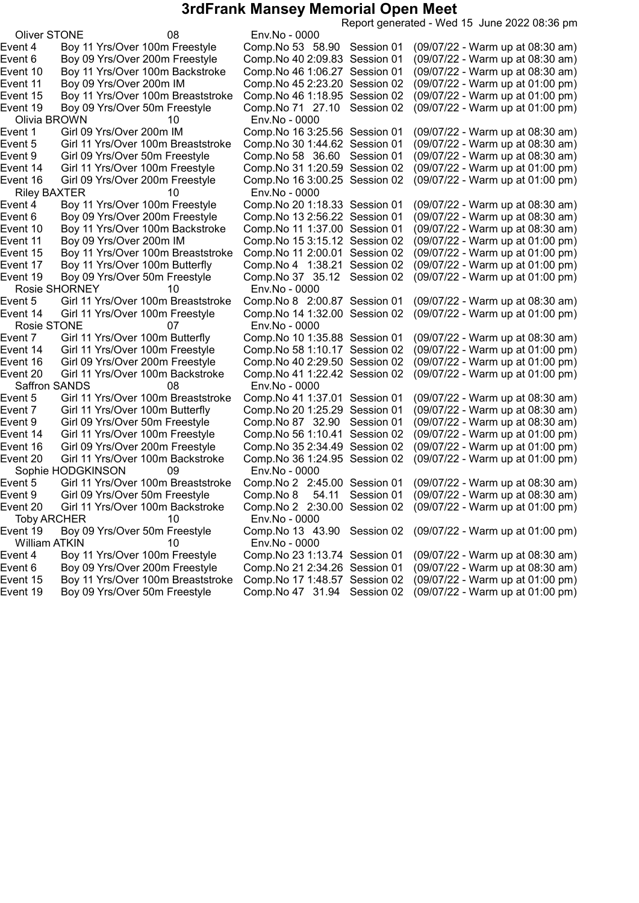Report generated - Wed 15 June 2022 08:36 pm Oliver STONE 08 Env.No - 0000 Event 4 Boy 11 Yrs/Over 100m Freestyle Comp.No 53 58.90 Session 01 (09/07/22 - Warm up at 08:30 am) Event 6 Boy 09 Yrs/Over 200m Freestyle Comp.No 402:09.83 Session 01 (09/07/22 - Warm up at 08:30 am) Event 10 Boy 11 Yrs/Over 100m Backstroke Comp.No 461:06.27 Session 01 (09/07/22 - Warm up at 08:30 am) Event 11 Boy 09 Yrs/Over 200m IM Comp.No 452:23.20 Session 02 (09/07/22 - Warm up at 01:00 pm) Event 15 Boy 11 Yrs/Over 100m Breaststroke Comp.No 46 1:18.95 Session 02 (09/07/22 - Warm up at 01:00 pm)<br>Event 19 Boy 09 Yrs/Over 50m Freestyle Comp.No 71 27.10 Session 02 (09/07/22 - Warm up at 01:00 pm) Event 19 Boy 09 Yrs/Over 50m Freestyle Comp.No 71 27.10 Session 02 (09/07/22 - Warm up at 01:00 pm) Olivia BROWN 10 Env.No - 0000 Event 1 Girl 09 Yrs/Over 200m IM Comp.No 163:25.56 Session 01 (09/07/22 - Warm up at 08:30 am) Event 5 Girl 11 Yrs/Over 100m Breaststroke Comp.No 301:44.62 Session 01 (09/07/22 - Warm up at 08:30 am) Event 9 Girl 09 Yrs/Over 50m Freestyle Comp.No 58 36.60 Session 01 (09/07/22 - Warm up at 08:30 am) Event 14 Girl 11 Yrs/Over 100m Freestyle Comp.No 311:20.59 Session 02 (09/07/22 - Warm up at 01:00 pm) (09/07/22 - Warm up at 01:00 pm) Riley BAXTER 10 Env.No - 0000<br>Event 4 Boy 11 Yrs/Over 100m Freestyle Comp.No 20 1:18.33 Session 01 (09/07/22 - Warm up at 08:30 am) Event 6 Boy 09 Yrs/Over 200m Freestyle Comp.No 13 2:56.22 Session 01 (09/07/22 - Warm up at 08:30 am)<br>Event 10 Boy 11 Yrs/Over 100m Backstroke Comp.No 11 1:37.00 Session 01 (09/07/22 - Warm up at 08:30 am) Event 10 Boy 11 Yrs/Over 100m Backstroke Event 11 Boy 09 Yrs/Over 200m IM Comp.No 153:15.12 Session 02 (09/07/22 - Warm up at 01:00 pm) Event 15 Boy 11 Yrs/Over 100m Breaststroke Comp.No 11 2:00.01 Session 02 (09/07/22 - Warm up at 01:00 pm) Event 17 Boy 11 Yrs/Over 100m Butterfly Comp.No 4 1:38.21 Session 02<br>Event 19 Bov 09 Yrs/Over 50m Freestvle Comp.No 37 35.12 Session 02 Event 19 Boy 09 Yrs/Over 50m Freestyle Comp.No 37 35.12 Session 02 (09/07/22 - Warm up at 01:00 pm) Rosie SHORNEY 10 Env.No - 0000 Event 5 Girl 11 Yrs/Over 100m Breaststroke Comp.No 8 2:00.87 Session 01 (09/07/22 - Warm up at 08:30 am) Event 14 Girl 11 Yrs/Over 100m Freestyle Comp.No 141:32.00 Session 02 (09/07/22 - Warm up at 01:00 pm) Rosie STONE 07 Env.No - 0000 Event 7 Girl 11 Yrs/Over 100m Butterfly Comp.No 10 1:35.88 Session 01 (09/07/22 - Warm up at 08:30 am)<br>Event 14 Girl 11 Yrs/Over 100m Freestyle Comp.No 58 1:10.17 Session 02 (09/07/22 - Warm up at 01:00 pm) Girl 11 Yrs/Over 100m Freestyle Comp.No 58 1:10.17 Session 02 (09/07/22 - Warm up at 01:00 pm) Event 16 Girl 09 Yrs/Over 200m Freestyle Comp.No 402:29.50 Session 02 (09/07/22 - Warm up at 01:00 pm) Event 20 Girl 11 Yrs/Over 100m Backstroke Comp.No 411:22.42 Session 02 (09/07/22 - Warm up at 01:00 pm) Saffron SANDS 08 Env.No - 0000 Event 5 Girl 11 Yrs/Over 100m Breaststroke Comp.No 411:37.01 Session 01 (09/07/22 - Warm up at 08:30 am) Event 7 Girl 11 Yrs/Over 100m Butterfly Comp.No 201:25.29 Session 01 (09/07/22 - Warm up at 08:30 am) Event 9 Girl 09 Yrs/Over 50m Freestyle Comp.No 87 32.90 Session 01 (09/07/22 - Warm up at 08:30 am) Event 14 Girl 11 Yrs/Over 100m Freestyle Comp.No 561:10.41 Session 02 (09/07/22 - Warm up at 01:00 pm) Event 16 Girl 09 Yrs/Over 200m Freestyle Comp.No 352:34.49 Session 02 (09/07/22 - Warm up at 01:00 pm) Event 20 Girl 11 Yrs/Over 100m Backstroke Comp.No 361:24.95 Session 02 (09/07/22 - Warm up at 01:00 pm) Sophie HODGKINSON 09 Env.No - 0000<br>ent 5 Girl 11 Yrs/Over 100m Breaststroke Comp.No 2 2:4 Event 5 Girl 11 Yrs/Over 100m Breaststroke Comp.No 2 2:45.00 Session 01 (09/07/22 - Warm up at 08:30 am) Event 9 Girl 09 Yrs/Over 50m Freestyle Comp.No 8 54.11 Session 01 (09/07/22 - Warm up at 08:30 am)<br>Event 20 Girl 11 Yrs/Over 100m Backstroke Comp.No 2 2:30.00 Session 02 (09/07/22 - Warm up at 01:00 pm) Event 20 Girl 11 Yrs/Over 100m Backstroke Comp.No 2 2:30.00 Session 02 (09/07/22 - Warm up at 01:00 pm) Toby ARCHER 10 Env.No - 0000<br>13 ent 19 Boy 09 Yrs/Over 50m Freestyle Comp.No 13 4 Event 19 Boy 09 Yrs/Over 50m Freestyle Comp.No 13 43.90 Session 02 (09/07/22 - Warm up at 01:00 pm) William ATKIN 10 Env.No - 0000 Event 4 Boy 11 Yrs/Over 100m Freestyle Comp.No 231:13.74 Session 01 (09/07/22 - Warm up at 08:30 am) Event 6 Boy 09 Yrs/Over 200m Freestyle Comp.No 212:34.26 Session 01 (09/07/22 - Warm up at 08:30 am) Event 15 Boy 11 Yrs/Over 100m Breaststroke Comp.No 171:48.57 Session 02 (09/07/22 - Warm up at 01:00 pm) Event 19 Boy 09 Yrs/Over 50m Freestyle Comp.No 47 31.94 Session 02 (09/07/22 - Warm up at 01:00 pm)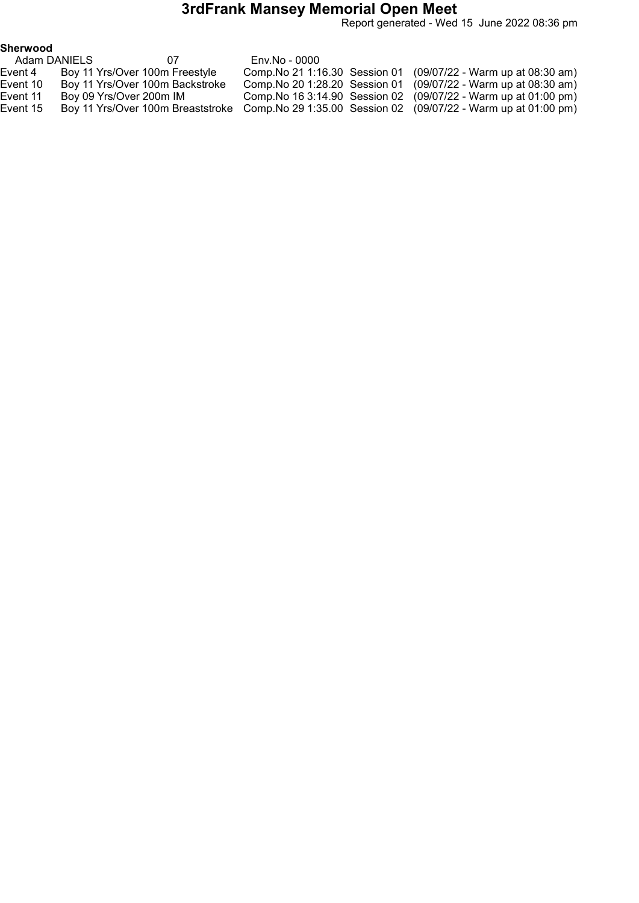Report generated - Wed 15 June 2022 08:36 pm

| Adam DANIELS | 07                              | Env.No - 0000 |                                                                                                   |
|--------------|---------------------------------|---------------|---------------------------------------------------------------------------------------------------|
| Event 4      | Boy 11 Yrs/Over 100m Freestyle  |               | Comp. No 21 1:16.30 Session 01 (09/07/22 - Warm up at 08:30 am)                                   |
| Event 10     | Boy 11 Yrs/Over 100m Backstroke |               | Comp. No 20 1:28.20 Session 01 (09/07/22 - Warm up at 08:30 am)                                   |
| Event 11     | Boy 09 Yrs/Over 200m IM         |               | Comp. No 16 3:14.90 Session 02 (09/07/22 - Warm up at 01:00 pm)                                   |
| Event 15     |                                 |               | Boy 11 Yrs/Over 100m Breaststroke Comp. No 29 1:35.00 Session 02 (09/07/22 - Warm up at 01:00 pm) |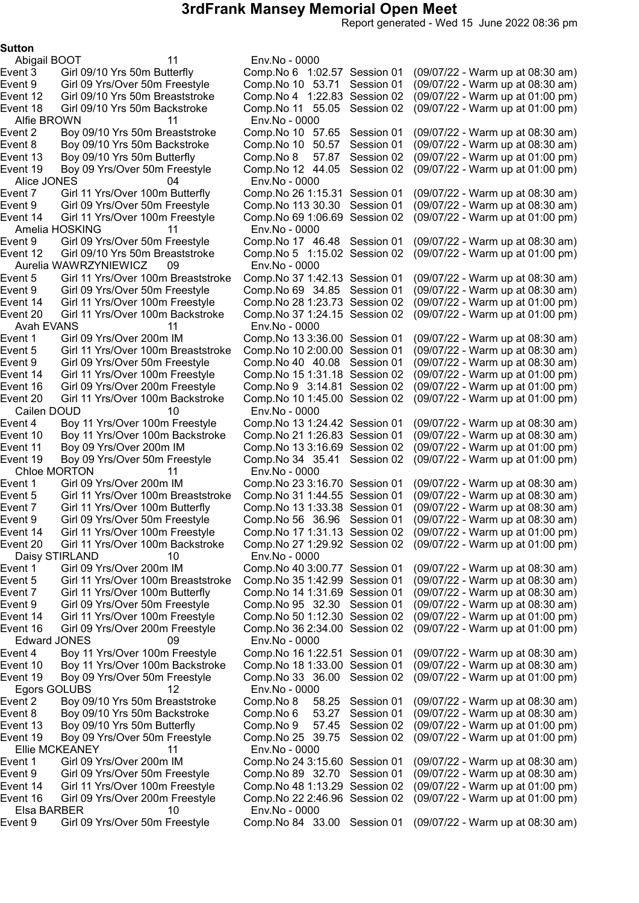Report generated - Wed 15 June 2022 08:36 pm

#### Sutton

Abigail BOOT 11 Env.No - 0000 Alfie BROWN 11 Env.No - 0000 Alice JONES 04 Env.No - 0000 Amelia HOSKING 11 Env.No - 0000 Event 12 Girl 09/10 Yrs 50m Breaststroke Aurelia WAWRZYNIEWICZ 09 Env.No - 0000 Avah EVANS 11 Env.No - 0000 Cailen DOUD 10 Env.No - 0000 Chloe MORTON 11 Env.No - 0000 Daisy STIRLAND 10 Env.No - 0000 Edward JONES 09 Env.No - 0000 Egors GOLUBS 12 Env.No - 0000 Ellie MCKEANEY 11 Env.No - 0000 Elsa BARBER 10 Env.No - 0000

Event 3 Girl 09/10 Yrs 50m Butterfly Comp.No 6 1:02.57 Session 01 (09/07/22 - Warm up at 08:30 am) Event 9 Girl 09 Yrs/Over 50m Freestyle Comp.No 10 53.71 Session 01 (09/07/22 - Warm up at 08:30 am) Event 12 Girl 09/10 Yrs 50m Breaststroke Comp.No 4 1:22.83 Session 02 (09/07/22 - Warm up at 01:00 pm) Event 18 Girl 09/10 Yrs 50m Backstroke Comp.No 11 55.05 Session 02 (09/07/22 - Warm up at 01:00 pm) Boy 09/10 Yrs 50m Breaststroke Comp.No 10 57.65 Session 01 (09/07/22 - Warm up at 08:30 am)<br>Boy 09/10 Yrs 50m Backstroke Comp.No 10 50.57 Session 01 (09/07/22 - Warm up at 08:30 am) Event 8 Boy 09/10 Yrs 50m Backstroke Comp.No 10 50.57 Session 01 (09/07/22 - Warm up at 08:30 am)<br>Event 13 Boy 09/10 Yrs 50m Butterfly Comp.No 8 57.87 Session 02 (09/07/22 - Warm up at 01:00 pm) Boy 09/10 Yrs 50m Butterfly Comp.No 8 57.87 Session 02 (09/07/22 - Warm up at 01:00 pm)<br>Boy 09 Yrs/Over 50m Freestyle Comp.No 12 44.05 Session 02 (09/07/22 - Warm up at 01:00 pm) Event 19 Boy 09 Yrs/Over 50m Freestyle Comp.No 12 44.05 Session 02 (09/07/22 - Warm up at 01:00 pm) Girl 11 Yrs/Over 100m Butterfly Comp.No 26 1:15.31 Session 01 (09/07/22 - Warm up at 08:30 am)<br>Girl 09 Yrs/Over 50m Freestyle Comp.No 113 30.30 Session 01 (09/07/22 - Warm up at 08:30 am) Event 9 Girl 09 Yrs/Over 50m Freestyle Comp.No 113 30.30 Session 01 (09/07/22 - Warm up at 08:30 am)<br>Event 14 Girl 11 Yrs/Over 100m Freestyle Comp.No 69 1:06.69 Session 02 (09/07/22 - Warm up at 01:00 pm) Event 14 Girl 11 Yrs/Over 100m Freestyle Comp.No 691:06.69 Session 02 (09/07/22 - Warm up at 01:00 pm) Comp.No 17 46.48 Session 01 (09/07/22 - Warm up at 08:30 am)<br>Comp.No 5 1:15.02 Session 02 (09/07/22 - Warm up at 01:00 pm) Event 5 Girl 11 Yrs/Over 100m Breaststroke Comp.No 37 1:42.13 Session 01 (09/07/22 - Warm up at 08:30 am)<br>Event 9 Girl 09 Yrs/Over 50m Freestyle Comp.No 69 34.85 Session 01 (09/07/22 -Event 9 Girl 09 Yrs/Over 50m Freestyle Comp.No 69 34.85 Session 01 (09/07/22 - Warm up at 08:30 am) Event 14 Girl 11 Yrs/Over 100m Freestyle Comp.No 281:23.73 Session 02 (09/07/22 - Warm up at 01:00 pm) Event 20 Girl 11 Yrs/Over 100m Backstroke Comp.No 371:24.15 Session 02 (09/07/22 - Warm up at 01:00 pm) Event 1 Girl 09 Yrs/Over 200m IM Comp.No 133:36.00 Session 01 (09/07/22 - Warm up at 08:30 am) Event 5 Girl 11 Yrs/Over 100m Breaststroke Comp.No 102:00.00 Session 01 (09/07/22 - Warm up at 08:30 am) Event 9 Girl 09 Yrs/Over 50m Freestyle Comp.No 40 40.08 Session 01 (09/07/22 - Warm up at 08:30 am) Event 14 Girl 11 Yrs/Over 100m Freestyle Comp.No 151:31.18 Session 02 (09/07/22 - Warm up at 01:00 pm) Event 16 Girl 09 Yrs/Over 200m Freestyle Comp.No 9 3:14.81 Session 02 (09/07/22 - Warm up at 01:00 pm) Event 20 Girl 11 Yrs/Over 100m Backstroke Comp.No 101:45.00 Session 02 (09/07/22 - Warm up at 01:00 pm) Event 4 Boy 11 Yrs/Over 100m Freestyle Comp.No 131:24.42 Session 01 (09/07/22 - Warm up at 08:30 am) Event 10 Boy 11 Yrs/Over 100m Backstroke Comp.No 211:26.83 Session 01 (09/07/22 - Warm up at 08:30 am) Event 11 Boy 09 Yrs/Over 200m IM Comp.No 133:16.69 Session 02 (09/07/22 - Warm up at 01:00 pm) Event 19 Boy 09 Yrs/Over 50m Freestyle Comp.No 34 35.41 Session 02 (09/07/22 - Warm up at 01:00 pm) Event 1 Girl 09 Yrs/Over 200m IM Comp.No 233:16.70 Session 01 (09/07/22 - Warm up at 08:30 am) Event 5 Girl 11 Yrs/Over 100m Breaststroke Comp.No 311:44.55 Session 01 (09/07/22 - Warm up at 08:30 am) Event 7 Girl 11 Yrs/Over 100m Butterfly Comp.No 131:33.38 Session 01 (09/07/22 - Warm up at 08:30 am) Event 9 Girl 09 Yrs/Over 50m Freestyle Comp.No 56 36.96 Session 01 (09/07/22 - Warm up at 08:30 am) Event 14 Girl 11 Yrs/Over 100m Freestyle Comp.No 171:31.13 Session 02 (09/07/22 - Warm up at 01:00 pm) Event 20 Girl 11 Yrs/Over 100m Backstroke Comp.No 271:29.92 Session 02 (09/07/22 - Warm up at 01:00 pm) Event 1 Girl 09 Yrs/Over 200m IM Comp.No 403:00.77 Session 01 (09/07/22 - Warm up at 08:30 am) Event 5 Girl 11 Yrs/Over 100m Breaststroke Comp.No 351:42.99 Session 01 (09/07/22 - Warm up at 08:30 am) Event 7 Girl 11 Yrs/Over 100m Butterfly Comp.No 141:31.69 Session 01 (09/07/22 - Warm up at 08:30 am) Event 9 Girl 09 Yrs/Over 50m Freestyle Comp.No 95 32.30 Session 01 (09/07/22 - Warm up at 08:30 am) Event 14 Girl 11 Yrs/Over 100m Freestyle Comp.No 501:12.30 Session 02 (09/07/22 - Warm up at 01:00 pm) Event 16 Girl 09 Yrs/Over 200m Freestyle Comp.No 362:34.00 Session 02 (09/07/22 - Warm up at 01:00 pm) Boy 11 Yrs/Over 100m Freestyle Comp.No 16 1:22.51 Session 01 (09/07/22 - Warm up at 08:30 am)<br>Boy 11 Yrs/Over 100m Backstroke Comp.No 18 1:33.00 Session 01 (09/07/22 - Warm up at 08:30 am) Event 10 Boy 11 Yrs/Over 100m Backstroke Comp.No 18 1:33.00 Session 01 (09/07/22 - Warm up at 08:30 am)<br>Event 19 Boy 09 Yrs/Over 50m Freestyle Comp.No 33 36.00 Session 02 (09/07/22 - Warm up at 01:00 pm) Event 19 Boy 09 Yrs/Over 50m Freestyle Comp.No 33 36.00 Session 02 (09/07/22 - Warm up at 01:00 pm) Event 2 Boy 09/10 Yrs 50m Breaststroke Comp.No 8 58.25 Session 01 (09/07/22 - Warm up at 08:30 am) Event 8 Boy 09/10 Yrs 50m Backstroke Comp.No 6 53.27 Session 01 (09/07/22 - Warm up at 08:30 am) Event 13 Boy 09/10 Yrs 50m Butterfly Comp.No 9 57.45 Session 02 (09/07/22 - Warm up at 01:00 pm) Event 19 Boy 09 Yrs/Over 50m Freestyle Comp.No 25 39.75 Session 02 (09/07/22 - Warm up at 01:00 pm) Event 1 Girl 09 Yrs/Over 200m IM Comp.No 243:15.60 Session 01 (09/07/22 - Warm up at 08:30 am) Event 9 Girl 09 Yrs/Over 50m Freestyle Comp.No 89 32.70 Session 01 (09/07/22 - Warm up at 08:30 am) Event 14 Girl 11 Yrs/Over 100m Freestyle Comp.No 481:13.29 Session 02 (09/07/22 - Warm up at 01:00 pm) Event 16 Girl 09 Yrs/Over 200m Freestyle Comp.No 222:46.96 Session 02 (09/07/22 - Warm up at 01:00 pm) Event 9 Girl 09 Yrs/Over 50m Freestyle Comp.No 84 33.00 Session 01 (09/07/22 - Warm up at 08:30 am)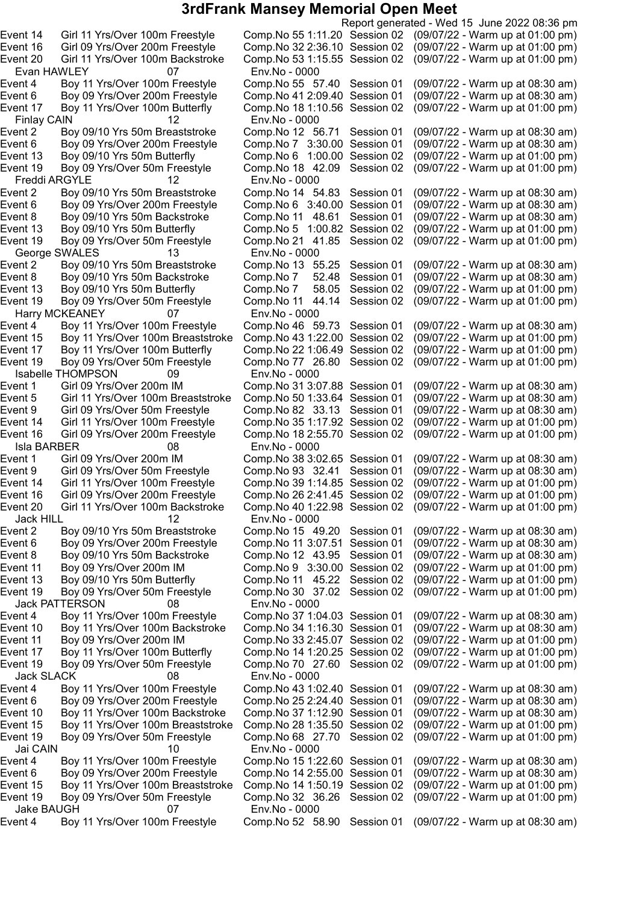Evan HAWLEY 07 Env.No - 0000 Finlay CAIN 12 Env.No - 0000 Freddi ARGYLE 12 Env.No - 0000 Event 6 Boy 09 Yrs/Over 200m Freestyle Comp.No 6 3:40.00 Session 01 George SWALES 13 Env.No - 0000<br>5 Event 2 Boy 09/10 Yrs 50m Breaststroke Comp.No 13 Harry MCKEANEY 07 Env.No - 0000<br>Event 4 Boy 11 Yrs/Over 100m Freestyle Comp.No 46 59.73 Session 01 Event 15 Boy 11 Yrs/Over 100m Breaststroke Comp.No 43 1:22.00 Session 02 Isabelle THOMPSON 09 Env.No - 0000 Isla BARBER 08 Env.No - 0000 Jack HILL 12 Env.No - 0000 Jack PATTERSON 08 Env.No - 0000 Jack SLACK 08 Env.No - 0000 Jai CAIN 10 Env.No - 0000 Jake BAUGH 07 Env.No - 0000

Report generated - Wed 15 June 2022 08:36 pm Event 14 Girl 11 Yrs/Over 100m Freestyle Comp.No 551:11.20 Session 02 (09/07/22 - Warm up at 01:00 pm) Event 16 Girl 09 Yrs/Over 200m Freestyle Comp.No 322:36.10 Session 02 (09/07/22 - Warm up at 01:00 pm) Event 20 Girl 11 Yrs/Over 100m Backstroke Comp.No 531:15.55 Session 02 (09/07/22 - Warm up at 01:00 pm) Event 4 Boy 11 Yrs/Over 100m Freestyle Comp.No 55 57.40 Session 01 (09/07/22 - Warm up at 08:30 am) Event 6 Boy 09 Yrs/Over 200m Freestyle Comp.No 412:09.40 Session 01 (09/07/22 - Warm up at 08:30 am) Event 17 Boy 11 Yrs/Over 100m Butterfly Comp.No 181:10.56 Session 02 (09/07/22 - Warm up at 01:00 pm) Event 2 Boy 09/10 Yrs 50m Breaststroke Comp.No 12 56.71 Session 01 (09/07/22 - Warm up at 08:30 am) Event 6 Boy 09 Yrs/Over 200m Freestyle Comp.No 7 3:30.00 Session 01 (09/07/22 - Warm up at 08:30 am) Event 13 Boy 09/10 Yrs 50m Butterfly Comp.No 6 1:00.00 Session 02 (09/07/22 - Warm up at 01:00 pm) Event 19 Boy 09 Yrs/Over 50m Freestyle Comp.No 18 42.09 Session 02 (09/07/22 - Warm up at 01:00 pm) Boy 09/10 Yrs 50m Breaststroke Comp.No 14 54.83 Session 01 (09/07/22 - Warm up at 08:30 am)<br>Boy 09 Yrs/Over 200m Freestyle Comp.No 6 3:40.00 Session 01 (09/07/22 - Warm up at 08:30 am) Event 8 Boy 09/10 Yrs 50m Backstroke Comp.No 11 48.61 Session 01 (09/07/22 - Warm up at 08:30 am) Event 13 Boy 09/10 Yrs 50m Butterfly Comp.No 5 1:00.82 Session 02 (09/07/22 - Warm up at 01:00 pm)<br>Event 19 Boy 09 Yrs/Over 50m Freestyle Comp.No 21 41.85 Session 02 (09/07/22 - Warm up at 01:00 pm) Event 19 Boy 09 Yrs/Over 50m Freestyle Comp.No 21 41.85 Session 02 (09/07/22 - Warm up at 01:00 pm) Boy 09/10 Yrs 50m Breaststroke Comp.No 13 55.25 Session 01 (09/07/22 - Warm up at 08:30 am)<br>Boy 09/10 Yrs 50m Backstroke Comp.No 7 52.48 Session 01 (09/07/22 - Warm up at 08:30 am) Event 8 Boy 09/10 Yrs 50m Backstroke Comp.No 7 52.48 Session 01 (09/07/22 - Warm up at 08:30 am) Event 13 Boy 09/10 Yrs 50m Butterfly Comp.No 7 58.05 Session 02 (09/07/22 - Warm up at 01:00 pm) Event 19 Boy 09 Yrs/Over 50m Freestyle Comp.No 11 44.14 Session 02 (09/07/22 - Warm up at 01:00 pm) (09/07/22 - Warm up at 08:30 am)<br>(09/07/22 - Warm up at 01:00 pm) Event 17 Boy 11 Yrs/Over 100m Butterfly Comp.No 22 1:06.49 Session 02 (09/07/22 - Warm up at 01:00 pm)<br>Event 19 Boy 09 Yrs/Over 50m Freestyle Comp.No 77 26.80 Session 02 (09/07/22 - Warm up at 01:00 pm) Event 19 Boy 09 Yrs/Over 50m Freestyle Comp.No 77 26.80 Session 02 (09/07/22 - Warm up at 01:00 pm) Comp.No 31 3:07.88 Session 01 (09/07/22 - Warm up at 08:30 am) Event 5 Girl 11 Yrs/Over 100m Breaststroke Comp.No 501:33.64 Session 01 (09/07/22 - Warm up at 08:30 am) Event 9 Girl 09 Yrs/Over 50m Freestyle Comp.No 82 33.13 Session 01 (09/07/22 - Warm up at 08:30 am) Event 14 Girl 11 Yrs/Over 100m Freestyle Comp.No 35 1:17.92 Session 02 (09/07/22 - Warm up at 01:00 pm)<br>Event 16 Girl 09 Yrs/Over 200m Freestyle Comp.No 18 2:55.70 Session 02 (09/07/22 - Warm up at 01:00 pm) Event 16 Girl 09 Yrs/Over 200m Freestyle Comp.No 182:55.70 Session 02 (09/07/22 - Warm up at 01:00 pm) Event 1 Girl 09 Yrs/Over 200m IM Comp.No 383:02.65 Session 01 (09/07/22 - Warm up at 08:30 am) Event 9 Girl 09 Yrs/Over 50m Freestyle Comp.No 93 32.41 Session 01 (09/07/22 - Warm up at 08:30 am) Event 14 Girl 11 Yrs/Over 100m Freestyle Comp.No 391:14.85 Session 02 (09/07/22 - Warm up at 01:00 pm) Event 16 Girl 09 Yrs/Over 200m Freestyle Comp.No 262:41.45 Session 02 (09/07/22 - Warm up at 01:00 pm) Event 20 Girl 11 Yrs/Over 100m Backstroke Comp.No 401:22.98 Session 02 (09/07/22 - Warm up at 01:00 pm) Event 2 Boy 09/10 Yrs 50m Breaststroke Comp.No 15 49.20 Session 01 (09/07/22 - Warm up at 08:30 am) Event 6 Boy 09 Yrs/Over 200m Freestyle Comp.No 11 3:07.51 Session 01 (09/07/22 - Warm up at 08:30 am) Event 8 Boy 09/10 Yrs 50m Backstroke Comp.No 12 43.95 Session 01 (09/07/22 - Warm up at 08:30 am) Event 11 Boy 09 Yrs/Over 200m IM Comp.No 9 3:30.00 Session 02 (09/07/22 - Warm up at 01:00 pm) Event 13 Boy 09/10 Yrs 50m Butterfly Comp.No 11 45.22 Session 02 (09/07/22 - Warm up at 01:00 pm) Event 19 Boy 09 Yrs/Over 50m Freestyle Comp.No 30 37.02 Session 02 (09/07/22 - Warm up at 01:00 pm) Event 4 Boy 11 Yrs/Over 100m Freestyle Comp.No 371:04.03 Session 01 (09/07/22 - Warm up at 08:30 am) Event 10 Boy 11 Yrs/Over 100m Backstroke Comp.No 341:16.30 Session 01 (09/07/22 - Warm up at 08:30 am) Event 11 Boy 09 Yrs/Over 200m IM Comp.No 332:45.07 Session 02 (09/07/22 - Warm up at 01:00 pm) Event 17 Boy 11 Yrs/Over 100m Butterfly Comp.No 141:20.25 Session 02 (09/07/22 - Warm up at 01:00 pm) Event 19 Boy 09 Yrs/Over 50m Freestyle Comp.No 70 27.60 Session 02 (09/07/22 - Warm up at 01:00 pm) Event 4 Boy 11 Yrs/Over 100m Freestyle Comp.No 431:02.40 Session 01 (09/07/22 - Warm up at 08:30 am) Event 6 Boy 09 Yrs/Over 200m Freestyle Comp.No 252:24.40 Session 01 (09/07/22 - Warm up at 08:30 am) Event 10 Boy 11 Yrs/Over 100m Backstroke Comp.No 371:12.90 Session 01 (09/07/22 - Warm up at 08:30 am) Event 15 Boy 11 Yrs/Over 100m Breaststroke Comp.No 281:35.50 Session 02 (09/07/22 - Warm up at 01:00 pm) Event 19 Boy 09 Yrs/Over 50m Freestyle Comp.No 68 27.70 Session 02 (09/07/22 - Warm up at 01:00 pm) Event 4 Boy 11 Yrs/Over 100m Freestyle Comp.No 151:22.60 Session 01 (09/07/22 - Warm up at 08:30 am) Event 6 Boy 09 Yrs/Over 200m Freestyle Comp.No 142:55.00 Session 01 (09/07/22 - Warm up at 08:30 am) Event 15 Boy 11 Yrs/Over 100m Breaststroke Comp.No 141:50.19 Session 02 (09/07/22 - Warm up at 01:00 pm) Event 19 Boy 09 Yrs/Over 50m Freestyle Comp.No 32 36.26 Session 02 (09/07/22 - Warm up at 01:00 pm) Event 4 Boy 11 Yrs/Over 100m Freestyle Comp.No 52 58.90 Session 01 (09/07/22 - Warm up at 08:30 am)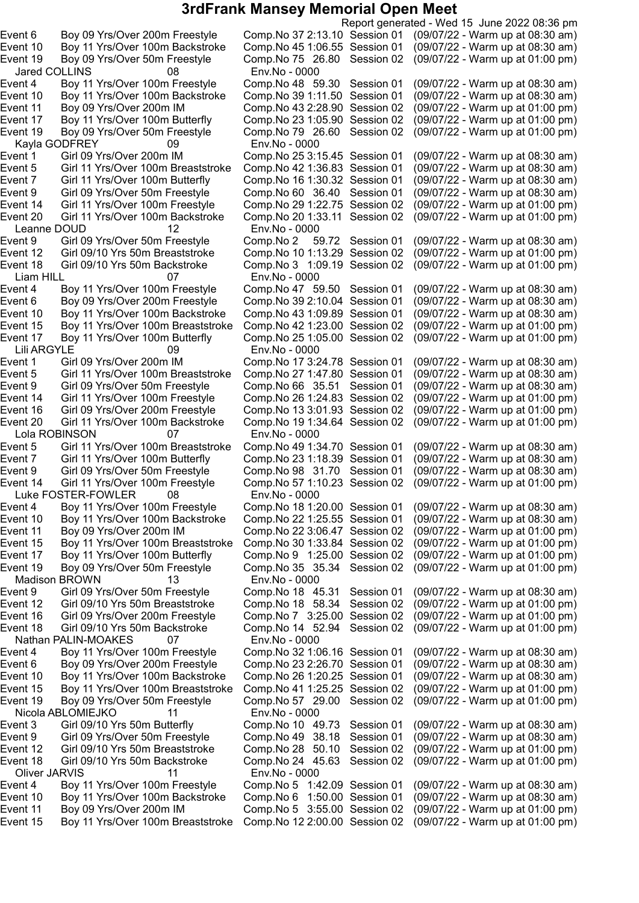Jared COLLINS 08 Env.No - 0000 Kayla GODFREY 09 Env.No - 0000 Leanne DOUD 12 Env.No - 0000 Liam HILL 07 Env.No - 0000 Lili ARGYLE 09 Env.No - 0000 Lola ROBINSON 07 Env.No - 0000 Luke FOSTER-FOWLER 08 Env.No - 0000 Madison BROWN 13 Env.No - 0000 Nathan PALIN-MOAKES 07 Env.No - 0000 Nicola ABLOMIEJKO 11 Env.No - 0000 Oliver JARVIS 11 Env.No - 0000

Report generated - Wed 15 June 2022 08:36 pm Event 6 Boy 09 Yrs/Over 200m Freestyle Comp.No 372:13.10 Session 01 (09/07/22 - Warm up at 08:30 am) Event 10 Boy 11 Yrs/Over 100m Backstroke Comp.No 451:06.55 Session 01 (09/07/22 - Warm up at 08:30 am) Event 19 Boy 09 Yrs/Over 50m Freestyle Comp.No 75 26.80 Session 02 (09/07/22 - Warm up at 01:00 pm) Event 4 Boy 11 Yrs/Over 100m Freestyle Comp.No 48 59.30 Session 01 (09/07/22 - Warm up at 08:30 am) Event 10 Boy 11 Yrs/Over 100m Backstroke Comp.No 391:11.50 Session 01 (09/07/22 - Warm up at 08:30 am) Event 11 Boy 09 Yrs/Over 200m IM Comp.No 432:28.90 Session 02 (09/07/22 - Warm up at 01:00 pm) Event 17 Boy 11 Yrs/Over 100m Butterfly Comp.No 231:05.90 Session 02 (09/07/22 - Warm up at 01:00 pm) Event 19 Boy 09 Yrs/Over 50m Freestyle Comp.No 79 26.60 Session 02 (09/07/22 - Warm up at 01:00 pm) Event 1 Girl 09 Yrs/Over 200m IM Comp.No 253:15.45 Session 01 (09/07/22 - Warm up at 08:30 am) Event 5 Girl 11 Yrs/Over 100m Breaststroke Comp.No 42 1:36.83 Session 01 (09/07/22 - Warm up at 08:30 am)<br>Event 7 Girl 11 Yrs/Over 100m Butterfly Comp.No 16 1:30.32 Session 01 (09/07/22 - Warm up at 08:30 am) Event 7 Girl 11 Yrs/Over 100m Butterfly Comp.No 16 1:30.32 Session 01 (09/07/22 - Warm up at 08:30 am)<br>Event 9 Girl 09 Yrs/Over 50m Freestyle Comp.No 60 36.40 Session 01 (09/07/22 - Warm up at 08:30 am) Event 9 Girl 09 Yrs/Over 50m Freestyle Comp.No 60 36.40 Session 01 (09/07/22 - Warm up at 08:30 am) Event 14 Girl 11 Yrs/Over 100m Freestyle Comp.No 291:22.75 Session 02 (09/07/22 - Warm up at 01:00 pm) Event 20 Girl 11 Yrs/Over 100m Backstroke Comp.No 201:33.11 Session 02 (09/07/22 - Warm up at 01:00 pm) Girl 09 Yrs/Over 50m Freestyle Comp.No 2 59.72 Session 01 (09/07/22 - Warm up at 08:30 am)<br>Girl 09/10 Yrs 50m Breaststroke Comp.No 10 1:13.29 Session 02 (09/07/22 - Warm up at 01:00 pm) Event 12 Girl 09/10 Yrs 50m Breaststroke Comp.No 101:13.29 Session 02 (09/07/22 - Warm up at 01:00 pm) Event 18 Girl 09/10 Yrs 50m Backstroke Comp.No 3 1:09.19 Session 02 (09/07/22 - Warm up at 01:00 pm) Boy 11 Yrs/Over 100m Freestyle Comp.No 47 59.50 Session 01 (09/07/22 - Warm up at 08:30 am) Event 6 Boy 09 Yrs/Over 200m Freestyle Comp.No 392:10.04 Session 01 (09/07/22 - Warm up at 08:30 am) Event 10 Boy 11 Yrs/Over 100m Backstroke Comp.No 431:09.89 Session 01 (09/07/22 - Warm up at 08:30 am) Event 15 Boy 11 Yrs/Over 100m Breaststroke Comp.No 42 1:23.00 Session 02 (09/07/22 - Warm up at 01:00 pm)<br>Event 17 Boy 11 Yrs/Over 100m Butterfly Comp.No 25 1:05.00 Session 02 (09/07/22 - Warm up at 01:00 pm) Event 17 Boy 11 Yrs/Over 100m Butterfly Comp.No 251:05.00 Session 02 (09/07/22 - Warm up at 01:00 pm) Comp.No 17 3:24.78 Session 01 (09/07/22 - Warm up at 08:30 am) Event 5 Girl 11 Yrs/Over 100m Breaststroke Comp.No 271:47.80 Session 01 (09/07/22 - Warm up at 08:30 am) Event 9 Girl 09 Yrs/Over 50m Freestyle Comp.No 66 35.51 Session 01 (09/07/22 - Warm up at 08:30 am) Event 14 Girl 11 Yrs/Over 100m Freestyle Comp.No 261:24.83 Session 02 (09/07/22 - Warm up at 01:00 pm) Event 16 Girl 09 Yrs/Over 200m Freestyle Comp.No 133:01.93 Session 02 (09/07/22 - Warm up at 01:00 pm) Event 20 Girl 11 Yrs/Over 100m Backstroke Comp.No 191:34.64 Session 02 (09/07/22 - Warm up at 01:00 pm) Event 5 Girl 11 Yrs/Over 100m Breaststroke Comp.No 49 1:34.70 Session 01 (09/07/22 - Warm up at 08:30 am) Event 7 Girl 11 Yrs/Over 100m Butterfly Comp.No 231:18.39 Session 01 (09/07/22 - Warm up at 08:30 am) Event 9 Girl 09 Yrs/Over 50m Freestyle Comp.No 98 31.70 Session 01 (09/07/22 - Warm up at 08:30 am) Event 14 Girl 11 Yrs/Over 100m Freestyle Comp.No 571:10.23 Session 02 (09/07/22 - Warm up at 01:00 pm) Event 4 Boy 11 Yrs/Over 100m Freestyle Comp.No 181:20.00 Session 01 (09/07/22 - Warm up at 08:30 am) Event 10 Boy 11 Yrs/Over 100m Backstroke Comp.No 22 1:25.55 Session 01 (09/07/22 - Warm up at 08:30 am)<br>Event 11 Boy 09 Yrs/Over 200m IM Comp.No 22 3:06.47 Session 02 (09/07/22 - Warm up at 01:00 pm) Event 11 Boy 09 Yrs/Over 200m IM Comp.No 223:06.47 Session 02 (09/07/22 - Warm up at 01:00 pm) Boy 11 Yrs/Over 100m Breaststroke Comp.No 30 1:33.84 Session 02 (09/07/22 - Warm up at 01:00 pm) Event 17 Boy 11 Yrs/Over 100m Butterfly Comp.No 9 1:25.00 Session 02 (09/07/22 - Warm up at 01:00 pm) Event 19 Boy 09 Yrs/Over 50m Freestyle Comp.No 35 35.34 Session 02 (09/07/22 - Warm up at 01:00 pm) Event 9 Girl 09 Yrs/Over 50m Freestyle Comp.No 18 45.31 Session 01 (09/07/22 - Warm up at 08:30 am) Event 12 Girl 09/10 Yrs 50m Breaststroke Comp.No 18 58.34 Session 02 (09/07/22 - Warm up at 01:00 pm) Event 16 Girl 09 Yrs/Over 200m Freestyle Comp.No 7 3:25.00 Session 02 (09/07/22 - Warm up at 01:00 pm) Event 18 Girl 09/10 Yrs 50m Backstroke Comp.No 14 52.94 Session 02 (09/07/22 - Warm up at 01:00 pm) Event 4 Boy 11 Yrs/Over 100m Freestyle Comp.No 321:06.16 Session 01 (09/07/22 - Warm up at 08:30 am) Event 6 Boy 09 Yrs/Over 200m Freestyle Comp.No 232:26.70 Session 01 (09/07/22 - Warm up at 08:30 am) Event 10 Boy 11 Yrs/Over 100m Backstroke Comp.No 261:20.25 Session 01 (09/07/22 - Warm up at 08:30 am) Event 15 Boy 11 Yrs/Over 100m Breaststroke Comp.No 411:25.25 Session 02 (09/07/22 - Warm up at 01:00 pm) Event 19 Boy 09 Yrs/Over 50m Freestyle Comp.No 57 29.00 Session 02 (09/07/22 - Warm up at 01:00 pm) Event 3 Girl 09/10 Yrs 50m Butterfly Comp.No 10 49.73 Session 01 (09/07/22 - Warm up at 08:30 am) Event 9 Girl 09 Yrs/Over 50m Freestyle Comp.No 49 38.18 Session 01 (09/07/22 - Warm up at 08:30 am) Event 12 Girl 09/10 Yrs 50m Breaststroke Comp.No 28 50.10 Session 02 (09/07/22 - Warm up at 01:00 pm) Event 18 Girl 09/10 Yrs 50m Backstroke Comp.No 24 45.63 Session 02 (09/07/22 - Warm up at 01:00 pm) Event 4 Boy 11 Yrs/Over 100m Freestyle Comp.No 5 1:42.09 Session 01 (09/07/22 - Warm up at 08:30 am) Event 10 Boy 11 Yrs/Over 100m Backstroke Comp.No 6 1:50.00 Session 01 (09/07/22 - Warm up at 08:30 am) Event 11 Boy 09 Yrs/Over 200m IM Comp.No 5 3:55.00 Session 02 (09/07/22 - Warm up at 01:00 pm) Event 15 Boy 11 Yrs/Over 100m Breaststroke Comp.No 122:00.00 Session 02 (09/07/22 - Warm up at 01:00 pm)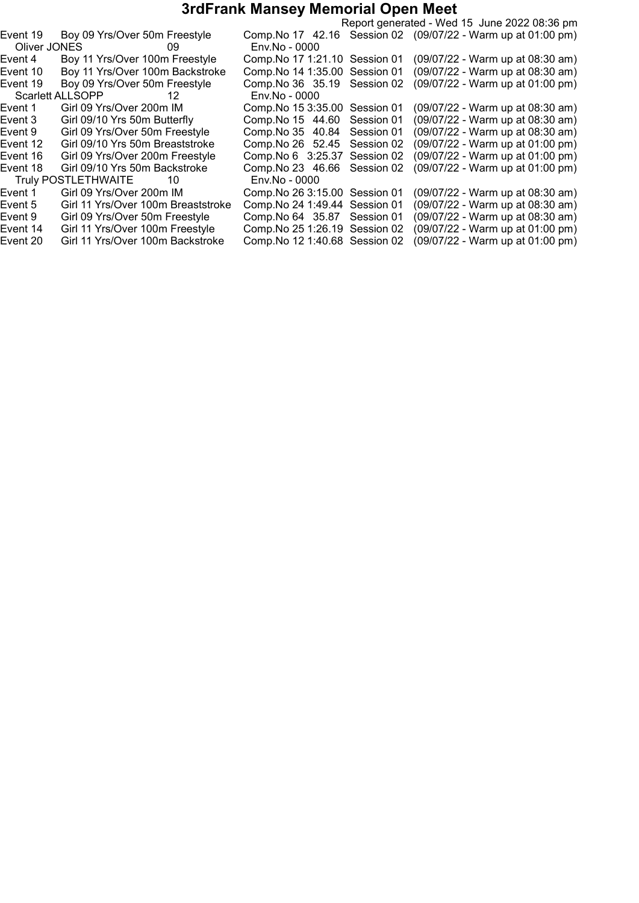|          |                                    |                                |            | Report generated - Wed 15 June 2022 08:36 pm                  |
|----------|------------------------------------|--------------------------------|------------|---------------------------------------------------------------|
| Event 19 | Boy 09 Yrs/Over 50m Freestyle      |                                |            | Comp. No 17 42.16 Session 02 (09/07/22 - Warm up at 01:00 pm) |
|          | Oliver JONES        09             | Env.No - 0000                  |            |                                                               |
| Event 4  | Boy 11 Yrs/Over 100m Freestyle     | Comp. No 17 1:21.10 Session 01 |            | (09/07/22 - Warm up at 08:30 am)                              |
| Event 10 | Boy 11 Yrs/Over 100m Backstroke    | Comp. No 14 1:35.00 Session 01 |            | (09/07/22 - Warm up at 08:30 am)                              |
| Event 19 | Boy 09 Yrs/Over 50m Freestyle      | Comp. No 36 35.19              | Session 02 | (09/07/22 - Warm up at 01:00 pm)                              |
|          | Scarlett ALLSOPP<br>12             | Env.No - 0000                  |            |                                                               |
| Event 1  | Girl 09 Yrs/Over 200m IM           | Comp. No 15 3:35.00 Session 01 |            | (09/07/22 - Warm up at 08:30 am)                              |
| Event 3  | Girl 09/10 Yrs 50m Butterfly       | Comp. No 15 44.60              | Session 01 | (09/07/22 - Warm up at 08:30 am)                              |
| Event 9  | Girl 09 Yrs/Over 50m Freestyle     | Comp. No 35 40.84              | Session 01 | (09/07/22 - Warm up at 08:30 am)                              |
| Event 12 | Girl 09/10 Yrs 50m Breaststroke    | Comp. No 26 52.45              | Session 02 | (09/07/22 - Warm up at 01:00 pm)                              |
| Event 16 | Girl 09 Yrs/Over 200m Freestyle    | Comp. No 6 3:25.37 Session 02  |            | (09/07/22 - Warm up at 01:00 pm)                              |
| Event 18 | Girl 09/10 Yrs 50m Backstroke      | Comp. No 23 46.66 Session 02   |            | (09/07/22 - Warm up at 01:00 pm)                              |
|          | Truly POSTLETHWAITE<br>-10         | Env.No - 0000                  |            |                                                               |
| Event 1  | Girl 09 Yrs/Over 200m IM           | Comp. No 26 3:15.00 Session 01 |            | (09/07/22 - Warm up at 08:30 am)                              |
| Event 5  | Girl 11 Yrs/Over 100m Breaststroke | Comp. No 24 1:49.44 Session 01 |            | (09/07/22 - Warm up at 08:30 am)                              |
| Event 9  | Girl 09 Yrs/Over 50m Freestyle     | Comp. No 64 35.87 Session 01   |            | (09/07/22 - Warm up at 08:30 am)                              |
| Event 14 | Girl 11 Yrs/Over 100m Freestyle    | Comp. No 25 1:26.19 Session 02 |            | (09/07/22 - Warm up at 01:00 pm)                              |
| Event 20 | Girl 11 Yrs/Over 100m Backstroke   | Comp. No 12 1:40.68 Session 02 |            | (09/07/22 - Warm up at 01:00 pm)                              |
|          |                                    |                                |            |                                                               |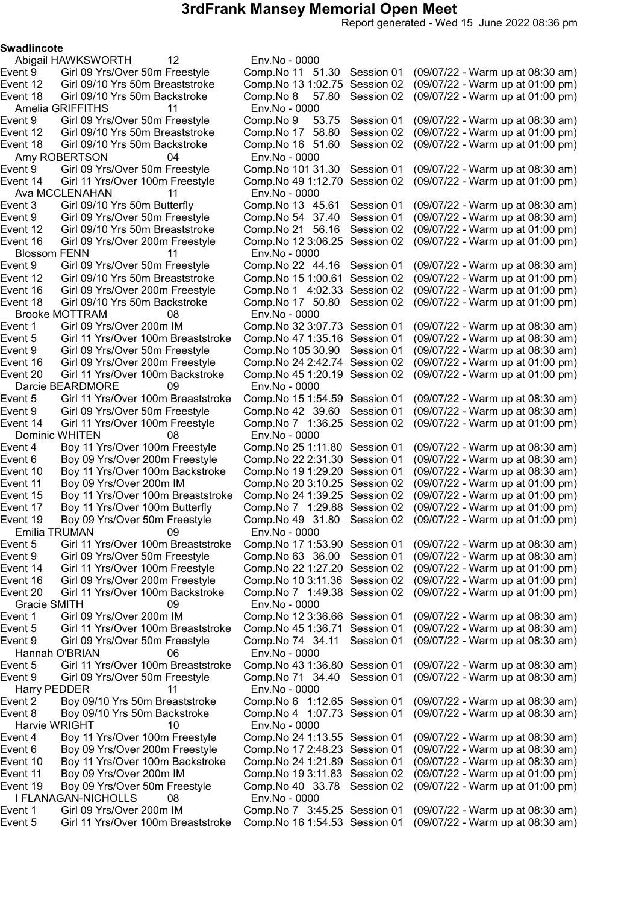Report generated - Wed 15 June 2022 08:36 pm

Swadlincote

Abigail HAWKSWORTH 12 Env.No - 0000 Amelia GRIFFITHS 11 Env.No - 0000 Amy ROBERTSON 04<br>Event 9 Girl 09 Yrs/Over 50m Freestyle Event 14 Girl 11 Yrs/Over 100m Freestyle Comp.No 49 1:12.70 Session 02 Ava MCCLENAHAN 11 Env.No - 0000<br>Event 3 Girl 09/10 Yrs 50m Butterfly Comp.No 13 45.61 Blossom FENN 11 Env.No - 0000<br>Event 9 Girl 09 Yrs/Over 50m Freestyle Comp.No 22 4 Event 16 Girl 09 Yrs/Over 200m Freestyle Comp.No 1 4:02.33 Session 02<br>Event 18 Girl 09/10 Yrs 50m Backstroke Comp.No 17 50.80 Session 02 Brooke MOTTRAM 08 Env.No - 0000 Darcie BEARDMORE 09 Env.No - 0000<br>1:5 6 Girl 11 Yrs/Over 100m Breaststroke Comp.No 15 Dominic WHITEN 08 Env.No - 0000 Emilia TRUMAN 09 Env.No - 0000 Gracie SMITH 09 Env.No - 0000<br>ent 1 Girl 09 Yrs/Over 200m IM Comp.No 12 3:3 Event 5 Girl 11 Yrs/Over 100m Breaststroke Hannah O'BRIAN 06 Env.No - 0000 Harry PEDDER 11 Env.No - 0000 Event 8 Boy 09/10 Yrs 50m Backstroke Comp.No 4 1:07.73 Session 01 Harvie WRIGHT 10 Env.No - 0000 I FLANAGAN-NICHOLLS 08 Env.No - 0000

Event 9 Girl 09 Yrs/Over 50m Freestyle Comp.No 11 51.30 Session 01 (09/07/22 - Warm up at 08:30 am) Event 12 Girl 09/10 Yrs 50m Breaststroke Comp.No 131:02.75 Session 02 (09/07/22 - Warm up at 01:00 pm) Event 18 Girl 09/10 Yrs 50m Backstroke Comp.No 8 57.80 Session 02 (09/07/22 - Warm up at 01:00 pm) Girl 09 Yrs/Over 50m Freestyle Comp.No 9 53.75 Session 01 (09/07/22 - Warm up at 08:30 am) Event 12 Girl 09/10 Yrs 50m Breaststroke Comp.No 17 58.80 Session 02 (09/07/22 - Warm up at 01:00 pm) Event 18 Girl 09/10 Yrs 50m Backstroke Comp.No 16 51.60 Session 02 (09/07/22 - Warm up at 01:00 pm) Girl 09 Yrs/Over 50m Freestyle Comp.No 101 31.30 Session 01 (09/07/22 - Warm up at 08:30 am)<br>Girl 11 Yrs/Over 100m Freestyle Comp.No 49 1:12.70 Session 02 (09/07/22 - Warm up at 01:00 pm) Girl 09/10 Yrs 50m Butterfly Comp.No 13 45.61 Session 01 (09/07/22 - Warm up at 08:30 am)<br>Girl 09 Yrs/Over 50m Freestyle Comp.No 54 37.40 Session 01 (09/07/22 - Warm up at 08:30 am) Event 9 Girl 09 Yrs/Over 50m Freestyle Comp.No 54 37.40 Session 01 (09/07/22 - Warm up at 08:30 am) Event 12 Girl 09/10 Yrs 50m Breaststroke Comp.No 21 56.16 Session 02 (09/07/22 - Warm up at 01:00 pm) Event 16 Girl 09 Yrs/Over 200m Freestyle Comp.No 123:06.25 Session 02 (09/07/22 - Warm up at 01:00 pm) Event 9 Girl 09 Yrs/Over 50m Freestyle Comp.No 22 44.16 Session 01 (09/07/22 - Warm up at 08:30 am) .<br>(09/07/22 - Warm up at 01:00 pm)<br>(09/07/22 - Warm up at 01:00 pm) Event 18 Girl 09/10 Yrs 50m Backstroke Comp.No 17 50.80 Session 02 (09/07/22 - Warm up at 01:00 pm) Event 1 Girl 09 Yrs/Over 200m IM Comp.No 323:07.73 Session 01 (09/07/22 - Warm up at 08:30 am) Event 5 Girl 11 Yrs/Over 100m Breaststroke Comp.No 471:35.16 Session 01 (09/07/22 - Warm up at 08:30 am) Event 9 Girl 09 Yrs/Over 50m Freestyle Comp.No 105 30.90 Session 01 (09/07/22 - Warm up at 08:30 am) Event 16 Girl 09 Yrs/Over 200m Freestyle Comp.No 242:42.74 Session 02 (09/07/22 - Warm up at 01:00 pm) Event 20 Girl 11 Yrs/Over 100m Backstroke Comp.No 451:20.19 Session 02 (09/07/22 - Warm up at 01:00 pm) Event 5 Girl 11 Yrs/Over 100m Breaststroke Comp.No 15 1:54.59 Session 01 (09/07/22 - Warm up at 08:30 am)<br>Event 9 Girl 09 Yrs/Over 50m Freestyle Comp.No 42 39.60 Session 01 (09/07/22 - Warm up at 08:30 am) Event 9 Girl 09 Yrs/Over 50m Freestyle Comp.No 42 39.60 Session 01 (09/07/22 - Warm up at 08:30 am) Event 14 Girl 11 Yrs/Over 100m Freestyle Comp.No 7 1:36.25 Session 02 (09/07/22 - Warm up at 01:00 pm) Event 4 Boy 11 Yrs/Over 100m Freestyle Comp.No 251:11.80 Session 01 (09/07/22 - Warm up at 08:30 am) Event 6 Boy 09 Yrs/Over 200m Freestyle Comp.No 22 2:31.30 Session 01 (09/07/22 - Warm up at 08:30 am) Event 10 Boy 11 Yrs/Over 100m Backstroke Comp.No 191:29.20 Session 01 (09/07/22 - Warm up at 08:30 am) Event 11 Boy 09 Yrs/Over 200m IM Comp.No 203:10.25 Session 02 (09/07/22 - Warm up at 01:00 pm) Event 15 Boy 11 Yrs/Over 100m Breaststroke Comp.No 241:39.25 Session 02 (09/07/22 - Warm up at 01:00 pm) Event 17 Boy 11 Yrs/Over 100m Butterfly Comp.No 7 1:29.88 Session 02 (09/07/22 - Warm up at 01:00 pm) Event 19 Boy 09 Yrs/Over 50m Freestyle Comp.No 49 31.80 Session 02 (09/07/22 - Warm up at 01:00 pm) Event 5 Girl 11 Yrs/Over 100m Breaststroke Comp.No 171:53.90 Session 01 (09/07/22 - Warm up at 08:30 am) Event 9 Girl 09 Yrs/Over 50m Freestyle Comp.No 63 36.00 Session 01 (09/07/22 - Warm up at 08:30 am) Event 14 Girl 11 Yrs/Over 100m Freestyle Comp.No 221:27.20 Session 02 (09/07/22 - Warm up at 01:00 pm) Event 16 Girl 09 Yrs/Over 200m Freestyle Comp.No 103:11.36 Session 02 (09/07/22 - Warm up at 01:00 pm) Event 20 Girl 11 Yrs/Over 100m Backstroke Comp.No 7 1:49.38 Session 02 (09/07/22 - Warm up at 01:00 pm) Event 1 Girl 09 Yrs/Over 200m IM Comp.No 123:36.66 Session 01 (09/07/22 - Warm up at 08:30 am) Event 9 Girl 09 Yrs/Over 50m Freestyle Comp.No 74 34.11 Session 01 (09/07/22 - Warm up at 08:30 am) Event 5 Girl 11 Yrs/Over 100m Breaststroke Comp.No 431:36.80 Session 01 (09/07/22 - Warm up at 08:30 am) Event 9 Girl 09 Yrs/Over 50m Freestyle Comp.No 71 34.40 Session 01 (09/07/22 - Warm up at 08:30 am) Comp.No 6 1:12.65 Session 01 (09/07/22 - Warm up at 08:30 am)<br>Comp.No 4 1:07.73 Session 01 (09/07/22 - Warm up at 08:30 am) Event 4 Boy 11 Yrs/Over 100m Freestyle Comp.No 241:13.55 Session 01 (09/07/22 - Warm up at 08:30 am) Event 6 Boy 09 Yrs/Over 200m Freestyle Comp.No 172:48.23 Session 01 (09/07/22 - Warm up at 08:30 am) Event 10 Boy 11 Yrs/Over 100m Backstroke Comp.No 24 1:21.89 Session 01 (09/07/22 - Warm up at 08:30 am)<br>Event 11 Boy 09 Yrs/Over 200m IM Comp.No 19 3:11.83 Session 02 (09/07/22 - Warm up at 01:00 pm) Event 11 Boy 09 Yrs/Over 200m IM Comp.No 193:11.83 Session 02 (09/07/22 - Warm up at 01:00 pm) Event 19 Boy 09 Yrs/Over 50m Freestyle Comp.No 40 33.78 Session 02 (09/07/22 - Warm up at 01:00 pm) Event 1 Girl 09 Yrs/Over 200m IM Comp.No 7 3:45.25 Session 01 (09/07/22 - Warm up at 08:30 am) Event 5 Girl 11 Yrs/Over 100m Breaststroke Comp.No 161:54.53 Session 01 (09/07/22 - Warm up at 08:30 am)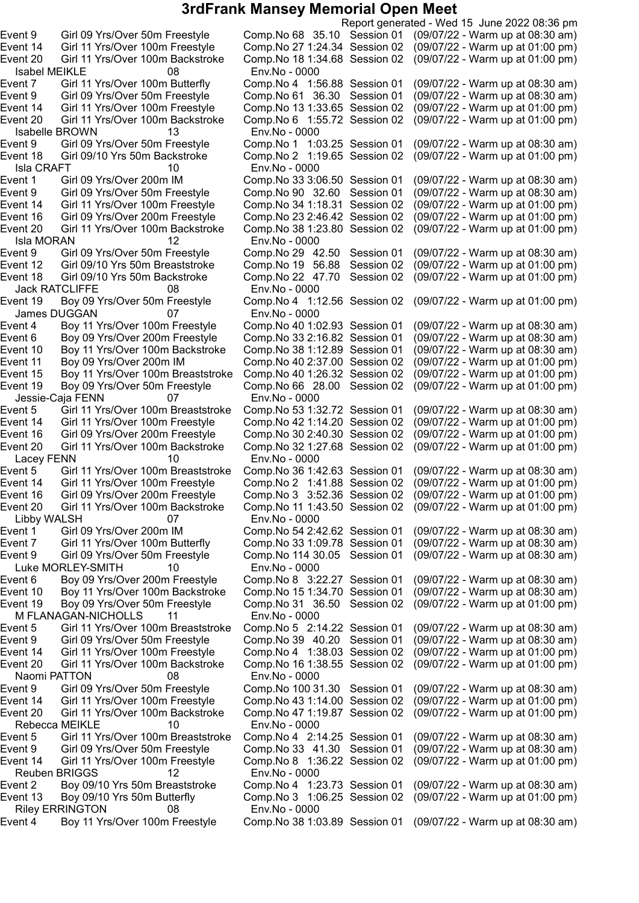Isabel MEIKLE 08 Env.No - 0000 Isabelle BROWN 13 Env.No - 0000 Isla CRAFT 10 Env.No - 0000 Event 9 Girl 09 Yrs/Over 50m Freestyle Comp.No 90 32.60 Session 01<br>Event 14 Girl 11 Yrs/Over 100m Freestyle Comp.No 34 1:18.31 Session 02 Isla MORAN 12 Env.No - 0000 Event 18 Girl 09/10 Yrs 50m Backstroke Comp.No 22 47.70 Session 02 Jack RATCLIFFE 08 Env.No - 0000 James DUGGAN 07 Env.No - 0000<br>ent 4 Boy 11 Yrs/Over 100m Freestyle Comp.No 40 1:02.93 Session 01 Event 19 Boy 09 Yrs/Over 50m Freestyle Comp.No 66 28.00 Session 02 Jessie-Caja FENN 07 Env.No - 0000 Lacey FENN 10 Env.No - 0000 Libby WALSH 07 Env.No - 0000<br>ent 1 Girl 09 Yrs/Over 200m IM Comp.No 54 2:4 Luke MORLEY-SMITH 10 Env.No - 0000 M FLANAGAN-NICHOLLS 11 Env.No - 0000 Naomi PATTON 08 Env.No - 0000 Rebecca MEIKLE 10 Env.No - 0000 Reuben BRIGGS 12 Env.No - 0000 Riley ERRINGTON 08 Env.No - 0000

Report generated - Wed 15 June 2022 08:36 pm Event 9 Girl 09 Yrs/Over 50m Freestyle Comp.No 68 35.10 Session 01 (09/07/22 - Warm up at 08:30 am) Event 14 Girl 11 Yrs/Over 100m Freestyle Comp.No 271:24.34 Session 02 (09/07/22 - Warm up at 01:00 pm) Event 20 Girl 11 Yrs/Over 100m Backstroke Comp.No 181:34.68 Session 02 (09/07/22 - Warm up at 01:00 pm) Event 7 Girl 11 Yrs/Over 100m Butterfly Comp.No 4 1:56.88 Session 01 (09/07/22 - Warm up at 08:30 am) Event 9 Girl 09 Yrs/Over 50m Freestyle Comp.No 61 36.30 Session 01 (09/07/22 - Warm up at 08:30 am) Event 14 Girl 11 Yrs/Over 100m Freestyle Comp.No 131:33.65 Session 02 (09/07/22 - Warm up at 01:00 pm) Event 20 Girl 11 Yrs/Over 100m Backstroke Comp.No 6 1:55.72 Session 02 (09/07/22 - Warm up at 01:00 pm) Event 9 Girl 09 Yrs/Over 50m Freestyle Comp.No 1 1:03.25 Session 01 (09/07/22 - Warm up at 08:30 am) Event 18 Girl 09/10 Yrs 50m Backstroke Comp.No 2 1:19.65 Session 02 (09/07/22 - Warm up at 01:00 pm) Event 1 Girl 09 Yrs/Over 200m IM Comp.No 33 3:06.50 Session 01 (09/07/22 - Warm up at 08:30 am)<br>Event 9 Girl 09 Yrs/Over 50m Freestyle Comp.No 90 32.60 Session 01 (09/07/22 - Warm up at 08:30 am) Event 14 Girl 11 Yrs/Over 100m Freestyle Comp.No 341:18.31 Session 02 (09/07/22 - Warm up at 01:00 pm) Event 16 Girl 09 Yrs/Over 200m Freestyle Comp.No 232:46.42 Session 02 (09/07/22 - Warm up at 01:00 pm) Event 20 Girl 11 Yrs/Over 100m Backstroke Comp.No 381:23.80 Session 02 (09/07/22 - Warm up at 01:00 pm) Event 9 Girl 09 Yrs/Over 50m Freestyle Comp.No 29 42.50 Session 01 (09/07/22 - Warm up at 08:30 am)<br>Event 12 Girl 09/10 Yrs 50m Breaststroke Comp.No 19 56.88 Session 02 (09/07/22 - Warm up at 01:00 pm) Event 12 Girl 09/10 Yrs 50m Breaststroke Comp.No 19 56.88 Session 02 (09/07/22 - Warm up at 01:00 pm) Event 19 Boy 09 Yrs/Over 50m Freestyle Comp.No 4 1:12.56 Session 02 (09/07/22 - Warm up at 01:00 pm) Event 4 Boy 11 Yrs/Over 100m Freestyle Comp.No 40 1:02.93 Session 01 (09/07/22 - Warm up at 08:30 am)<br>Event 6 Boy 09 Yrs/Over 200m Freestyle Comp.No 33 2:16.82 Session 01 (09/07/22 - Warm up at 08:30 am) Comp.No 33 2:16.82 Session 01 (09/07/22 - Warm up at 08:30 am) Event 10 Boy 11 Yrs/Over 100m Backstroke Comp.No 381:12.89 Session 01 (09/07/22 - Warm up at 08:30 am) Event 11 Boy 09 Yrs/Over 200m IM Comp.No 402:37.00 Session 02 (09/07/22 - Warm up at 01:00 pm) Event 15 Boy 11 Yrs/Over 100m Breaststroke Comp.No 40 1:26.32 Session 02 (09/07/22 - Warm up at 01:00 pm)<br>Event 19 Boy 09 Yrs/Over 50m Freestyle Comp.No 66 28.00 Session 02 (09/07/22 - Warm up at 01:00 pm) Event 5 Girl 11 Yrs/Over 100m Breaststroke Comp.No 531:32.72 Session 01 (09/07/22 - Warm up at 08:30 am) Event 14 Girl 11 Yrs/Over 100m Freestyle Comp.No 42 1:14.20 Session 02 (09/07/22 - Warm up at 01:00 pm)<br>Event 16 Girl 09 Yrs/Over 200m Freestyle Comp.No 30 2:40.30 Session 02 (09/07/22 - Warm up at 01:00 pm) Girl 09 Yrs/Over 200m Freestyle Comp.No 30 2:40.30 Session 02 (09/07/22 - Warm up at 01:00 pm) Event 20 Girl 11 Yrs/Over 100m Backstroke Comp.No 321:27.68 Session 02 (09/07/22 - Warm up at 01:00 pm) Event 5 Girl 11 Yrs/Over 100m Breaststroke Comp.No 361:42.63 Session 01 (09/07/22 - Warm up at 08:30 am) Event 14 Girl 11 Yrs/Over 100m Freestyle Comp.No 2 1:41.88 Session 02 (09/07/22 - Warm up at 01:00 pm) Event 16 Girl 09 Yrs/Over 200m Freestyle Comp.No 3 3:52.36 Session 02 (09/07/22 - Warm up at 01:00 pm) Event 20 Girl 11 Yrs/Over 100m Backstroke Comp.No 11 1:43.50 Session 02 (09/07/22 - Warm up at 01:00 pm) Event 1 Girl 09 Yrs/Over 200m IM Comp.No 542:42.62 Session 01 (09/07/22 - Warm up at 08:30 am) Event 7 Girl 11 Yrs/Over 100m Butterfly Comp.No 331:09.78 Session 01 (09/07/22 - Warm up at 08:30 am) Event 9 Girl 09 Yrs/Over 50m Freestyle Comp.No 114 30.05 Session 01 (09/07/22 - Warm up at 08:30 am) Event 6 Boy 09 Yrs/Over 200m Freestyle Comp.No 8 3:22.27 Session 01 (09/07/22 - Warm up at 08:30 am) Event 10 Boy 11 Yrs/Over 100m Backstroke Comp.No 151:34.70 Session 01 (09/07/22 - Warm up at 08:30 am) Event 19 Boy 09 Yrs/Over 50m Freestyle Comp.No 31 36.50 Session 02 (09/07/22 - Warm up at 01:00 pm) Event 5 Girl 11 Yrs/Over 100m Breaststroke Comp.No 5 2:14.22 Session 01 (09/07/22 - Warm up at 08:30 am) Event 9 Girl 09 Yrs/Over 50m Freestyle Comp.No 39 40.20 Session 01 (09/07/22 - Warm up at 08:30 am) Event 14 Girl 11 Yrs/Over 100m Freestyle Comp.No 4 1:38.03 Session 02 (09/07/22 - Warm up at 01:00 pm) Event 20 Girl 11 Yrs/Over 100m Backstroke Comp.No 161:38.55 Session 02 (09/07/22 - Warm up at 01:00 pm) Event 9 Girl 09 Yrs/Over 50m Freestyle Comp.No 100 31.30 Session 01 (09/07/22 - Warm up at 08:30 am) Event 14 Girl 11 Yrs/Over 100m Freestyle Comp.No 431:14.00 Session 02 (09/07/22 - Warm up at 01:00 pm) Event 20 Girl 11 Yrs/Over 100m Backstroke Comp.No 471:19.87 Session 02 (09/07/22 - Warm up at 01:00 pm) Event 5 Girl 11 Yrs/Over 100m Breaststroke Comp.No 4 2:14.25 Session 01 (09/07/22 - Warm up at 08:30 am) Event 9 Girl 09 Yrs/Over 50m Freestyle Comp.No 33 41.30 Session 01 (09/07/22 - Warm up at 08:30 am) Event 14 Girl 11 Yrs/Over 100m Freestyle Comp.No 8 1:36.22 Session 02 (09/07/22 - Warm up at 01:00 pm) Event 2 Boy 09/10 Yrs 50m Breaststroke Comp.No 4 1:23.73 Session 01 (09/07/22 - Warm up at 08:30 am) Event 13 Boy 09/10 Yrs 50m Butterfly Comp.No 3 1:06.25 Session 02 (09/07/22 - Warm up at 01:00 pm) Event 4 Boy 11 Yrs/Over 100m Freestyle Comp.No 381:03.89 Session 01 (09/07/22 - Warm up at 08:30 am)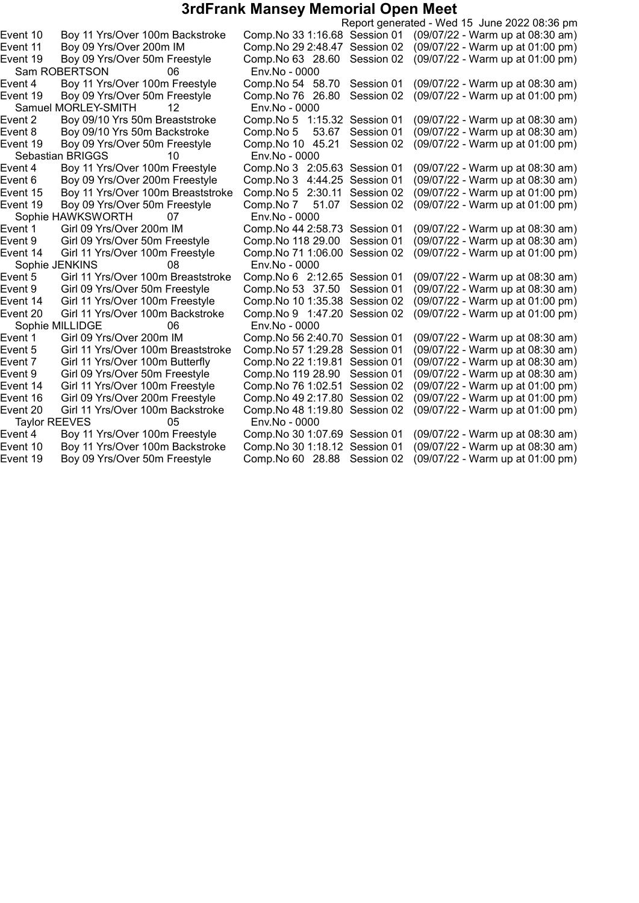|                                               |                                |            | Report generated - Wed 15 June 2022 08:36 pm |
|-----------------------------------------------|--------------------------------|------------|----------------------------------------------|
| Event 10<br>Boy 11 Yrs/Over 100m Backstroke   | Comp. No 33 1:16.68 Session 01 |            | (09/07/22 - Warm up at 08:30 am)             |
| Event 11<br>Boy 09 Yrs/Over 200m IM           | Comp.No 29 2:48.47             | Session 02 | (09/07/22 - Warm up at 01:00 pm)             |
| Event 19<br>Boy 09 Yrs/Over 50m Freestyle     | Comp. No 63 28.60              | Session 02 | (09/07/22 - Warm up at 01:00 pm)             |
| Sam ROBERTSON<br>06                           | Env.No - 0000                  |            |                                              |
| Boy 11 Yrs/Over 100m Freestyle<br>Event 4     | Comp.No 54 58.70               | Session 01 | (09/07/22 - Warm up at 08:30 am)             |
| Boy 09 Yrs/Over 50m Freestyle<br>Event 19     | Comp.No 76 26.80               | Session 02 | (09/07/22 - Warm up at 01:00 pm)             |
| Samuel MORLEY-SMITH<br>12                     | Env.No - 0000                  |            |                                              |
| Event 2<br>Boy 09/10 Yrs 50m Breaststroke     | Comp. No 5 1:15.32 Session 01  |            | (09/07/22 - Warm up at 08:30 am)             |
| Boy 09/10 Yrs 50m Backstroke<br>Event 8       | 53.67<br>Comp.No 5             | Session 01 | (09/07/22 - Warm up at 08:30 am)             |
| Event 19<br>Boy 09 Yrs/Over 50m Freestyle     | Comp. No 10 45.21              | Session 02 | (09/07/22 - Warm up at 01:00 pm)             |
| Sebastian BRIGGS<br>10                        | Env.No - 0000                  |            |                                              |
| Boy 11 Yrs/Over 100m Freestyle<br>Event 4     | Comp. No 3 2:05.63 Session 01  |            | (09/07/22 - Warm up at 08:30 am)             |
| Boy 09 Yrs/Over 200m Freestyle<br>Event 6     | Comp. No 3 4:44.25 Session 01  |            | (09/07/22 - Warm up at 08:30 am)             |
| Boy 11 Yrs/Over 100m Breaststroke<br>Event 15 | Comp. No 5 2:30.11             | Session 02 | (09/07/22 - Warm up at 01:00 pm)             |
| Boy 09 Yrs/Over 50m Freestyle<br>Event 19     | Comp.No 7<br>51.07             | Session 02 | (09/07/22 - Warm up at 01:00 pm)             |
| Sophie HAWKSWORTH<br>07                       | Env.No - 0000                  |            |                                              |
| Girl 09 Yrs/Over 200m IM<br>Event 1           | Comp. No 44 2:58.73 Session 01 |            | (09/07/22 - Warm up at 08:30 am)             |
| Girl 09 Yrs/Over 50m Freestyle<br>Event 9     | Comp.No 118 29.00              | Session 01 | (09/07/22 - Warm up at 08:30 am)             |
| Girl 11 Yrs/Over 100m Freestyle<br>Event 14   | Comp.No 71 1:06.00             | Session 02 | (09/07/22 - Warm up at 01:00 pm)             |
| Sophie JENKINS<br>08                          | Env.No - 0000                  |            |                                              |
| Event 5<br>Girl 11 Yrs/Over 100m Breaststroke | Comp. No 6 2:12.65 Session 01  |            | (09/07/22 - Warm up at 08:30 am)             |
| Event 9<br>Girl 09 Yrs/Over 50m Freestyle     | Comp. No 53 37.50              | Session 01 | (09/07/22 - Warm up at 08:30 am)             |
| Girl 11 Yrs/Over 100m Freestyle<br>Event 14   | Comp. No 10 1:35.38            | Session 02 | (09/07/22 - Warm up at 01:00 pm)             |
| Girl 11 Yrs/Over 100m Backstroke<br>Event 20  | Comp.No 9 1:47.20              | Session 02 | (09/07/22 - Warm up at 01:00 pm)             |
| Sophie MILLIDGE<br>06                         | Env.No - 0000                  |            |                                              |
| Event 1<br>Girl 09 Yrs/Over 200m IM           | Comp. No 56 2:40.70 Session 01 |            | (09/07/22 - Warm up at 08:30 am)             |
| Event 5<br>Girl 11 Yrs/Over 100m Breaststroke | Comp. No 57 1:29.28            | Session 01 | (09/07/22 - Warm up at 08:30 am)             |
| Girl 11 Yrs/Over 100m Butterfly<br>Event 7    | Comp. No 22 1:19.81            | Session 01 | (09/07/22 - Warm up at 08:30 am)             |
| Girl 09 Yrs/Over 50m Freestyle<br>Event 9     | Comp.No 119 28.90              | Session 01 | (09/07/22 - Warm up at 08:30 am)             |
| Event 14<br>Girl 11 Yrs/Over 100m Freestyle   | Comp. No 76 1:02.51            | Session 02 | (09/07/22 - Warm up at 01:00 pm)             |
| Girl 09 Yrs/Over 200m Freestyle<br>Event 16   | Comp.No 49 2:17.80             | Session 02 | (09/07/22 - Warm up at 01:00 pm)             |
| Event 20<br>Girl 11 Yrs/Over 100m Backstroke  | Comp.No 48 1:19.80             | Session 02 | (09/07/22 - Warm up at 01:00 pm)             |
| Taylor REEVES<br>05                           | Env.No - 0000                  |            |                                              |
| Boy 11 Yrs/Over 100m Freestyle<br>Event 4     | Comp. No 30 1:07.69 Session 01 |            | (09/07/22 - Warm up at 08:30 am)             |
| Event 10<br>Boy 11 Yrs/Over 100m Backstroke   | Comp. No 30 1:18.12 Session 01 |            | (09/07/22 - Warm up at 08:30 am)             |
| Boy 09 Yrs/Over 50m Freestyle<br>Event 19     | Comp.No 60 28.88               | Session 02 | (09/07/22 - Warm up at 01:00 pm)             |